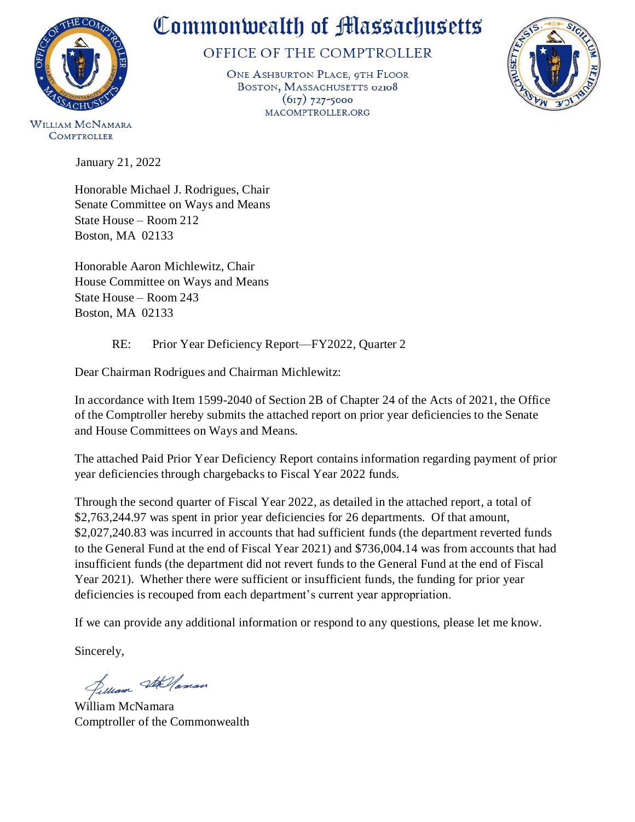

# Commonwealth of Massachusetts

## OFFICE OF THE COMPTROLLER

ONE ASHBURTON PLACE, 9TH FLOOR BOSTON, MASSACHUSETTS 02108  $(617)$  727-5000 MACOMPTROLLER.ORG



WILLIAM MCNAMARA **COMPTROLLER** 

January 21, 2022

Honorable Michael J. Rodrigues, Chair Senate Committee on Ways and Means State House – Room 212 Boston, MA 02133

Honorable Aaron Michlewitz, Chair House Committee on Ways and Means State House – Room 243 Boston, MA 02133

RE: Prior Year Deficiency Report—FY2022, Quarter 2

Dear Chairman Rodrigues and Chairman Michlewitz:

In accordance with Item 1599-2040 of Section 2B of Chapter 24 of the Acts of 2021, the Office of the Comptroller hereby submits the attached report on prior year deficiencies to the Senate and House Committees on Ways and Means.

The attached Paid Prior Year Deficiency Report contains information regarding payment of prior year deficiencies through chargebacks to Fiscal Year 2022 funds.

Through the second quarter of Fiscal Year 2022, as detailed in the attached report, a total of \$2,763,244.97 was spent in prior year deficiencies for 26 departments. Of that amount, \$2,027,240.83 was incurred in accounts that had sufficient funds (the department reverted funds to the General Fund at the end of Fiscal Year 2021) and \$736,004.14 was from accounts that had insufficient funds (the department did not revert funds to the General Fund at the end of Fiscal Year 2021). Whether there were sufficient or insufficient funds, the funding for prior year deficiencies is recouped from each department's current year appropriation.

If we can provide any additional information or respond to any questions, please let me know.

Sincerely,

Jelliam Stellaman

William McNamara Comptroller of the Commonwealth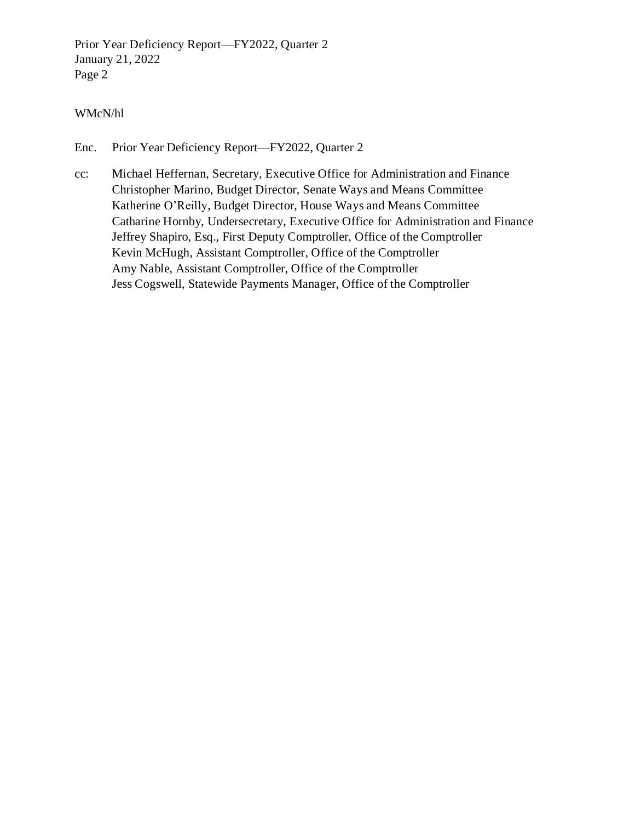Prior Year Deficiency Report—FY2022, Quarter 2 January 21, 2022 Page 2

#### WMcN/hl

Enc. [Prior Year Deficiency Report—FY2022, Quarter 2](#page-2-0)

cc: Michael Heffernan, Secretary, Executive Office for Administration and Finance Christopher Marino, Budget Director, Senate Ways and Means Committee Katherine O'Reilly, Budget Director, House Ways and Means Committee Catharine Hornby, Undersecretary, Executive Office for Administration and Finance Jeffrey Shapiro, Esq., First Deputy Comptroller, Office of the Comptroller Kevin McHugh, Assistant Comptroller, Office of the Comptroller Amy Nable, Assistant Comptroller, Office of the Comptroller Jess Cogswell, Statewide Payments Manager, Office of the Comptroller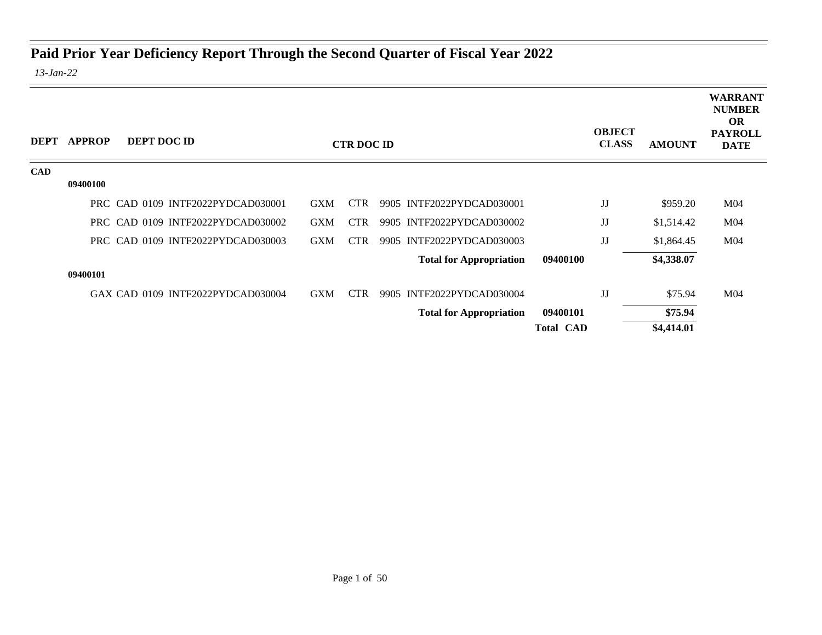## <span id="page-2-0"></span>**Paid Prior Year Deficiency Report Through the Second Quarter of Fiscal Year 2022**

*13-Jan-22*

| DEPT       | <b>APPROP</b> | DEPT DOC ID                       |            | <b>CTR DOC ID</b> |                                |                  | <b>OBJECT</b><br><b>CLASS</b> | <b>AMOUNT</b> | <b>WARRANT</b><br><b>NUMBER</b><br><b>OR</b><br><b>PAYROLL</b><br><b>DATE</b> |
|------------|---------------|-----------------------------------|------------|-------------------|--------------------------------|------------------|-------------------------------|---------------|-------------------------------------------------------------------------------|
| <b>CAD</b> |               |                                   |            |                   |                                |                  |                               |               |                                                                               |
|            | 09400100      |                                   |            |                   |                                |                  |                               |               |                                                                               |
|            |               | PRC CAD 0109 INTF2022PYDCAD030001 | <b>GXM</b> | <b>CTR</b>        | 9905 INTF2022PYDCAD030001      |                  | JJ                            | \$959.20      | M <sub>04</sub>                                                               |
|            |               | PRC CAD 0109 INTF2022PYDCAD030002 | <b>GXM</b> | <b>CTR</b>        | 9905 INTF2022PYDCAD030002      |                  | JJ                            | \$1,514.42    | M <sub>04</sub>                                                               |
|            |               | PRC CAD 0109 INTF2022PYDCAD030003 | <b>GXM</b> | <b>CTR</b>        | 9905 INTF2022PYDCAD030003      |                  | JJ                            | \$1,864.45    | M <sub>04</sub>                                                               |
|            |               |                                   |            |                   | <b>Total for Appropriation</b> | 09400100         |                               | \$4,338.07    |                                                                               |
|            | 09400101      |                                   |            |                   |                                |                  |                               |               |                                                                               |
|            |               | GAX CAD 0109 INTF2022PYDCAD030004 | <b>GXM</b> | <b>CTR</b>        | 9905 INTF2022PYDCAD030004      |                  | JJ                            | \$75.94       | M <sub>04</sub>                                                               |
|            |               |                                   |            |                   | <b>Total for Appropriation</b> | 09400101         |                               | \$75.94       |                                                                               |
|            |               |                                   |            |                   |                                | <b>Total CAD</b> |                               | \$4,414.01    |                                                                               |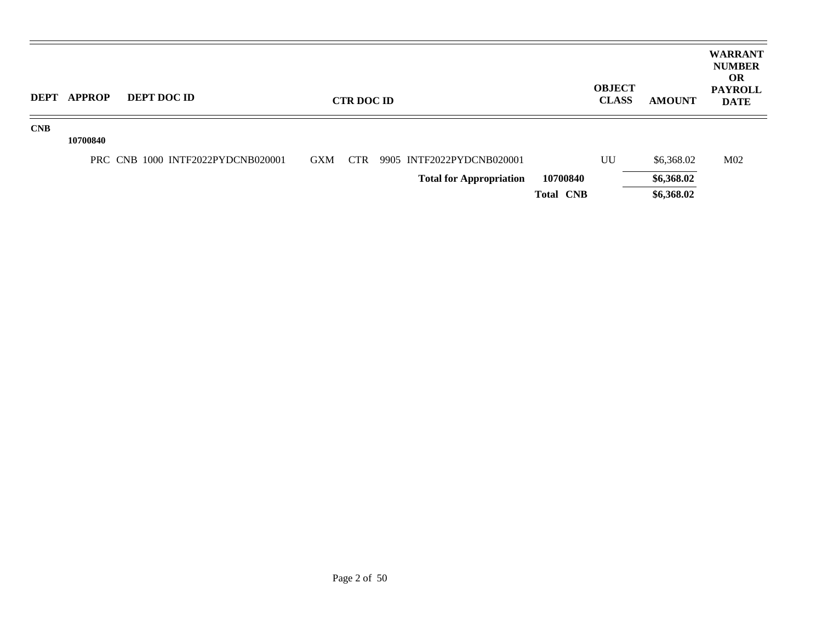| <b>DEPT</b> | <b>APPROP</b> | <b>DEPT DOC ID</b>                |            | <b>CTR DOC ID</b> |                                |                  | <b>OBJECT</b><br><b>CLASS</b> | <b>AMOUNT</b> | <b>WARRANT</b><br><b>NUMBER</b><br><b>OR</b><br><b>PAYROLL</b><br><b>DATE</b> |
|-------------|---------------|-----------------------------------|------------|-------------------|--------------------------------|------------------|-------------------------------|---------------|-------------------------------------------------------------------------------|
| CNB         | 10700840      |                                   |            |                   |                                |                  |                               |               |                                                                               |
|             |               | PRC CNB 1000 INTF2022PYDCNB020001 | <b>GXM</b> | CTR               | 9905 INTF2022PYDCNB020001      |                  | UU                            | \$6,368.02    | M <sub>02</sub>                                                               |
|             |               |                                   |            |                   | <b>Total for Appropriation</b> | 10700840         |                               | \$6,368.02    |                                                                               |
|             |               |                                   |            |                   |                                | <b>Total CNB</b> |                               | \$6,368.02    |                                                                               |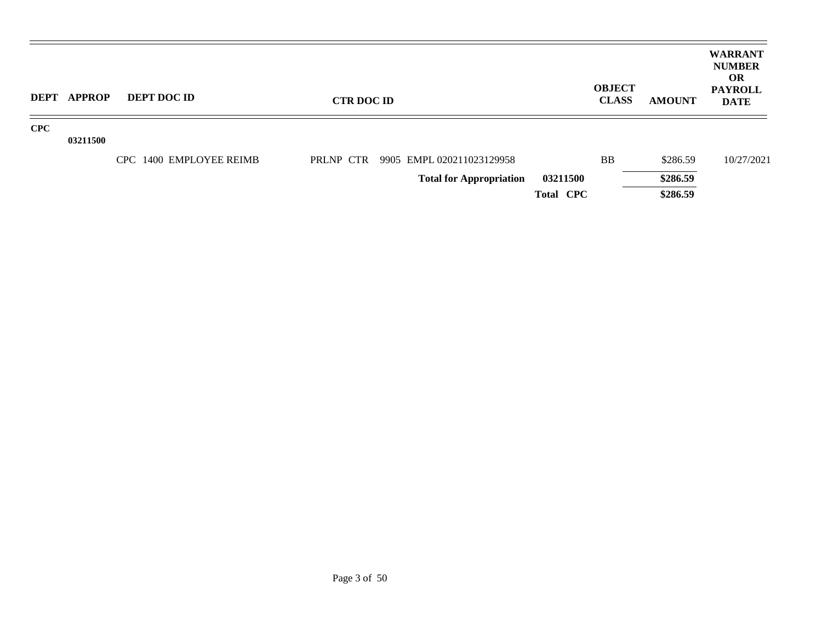| DEPT       | APPROP   | <b>DEPT DOC ID</b>      | <b>CTR DOC ID</b> |                                |                  | <b>OBJECT</b><br><b>CLASS</b> | <b>AMOUNT</b> | <b>WARRANT</b><br><b>NUMBER</b><br>OR.<br><b>PAYROLL</b><br><b>DATE</b> |
|------------|----------|-------------------------|-------------------|--------------------------------|------------------|-------------------------------|---------------|-------------------------------------------------------------------------|
| <b>CPC</b> |          |                         |                   |                                |                  |                               |               |                                                                         |
|            | 03211500 |                         |                   |                                |                  |                               |               |                                                                         |
|            |          | CPC 1400 EMPLOYEE REIMB | PRLNP CTR         | 9905 EMPL 020211023129958      |                  | <b>BB</b>                     | \$286.59      | 10/27/2021                                                              |
|            |          |                         |                   | <b>Total for Appropriation</b> | 03211500         |                               | \$286.59      |                                                                         |
|            |          |                         |                   |                                | <b>Total CPC</b> |                               | \$286.59      |                                                                         |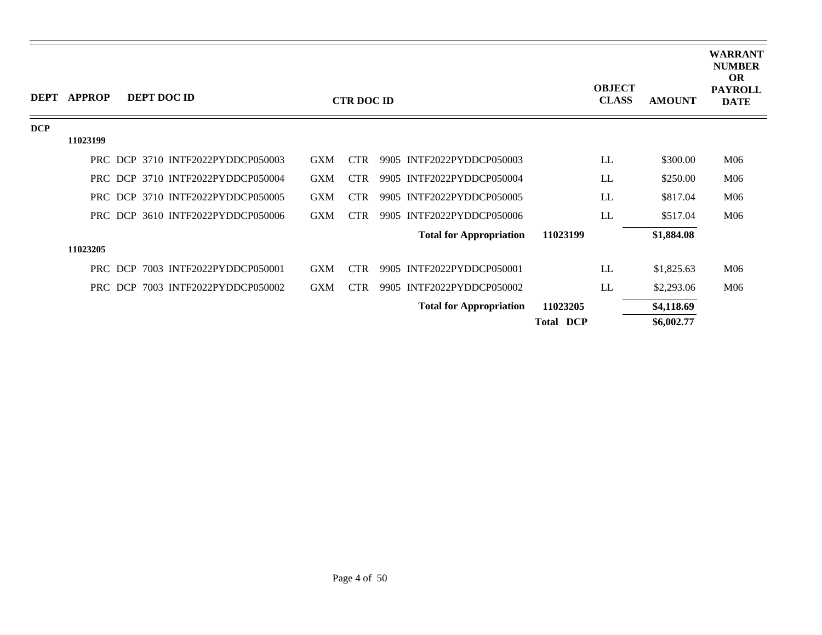| <b>DEPT</b> | <b>APPROP</b> |         | <b>DEPT DOC ID</b>                |            | <b>CTR DOC ID</b> |                                |                  | <b>OBJECT</b><br><b>CLASS</b> | <b>AMOUNT</b> | <b>WARRANT</b><br><b>NUMBER</b><br><b>OR</b><br><b>PAYROLL</b><br><b>DATE</b> |
|-------------|---------------|---------|-----------------------------------|------------|-------------------|--------------------------------|------------------|-------------------------------|---------------|-------------------------------------------------------------------------------|
| <b>DCP</b>  |               |         |                                   |            |                   |                                |                  |                               |               |                                                                               |
|             | 11023199      |         |                                   |            |                   |                                |                  |                               |               |                                                                               |
|             |               |         | PRC DCP 3710 INTF2022PYDDCP050003 | <b>GXM</b> | <b>CTR</b>        | 9905 INTF2022PYDDCP050003      |                  | LL                            | \$300.00      | M06                                                                           |
|             |               |         | PRC DCP 3710 INTF2022PYDDCP050004 | <b>GXM</b> | <b>CTR</b>        | 9905 INTF2022PYDDCP050004      |                  | LL                            | \$250.00      | M06                                                                           |
|             |               |         | PRC DCP 3710 INTF2022PYDDCP050005 | <b>GXM</b> | <b>CTR</b>        | 9905 INTF2022PYDDCP050005      |                  | LL                            | \$817.04      | M06                                                                           |
|             |               |         | PRC DCP 3610 INTF2022PYDDCP050006 | <b>GXM</b> | <b>CTR</b>        | 9905 INTF2022PYDDCP050006      |                  | LL                            | \$517.04      | M06                                                                           |
|             |               |         |                                   |            |                   | <b>Total for Appropriation</b> | 11023199         |                               | \$1,884.08    |                                                                               |
|             | 11023205      |         |                                   |            |                   |                                |                  |                               |               |                                                                               |
|             |               | PRC DCP | 7003 INTF2022PYDDCP050001         | <b>GXM</b> | <b>CTR</b>        | 9905 INTF2022PYDDCP050001      |                  | LL                            | \$1,825.63    | M06                                                                           |
|             |               | PRC DCP | 7003 INTF2022PYDDCP050002         | <b>GXM</b> | <b>CTR</b>        | 9905 INTF2022PYDDCP050002      |                  | LL                            | \$2,293.06    | M06                                                                           |
|             |               |         |                                   |            |                   | <b>Total for Appropriation</b> | 11023205         |                               | \$4,118.69    |                                                                               |
|             |               |         |                                   |            |                   |                                | <b>Total DCP</b> |                               | \$6,002.77    |                                                                               |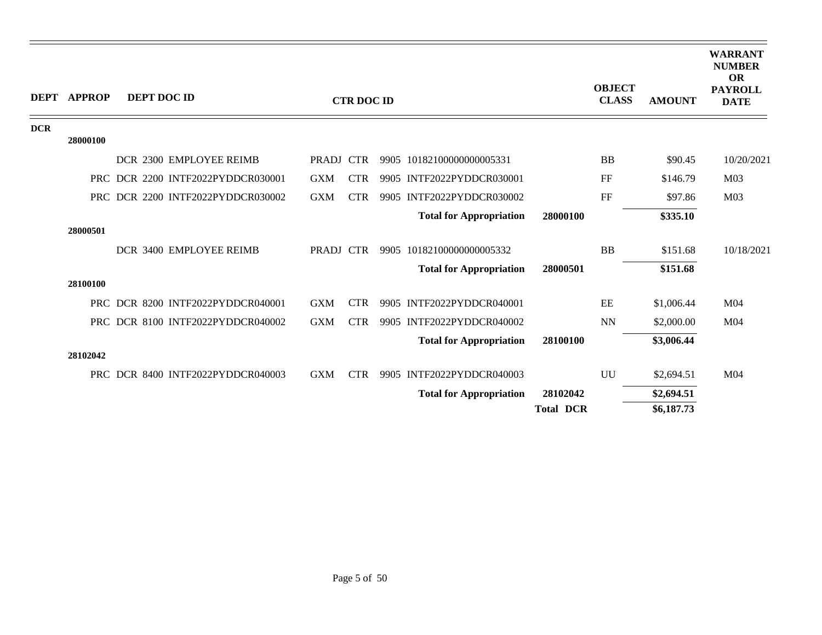| <b>DEPT</b> | <b>APPROP</b> | DEPT DOC ID |                                   |            | <b>CTR DOC ID</b> |                                |                  | <b>OBJECT</b><br><b>CLASS</b> | <b>AMOUNT</b> | <b>WARRANT</b><br><b>NUMBER</b><br><b>OR</b><br><b>PAYROLL</b><br><b>DATE</b> |
|-------------|---------------|-------------|-----------------------------------|------------|-------------------|--------------------------------|------------------|-------------------------------|---------------|-------------------------------------------------------------------------------|
| <b>DCR</b>  |               |             |                                   |            |                   |                                |                  |                               |               |                                                                               |
|             | 28000100      |             |                                   |            |                   |                                |                  |                               |               |                                                                               |
|             |               |             | DCR 2300 EMPLOYEE REIMB           | PRADJ CTR  |                   | 9905 10182100000000005331      |                  | <b>BB</b>                     | \$90.45       | 10/20/2021                                                                    |
|             |               |             | PRC DCR 2200 INTF2022PYDDCR030001 | <b>GXM</b> | <b>CTR</b>        | 9905 INTF2022PYDDCR030001      |                  | FF                            | \$146.79      | M <sub>03</sub>                                                               |
|             |               |             | PRC DCR 2200 INTF2022PYDDCR030002 | <b>GXM</b> | <b>CTR</b>        | 9905 INTF2022PYDDCR030002      |                  | FF                            | \$97.86       | M <sub>03</sub>                                                               |
|             |               |             |                                   |            |                   | <b>Total for Appropriation</b> | 28000100         |                               | \$335.10      |                                                                               |
|             | 28000501      |             |                                   |            |                   |                                |                  |                               |               |                                                                               |
|             |               |             | DCR 3400 EMPLOYEE REIMB           | PRADJ CTR  |                   | 9905 10182100000000005332      |                  | <b>BB</b>                     | \$151.68      | 10/18/2021                                                                    |
|             |               |             |                                   |            |                   | <b>Total for Appropriation</b> | 28000501         |                               | \$151.68      |                                                                               |
|             | 28100100      |             |                                   |            |                   |                                |                  |                               |               |                                                                               |
|             |               |             | PRC DCR 8200 INTF2022PYDDCR040001 | <b>GXM</b> | <b>CTR</b>        | 9905 INTF2022PYDDCR040001      |                  | EE                            | \$1,006.44    | M <sub>04</sub>                                                               |
|             |               |             | PRC DCR 8100 INTF2022PYDDCR040002 | <b>GXM</b> | <b>CTR</b>        | 9905 INTF2022PYDDCR040002      |                  | <b>NN</b>                     | \$2,000.00    | M <sub>04</sub>                                                               |
|             |               |             |                                   |            |                   | <b>Total for Appropriation</b> | 28100100         |                               | \$3,006.44    |                                                                               |
|             | 28102042      |             |                                   |            |                   |                                |                  |                               |               |                                                                               |
|             |               |             | PRC DCR 8400 INTF2022PYDDCR040003 | <b>GXM</b> | <b>CTR</b>        | 9905 INTF2022PYDDCR040003      |                  | UU                            | \$2,694.51    | M04                                                                           |
|             |               |             |                                   |            |                   | <b>Total for Appropriation</b> | 28102042         |                               | \$2,694.51    |                                                                               |
|             |               |             |                                   |            |                   |                                | <b>Total DCR</b> |                               | \$6,187.73    |                                                                               |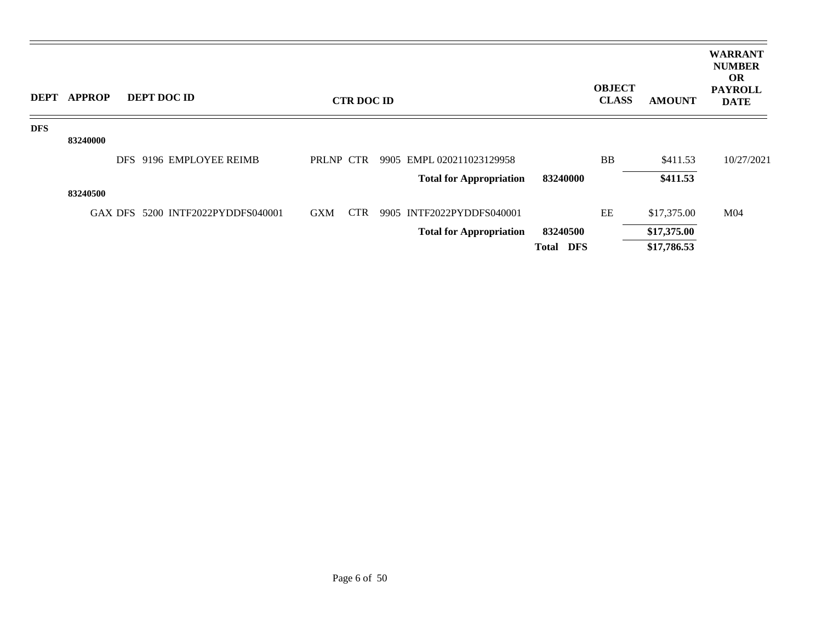| <b>DEPT</b> | <b>APPROP</b> | DEPT DOC ID             |                                   |            | <b>CTR DOC ID</b> |                                |                     | <b>OBJECT</b><br><b>CLASS</b> | <b>AMOUNT</b> | <b>WARRANT</b><br><b>NUMBER</b><br><b>OR</b><br><b>PAYROLL</b><br><b>DATE</b> |
|-------------|---------------|-------------------------|-----------------------------------|------------|-------------------|--------------------------------|---------------------|-------------------------------|---------------|-------------------------------------------------------------------------------|
| <b>DFS</b>  |               |                         |                                   |            |                   |                                |                     |                               |               |                                                                               |
|             | 83240000      |                         |                                   |            |                   |                                |                     |                               |               |                                                                               |
|             |               | DFS 9196 EMPLOYEE REIMB |                                   | PRLNP CTR  |                   | 9905 EMPL 020211023129958      |                     | <b>BB</b>                     | \$411.53      | 10/27/2021                                                                    |
|             |               |                         |                                   |            |                   | <b>Total for Appropriation</b> | 83240000            |                               | \$411.53      |                                                                               |
|             | 83240500      |                         |                                   |            |                   |                                |                     |                               |               |                                                                               |
|             |               |                         | GAX DFS 5200 INTF2022PYDDFS040001 | <b>GXM</b> | <b>CTR</b>        | 9905 INTF2022PYDDFS040001      |                     | EE                            | \$17,375.00   | M <sub>04</sub>                                                               |
|             |               |                         |                                   |            |                   | <b>Total for Appropriation</b> | 83240500            |                               | \$17,375.00   |                                                                               |
|             |               |                         |                                   |            |                   |                                | DFS<br><b>Total</b> |                               | \$17,786.53   |                                                                               |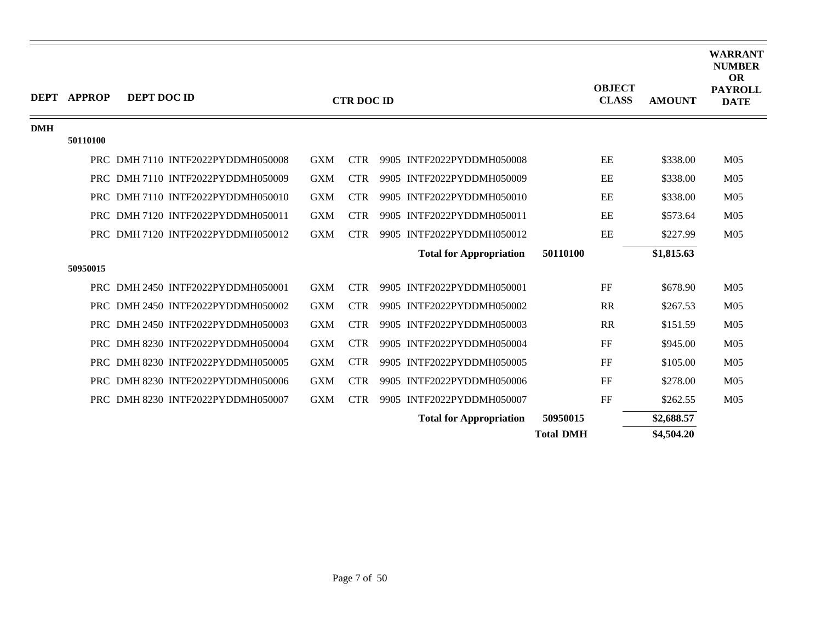|            | <b>DEPT APPROP</b> | DEPT DOC ID |                                   |            | <b>CTR DOC ID</b> |                                |                  | <b>OBJECT</b><br><b>CLASS</b> | <b>AMOUNT</b> | <b>WARRANT</b><br><b>NUMBER</b><br><b>OR</b><br><b>PAYROLL</b><br><b>DATE</b> |
|------------|--------------------|-------------|-----------------------------------|------------|-------------------|--------------------------------|------------------|-------------------------------|---------------|-------------------------------------------------------------------------------|
| <b>DMH</b> | 50110100           |             |                                   |            |                   |                                |                  |                               |               |                                                                               |
|            |                    |             |                                   |            |                   |                                |                  |                               |               |                                                                               |
|            |                    |             | PRC DMH 7110 INTF2022PYDDMH050008 | <b>GXM</b> | <b>CTR</b>        | 9905 INTF2022PYDDMH050008      |                  | EE                            | \$338.00      | M <sub>05</sub>                                                               |
|            |                    |             | PRC DMH7110 INTF2022PYDDMH050009  | <b>GXM</b> | <b>CTR</b>        | 9905 INTF2022PYDDMH050009      |                  | EE                            | \$338.00      | M <sub>05</sub>                                                               |
|            |                    |             | PRC DMH 7110 INTF2022PYDDMH050010 | <b>GXM</b> | <b>CTR</b>        | 9905 INTF2022PYDDMH050010      |                  | EE                            | \$338.00      | M <sub>05</sub>                                                               |
|            |                    |             | PRC DMH 7120 INTF2022PYDDMH050011 | <b>GXM</b> | <b>CTR</b>        | 9905 INTF2022PYDDMH050011      |                  | EE                            | \$573.64      | M <sub>05</sub>                                                               |
|            |                    |             | PRC DMH 7120 INTF2022PYDDMH050012 | <b>GXM</b> | <b>CTR</b>        | 9905 INTF2022PYDDMH050012      |                  | EE                            | \$227.99      | M <sub>05</sub>                                                               |
|            |                    |             |                                   |            |                   | <b>Total for Appropriation</b> | 50110100         |                               | \$1,815.63    |                                                                               |
|            | 50950015           |             |                                   |            |                   |                                |                  |                               |               |                                                                               |
|            |                    |             | PRC DMH 2450 INTF2022PYDDMH050001 | <b>GXM</b> | <b>CTR</b>        | 9905 INTF2022PYDDMH050001      |                  | FF                            | \$678.90      | M <sub>05</sub>                                                               |
|            |                    |             | PRC DMH 2450 INTF2022PYDDMH050002 | <b>GXM</b> | <b>CTR</b>        | 9905 INTF2022PYDDMH050002      |                  | <b>RR</b>                     | \$267.53      | M <sub>05</sub>                                                               |
|            |                    |             | PRC DMH 2450 INTF2022PYDDMH050003 | <b>GXM</b> | <b>CTR</b>        | 9905 INTF2022PYDDMH050003      |                  | <b>RR</b>                     | \$151.59      | M <sub>05</sub>                                                               |
|            |                    |             | PRC DMH 8230 INTF2022PYDDMH050004 | <b>GXM</b> | <b>CTR</b>        | 9905 INTF2022PYDDMH050004      |                  | FF                            | \$945.00      | M <sub>05</sub>                                                               |
|            |                    |             | PRC DMH 8230 INTF2022PYDDMH050005 | <b>GXM</b> | <b>CTR</b>        | 9905 INTF2022PYDDMH050005      |                  | FF                            | \$105.00      | M <sub>05</sub>                                                               |
|            |                    |             | PRC DMH 8230 INTF2022PYDDMH050006 | <b>GXM</b> | <b>CTR</b>        | 9905 INTF2022PYDDMH050006      |                  | FF                            | \$278.00      | M <sub>05</sub>                                                               |
|            |                    |             | PRC DMH 8230 INTF2022PYDDMH050007 | <b>GXM</b> | <b>CTR</b>        | 9905 INTF2022PYDDMH050007      |                  | FF                            | \$262.55      | M <sub>05</sub>                                                               |
|            |                    |             |                                   |            |                   | <b>Total for Appropriation</b> | 50950015         |                               | \$2,688.57    |                                                                               |
|            |                    |             |                                   |            |                   |                                | <b>Total DMH</b> |                               | \$4,504.20    |                                                                               |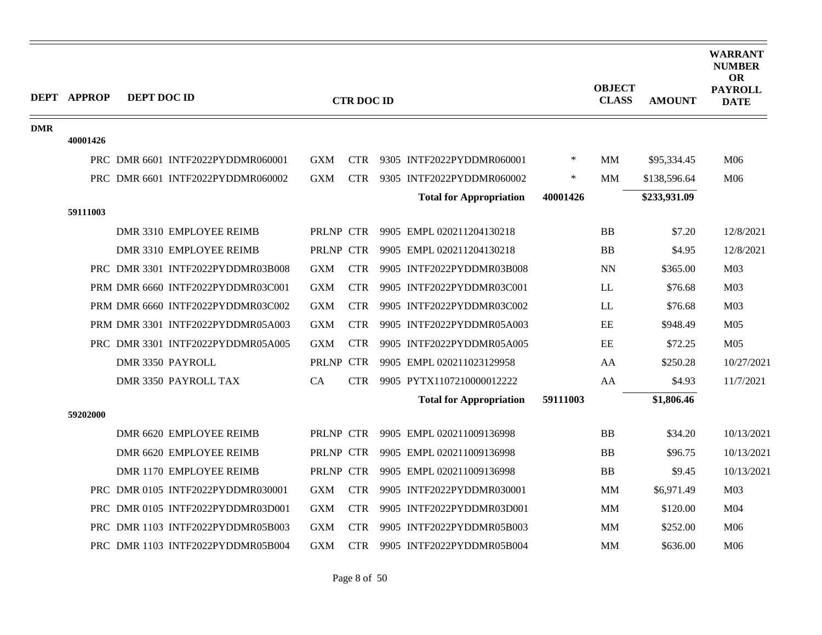|            | <b>DEPT APPROP</b> | <b>DEPT DOC ID</b> |                                   |            |                   |                                |          | <b>OBJECT</b> |               | <b>WARRANT</b><br><b>NUMBER</b><br><b>OR</b><br><b>PAYROLL</b> |
|------------|--------------------|--------------------|-----------------------------------|------------|-------------------|--------------------------------|----------|---------------|---------------|----------------------------------------------------------------|
|            |                    |                    |                                   |            | <b>CTR DOC ID</b> |                                |          | <b>CLASS</b>  | <b>AMOUNT</b> | <b>DATE</b>                                                    |
| <b>DMR</b> |                    |                    |                                   |            |                   |                                |          |               |               |                                                                |
|            | 40001426           |                    |                                   |            |                   |                                |          |               |               |                                                                |
|            |                    |                    | PRC DMR 6601 INTF2022PYDDMR060001 | <b>GXM</b> | <b>CTR</b>        | 9305 INTF2022PYDDMR060001      | $\ast$   | <b>MM</b>     | \$95,334.45   | M06                                                            |
|            |                    |                    | PRC DMR 6601 INTF2022PYDDMR060002 | <b>GXM</b> | <b>CTR</b>        | 9305 INTF2022PYDDMR060002      | ∗        | MМ            | \$138,596.64  | M06                                                            |
|            |                    |                    |                                   |            |                   | <b>Total for Appropriation</b> | 40001426 |               | \$233,931.09  |                                                                |
|            | 59111003           |                    |                                   |            |                   |                                |          |               |               |                                                                |
|            |                    |                    | DMR 3310 EMPLOYEE REIMB           | PRLNP CTR  |                   | 9905 EMPL 020211204130218      |          | <b>BB</b>     | \$7.20        | 12/8/2021                                                      |
|            |                    |                    | DMR 3310 EMPLOYEE REIMB           | PRLNP CTR  |                   | 9905 EMPL 020211204130218      |          | <b>BB</b>     | \$4.95        | 12/8/2021                                                      |
|            |                    |                    | PRC DMR 3301 INTF2022PYDDMR03B008 | <b>GXM</b> | <b>CTR</b>        | 9905 INTF2022PYDDMR03B008      |          | <b>NN</b>     | \$365.00      | M <sub>03</sub>                                                |
|            |                    |                    | PRM DMR 6660 INTF2022PYDDMR03C001 | <b>GXM</b> | <b>CTR</b>        | 9905 INTF2022PYDDMR03C001      |          | LL            | \$76.68       | M <sub>03</sub>                                                |
|            |                    |                    | PRM DMR 6660 INTF2022PYDDMR03C002 | <b>GXM</b> | <b>CTR</b>        | 9905 INTF2022PYDDMR03C002      |          | <b>LL</b>     | \$76.68       | M <sub>03</sub>                                                |
|            |                    |                    | PRM DMR 3301 INTF2022PYDDMR05A003 | <b>GXM</b> | <b>CTR</b>        | 9905 INTF2022PYDDMR05A003      |          | EE            | \$948.49      | M <sub>05</sub>                                                |
|            |                    |                    | PRC DMR 3301 INTF2022PYDDMR05A005 | <b>GXM</b> | <b>CTR</b>        | 9905 INTF2022PYDDMR05A005      |          | EE            | \$72.25       | M <sub>05</sub>                                                |
|            |                    |                    | DMR 3350 PAYROLL                  | PRLNP CTR  |                   | 9905 EMPL 020211023129958      |          | AA            | \$250.28      | 10/27/2021                                                     |
|            |                    |                    | DMR 3350 PAYROLL TAX              | CA         | <b>CTR</b>        | 9905 PYTX1107210000012222      |          | AA            | \$4.93        | 11/7/2021                                                      |
|            |                    |                    |                                   |            |                   | <b>Total for Appropriation</b> | 59111003 |               | \$1,806.46    |                                                                |
|            | 59202000           |                    |                                   |            |                   |                                |          |               |               |                                                                |
|            |                    |                    | DMR 6620 EMPLOYEE REIMB           | PRLNP CTR  |                   | 9905 EMPL 020211009136998      |          | <b>BB</b>     | \$34.20       | 10/13/2021                                                     |
|            |                    |                    | DMR 6620 EMPLOYEE REIMB           | PRLNP CTR  |                   | 9905 EMPL 020211009136998      |          | <b>BB</b>     | \$96.75       | 10/13/2021                                                     |
|            |                    |                    | DMR 1170 EMPLOYEE REIMB           | PRLNP CTR  |                   | 9905 EMPL 020211009136998      |          | <b>BB</b>     | \$9.45        | 10/13/2021                                                     |
|            |                    |                    | PRC DMR 0105 INTF2022PYDDMR030001 | <b>GXM</b> | <b>CTR</b>        | 9905 INTF2022PYDDMR030001      |          | <b>MM</b>     | \$6,971.49    | M <sub>03</sub>                                                |
|            |                    |                    | PRC DMR 0105 INTF2022PYDDMR03D001 | <b>GXM</b> | <b>CTR</b>        | 9905 INTF2022PYDDMR03D001      |          | <b>MM</b>     | \$120.00      | M <sub>04</sub>                                                |
|            |                    |                    | PRC DMR 1103 INTF2022PYDDMR05B003 | <b>GXM</b> | <b>CTR</b>        | 9905 INTF2022PYDDMR05B003      |          | <b>MM</b>     | \$252.00      | M06                                                            |
|            |                    |                    | PRC DMR 1103 INTF2022PYDDMR05B004 | <b>GXM</b> | <b>CTR</b>        | 9905 INTF2022PYDDMR05B004      |          | <b>MM</b>     | \$636.00      | M06                                                            |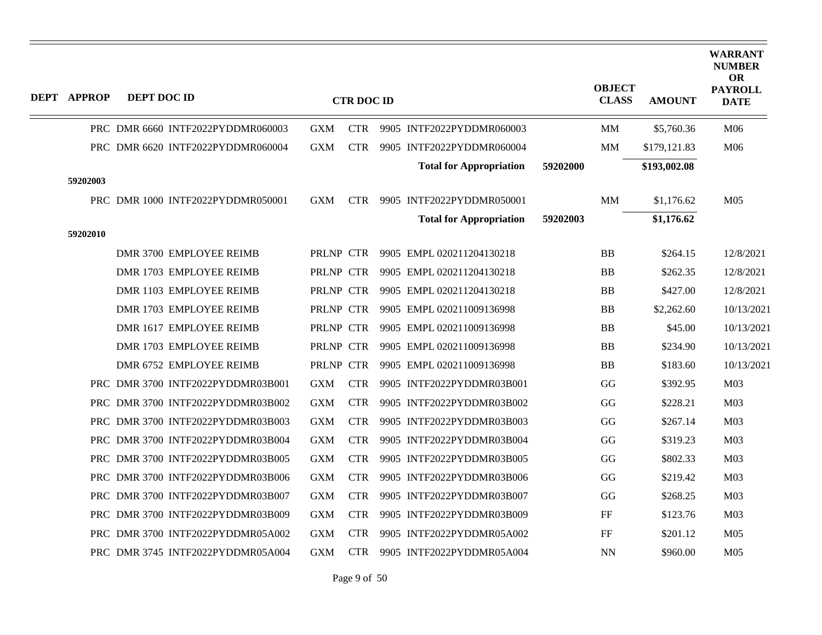| <b>DEPT APPROP</b> | DEPT DOC ID             |  | <b>CTR DOC ID</b>                 |            |            |  |                                | <b>OBJECT</b><br><b>CLASS</b> | <b>AMOUNT</b> | <b>WARRANT</b><br><b>NUMBER</b><br><b>OR</b><br><b>PAYROLL</b><br><b>DATE</b> |                 |
|--------------------|-------------------------|--|-----------------------------------|------------|------------|--|--------------------------------|-------------------------------|---------------|-------------------------------------------------------------------------------|-----------------|
|                    |                         |  | PRC DMR 6660 INTF2022PYDDMR060003 | <b>GXM</b> | <b>CTR</b> |  | 9905 INTF2022PYDDMR060003      |                               | MM            | \$5,760.36                                                                    | M06             |
|                    |                         |  | PRC DMR 6620 INTF2022PYDDMR060004 | <b>GXM</b> | <b>CTR</b> |  | 9905 INTF2022PYDDMR060004      |                               | MM            | \$179,121.83                                                                  | M06             |
|                    |                         |  |                                   |            |            |  | <b>Total for Appropriation</b> | 59202000                      |               | \$193,002.08                                                                  |                 |
| 59202003           |                         |  |                                   |            |            |  |                                |                               |               |                                                                               |                 |
|                    |                         |  | PRC DMR 1000 INTF2022PYDDMR050001 | <b>GXM</b> | <b>CTR</b> |  | 9905 INTF2022PYDDMR050001      |                               | MM            | \$1,176.62                                                                    | M <sub>05</sub> |
|                    |                         |  |                                   |            |            |  | <b>Total for Appropriation</b> | 59202003                      |               | \$1,176.62                                                                    |                 |
| 59202010           |                         |  |                                   |            |            |  |                                |                               |               |                                                                               |                 |
|                    | DMR 3700 EMPLOYEE REIMB |  |                                   | PRLNP CTR  |            |  | 9905 EMPL 020211204130218      |                               | <b>BB</b>     | \$264.15                                                                      | 12/8/2021       |
|                    | DMR 1703 EMPLOYEE REIMB |  |                                   | PRLNP CTR  |            |  | 9905 EMPL 020211204130218      |                               | BB            | \$262.35                                                                      | 12/8/2021       |
|                    | DMR 1103 EMPLOYEE REIMB |  |                                   | PRLNP CTR  |            |  | 9905 EMPL 020211204130218      |                               | <b>BB</b>     | \$427.00                                                                      | 12/8/2021       |
|                    | DMR 1703 EMPLOYEE REIMB |  |                                   | PRLNP CTR  |            |  | 9905 EMPL 020211009136998      |                               | BB            | \$2,262.60                                                                    | 10/13/2021      |
|                    | DMR 1617 EMPLOYEE REIMB |  |                                   | PRLNP CTR  |            |  | 9905 EMPL 020211009136998      |                               | <b>BB</b>     | \$45.00                                                                       | 10/13/2021      |
|                    | DMR 1703 EMPLOYEE REIMB |  |                                   | PRLNP CTR  |            |  | 9905 EMPL 020211009136998      |                               | <b>BB</b>     | \$234.90                                                                      | 10/13/2021      |
|                    | DMR 6752 EMPLOYEE REIMB |  |                                   | PRLNP CTR  |            |  | 9905 EMPL 020211009136998      |                               | <b>BB</b>     | \$183.60                                                                      | 10/13/2021      |
|                    |                         |  | PRC DMR 3700 INTF2022PYDDMR03B001 | <b>GXM</b> | <b>CTR</b> |  | 9905 INTF2022PYDDMR03B001      |                               | GG            | \$392.95                                                                      | M <sub>03</sub> |
|                    |                         |  | PRC DMR 3700 INTF2022PYDDMR03B002 | <b>GXM</b> | <b>CTR</b> |  | 9905 INTF2022PYDDMR03B002      |                               | GG            | \$228.21                                                                      | M <sub>03</sub> |
|                    |                         |  | PRC DMR 3700 INTF2022PYDDMR03B003 | <b>GXM</b> | <b>CTR</b> |  | 9905 INTF2022PYDDMR03B003      |                               | GG            | \$267.14                                                                      | M <sub>03</sub> |
|                    |                         |  | PRC DMR 3700 INTF2022PYDDMR03B004 | <b>GXM</b> | <b>CTR</b> |  | 9905 INTF2022PYDDMR03B004      |                               | GG            | \$319.23                                                                      | M <sub>03</sub> |
|                    |                         |  | PRC DMR 3700 INTF2022PYDDMR03B005 | <b>GXM</b> | <b>CTR</b> |  | 9905 INTF2022PYDDMR03B005      |                               | GG            | \$802.33                                                                      | M <sub>03</sub> |
|                    |                         |  | PRC DMR 3700 INTF2022PYDDMR03B006 | <b>GXM</b> | <b>CTR</b> |  | 9905 INTF2022PYDDMR03B006      |                               | GG            | \$219.42                                                                      | M <sub>03</sub> |
|                    |                         |  | PRC DMR 3700 INTF2022PYDDMR03B007 | <b>GXM</b> | <b>CTR</b> |  | 9905 INTF2022PYDDMR03B007      |                               | GG            | \$268.25                                                                      | M <sub>03</sub> |
|                    |                         |  | PRC DMR 3700 INTF2022PYDDMR03B009 | <b>GXM</b> | <b>CTR</b> |  | 9905 INTF2022PYDDMR03B009      |                               | FF            | \$123.76                                                                      | M <sub>03</sub> |
|                    |                         |  | PRC DMR 3700 INTF2022PYDDMR05A002 | <b>GXM</b> | <b>CTR</b> |  | 9905 INTF2022PYDDMR05A002      |                               | FF            | \$201.12                                                                      | M <sub>05</sub> |
|                    |                         |  | PRC DMR 3745 INTF2022PYDDMR05A004 | <b>GXM</b> | <b>CTR</b> |  | 9905 INTF2022PYDDMR05A004      |                               | NN            | \$960.00                                                                      | M05             |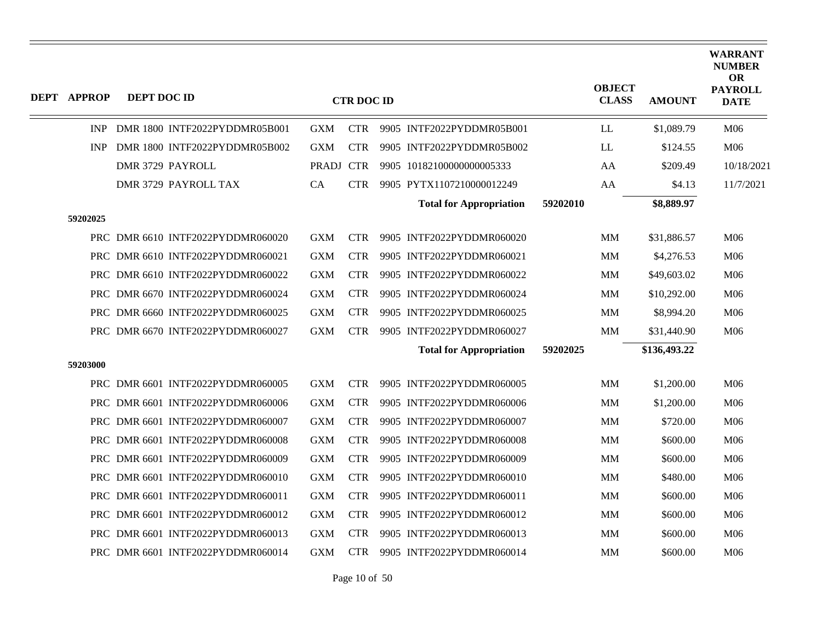| <b>DEPT APPROP</b> | DEPT DOC ID |                                   | <b>CTR DOC ID</b> |            |  |                                |          | <b>OBJECT</b><br><b>CLASS</b> | <b>AMOUNT</b> | <b>WARRANT</b><br><b>NUMBER</b><br><b>OR</b><br><b>PAYROLL</b><br><b>DATE</b> |
|--------------------|-------------|-----------------------------------|-------------------|------------|--|--------------------------------|----------|-------------------------------|---------------|-------------------------------------------------------------------------------|
| <b>INP</b>         |             | DMR 1800 INTF2022PYDDMR05B001     | <b>GXM</b>        | <b>CTR</b> |  | 9905 INTF2022PYDDMR05B001      |          | LL                            | \$1,089.79    | M06                                                                           |
| <b>INP</b>         |             | DMR 1800 INTF2022PYDDMR05B002     | <b>GXM</b>        | <b>CTR</b> |  | 9905 INTF2022PYDDMR05B002      |          | LL                            | \$124.55      | M06                                                                           |
|                    |             | DMR 3729 PAYROLL                  | PRADJ CTR         |            |  | 9905 10182100000000005333      |          | AA                            | \$209.49      | 10/18/2021                                                                    |
|                    |             | DMR 3729 PAYROLL TAX              | CA                | <b>CTR</b> |  | 9905 PYTX1107210000012249      |          | AA                            | \$4.13        | 11/7/2021                                                                     |
|                    |             |                                   |                   |            |  | <b>Total for Appropriation</b> | 59202010 |                               | \$8,889.97    |                                                                               |
| 59202025           |             |                                   |                   |            |  |                                |          |                               |               |                                                                               |
|                    |             | PRC DMR 6610 INTF2022PYDDMR060020 | <b>GXM</b>        | <b>CTR</b> |  | 9905 INTF2022PYDDMR060020      |          | MM                            | \$31,886.57   | M06                                                                           |
|                    |             | PRC DMR 6610 INTF2022PYDDMR060021 | <b>GXM</b>        | <b>CTR</b> |  | 9905 INTF2022PYDDMR060021      |          | MМ                            | \$4,276.53    | M06                                                                           |
|                    |             | PRC DMR 6610 INTF2022PYDDMR060022 | <b>GXM</b>        | <b>CTR</b> |  | 9905 INTF2022PYDDMR060022      |          | MМ                            | \$49,603.02   | M06                                                                           |
|                    |             | PRC DMR 6670 INTF2022PYDDMR060024 | <b>GXM</b>        | <b>CTR</b> |  | 9905 INTF2022PYDDMR060024      |          | MM                            | \$10,292.00   | M06                                                                           |
|                    |             | PRC DMR 6660 INTF2022PYDDMR060025 | <b>GXM</b>        | <b>CTR</b> |  | 9905 INTF2022PYDDMR060025      |          | MМ                            | \$8,994.20    | M06                                                                           |
|                    |             | PRC DMR 6670 INTF2022PYDDMR060027 | <b>GXM</b>        | <b>CTR</b> |  | 9905 INTF2022PYDDMR060027      |          | <b>MM</b>                     | \$31,440.90   | M06                                                                           |
|                    |             |                                   |                   |            |  | <b>Total for Appropriation</b> | 59202025 |                               | \$136,493.22  |                                                                               |
| 59203000           |             |                                   |                   |            |  |                                |          |                               |               |                                                                               |
|                    |             | PRC DMR 6601 INTF2022PYDDMR060005 | <b>GXM</b>        | <b>CTR</b> |  | 9905 INTF2022PYDDMR060005      |          | MM                            | \$1,200.00    | M06                                                                           |
|                    |             | PRC DMR 6601 INTF2022PYDDMR060006 | <b>GXM</b>        | <b>CTR</b> |  | 9905 INTF2022PYDDMR060006      |          | MМ                            | \$1,200.00    | M06                                                                           |
|                    |             | PRC DMR 6601 INTF2022PYDDMR060007 | <b>GXM</b>        | <b>CTR</b> |  | 9905 INTF2022PYDDMR060007      |          | MМ                            | \$720.00      | M06                                                                           |
|                    |             | PRC DMR 6601 INTF2022PYDDMR060008 | <b>GXM</b>        | <b>CTR</b> |  | 9905 INTF2022PYDDMR060008      |          | <b>MM</b>                     | \$600.00      | M06                                                                           |
|                    |             | PRC DMR 6601 INTF2022PYDDMR060009 | <b>GXM</b>        | <b>CTR</b> |  | 9905 INTF2022PYDDMR060009      |          | <b>MM</b>                     | \$600.00      | M06                                                                           |
|                    |             | PRC DMR 6601 INTF2022PYDDMR060010 | <b>GXM</b>        | <b>CTR</b> |  | 9905 INTF2022PYDDMR060010      |          | MM                            | \$480.00      | M06                                                                           |
|                    |             | PRC DMR 6601 INTF2022PYDDMR060011 | <b>GXM</b>        | <b>CTR</b> |  | 9905 INTF2022PYDDMR060011      |          | <b>MM</b>                     | \$600.00      | M06                                                                           |
|                    |             | PRC DMR 6601 INTF2022PYDDMR060012 | <b>GXM</b>        | <b>CTR</b> |  | 9905 INTF2022PYDDMR060012      |          | MM                            | \$600.00      | M06                                                                           |
|                    |             | PRC DMR 6601 INTF2022PYDDMR060013 | <b>GXM</b>        | <b>CTR</b> |  | 9905 INTF2022PYDDMR060013      |          | <b>MM</b>                     | \$600.00      | M06                                                                           |
|                    |             | PRC DMR 6601 INTF2022PYDDMR060014 | <b>GXM</b>        | <b>CTR</b> |  | 9905 INTF2022PYDDMR060014      |          | MМ                            | \$600.00      | M06                                                                           |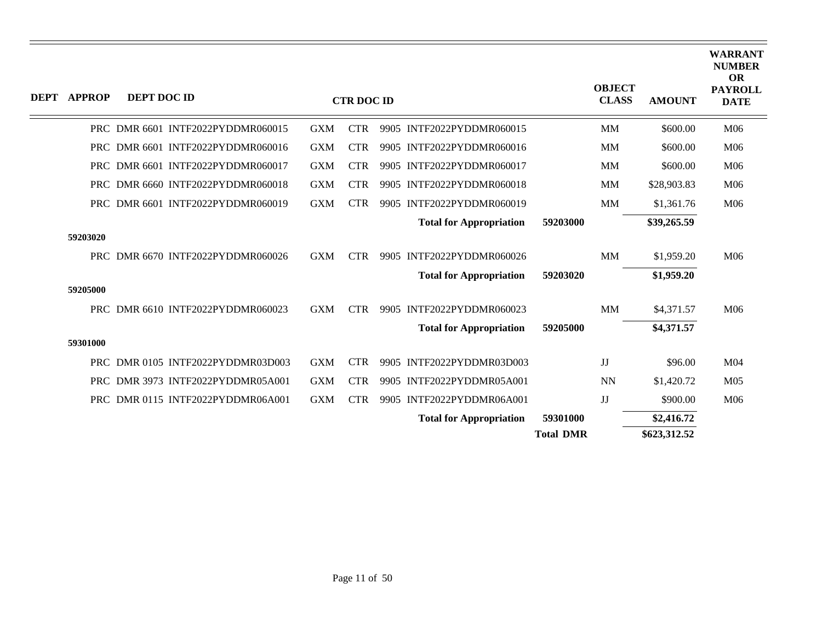| <b>DEPT</b> | <b>APPROP</b> | DEPT DOC ID |                                   |            | <b>CTR DOC ID</b> |                                |                  | <b>OBJECT</b><br><b>CLASS</b> | <b>AMOUNT</b> | <b>WARRANT</b><br><b>NUMBER</b><br><b>OR</b><br><b>PAYROLL</b><br><b>DATE</b> |
|-------------|---------------|-------------|-----------------------------------|------------|-------------------|--------------------------------|------------------|-------------------------------|---------------|-------------------------------------------------------------------------------|
|             |               |             | PRC DMR 6601 INTF2022PYDDMR060015 | <b>GXM</b> | <b>CTR</b>        | 9905 INTF2022PYDDMR060015      |                  | <b>MM</b>                     | \$600.00      | M06                                                                           |
|             |               |             | PRC DMR 6601 INTF2022PYDDMR060016 | <b>GXM</b> | <b>CTR</b>        | 9905 INTF2022PYDDMR060016      |                  | <b>MM</b>                     | \$600.00      | M06                                                                           |
|             |               |             | PRC DMR 6601 INTF2022PYDDMR060017 | <b>GXM</b> | <b>CTR</b>        | 9905 INTF2022PYDDMR060017      |                  | MM                            | \$600.00      | M <sub>06</sub>                                                               |
|             |               |             | PRC DMR 6660 INTF2022PYDDMR060018 | <b>GXM</b> | <b>CTR</b>        | 9905 INTF2022PYDDMR060018      |                  | <b>MM</b>                     | \$28,903.83   | M06                                                                           |
|             |               |             | PRC DMR 6601 INTF2022PYDDMR060019 | <b>GXM</b> | <b>CTR</b>        | 9905 INTF2022PYDDMR060019      |                  | <b>MM</b>                     | \$1,361.76    | M06                                                                           |
|             |               |             |                                   |            |                   | <b>Total for Appropriation</b> | 59203000         |                               | \$39,265.59   |                                                                               |
|             | 59203020      |             |                                   |            |                   |                                |                  |                               |               |                                                                               |
|             |               |             | PRC DMR 6670 INTF2022PYDDMR060026 | <b>GXM</b> | <b>CTR</b>        | 9905 INTF2022PYDDMR060026      |                  | MM                            | \$1,959.20    | M <sub>06</sub>                                                               |
|             |               |             |                                   |            |                   | <b>Total for Appropriation</b> | 59203020         |                               | \$1,959.20    |                                                                               |
|             | 59205000      |             |                                   |            |                   |                                |                  |                               |               |                                                                               |
|             |               |             | PRC DMR 6610 INTF2022PYDDMR060023 | <b>GXM</b> | <b>CTR</b>        | 9905 INTF2022PYDDMR060023      |                  | MM                            | \$4,371.57    | M06                                                                           |
|             |               |             |                                   |            |                   | <b>Total for Appropriation</b> | 59205000         |                               | \$4,371.57    |                                                                               |
|             | 59301000      |             |                                   |            |                   |                                |                  |                               |               |                                                                               |
|             |               |             | PRC DMR 0105 INTF2022PYDDMR03D003 | <b>GXM</b> | <b>CTR</b>        | 9905 INTF2022PYDDMR03D003      |                  | JJ                            | \$96.00       | M <sub>04</sub>                                                               |
|             |               |             | PRC DMR 3973 INTF2022PYDDMR05A001 | <b>GXM</b> | <b>CTR</b>        | 9905 INTF2022PYDDMR05A001      |                  | <b>NN</b>                     | \$1,420.72    | M <sub>05</sub>                                                               |
|             |               |             | PRC DMR 0115 INTF2022PYDDMR06A001 | <b>GXM</b> | <b>CTR</b>        | 9905 INTF2022PYDDMR06A001      |                  | JJ                            | \$900.00      | M06                                                                           |
|             |               |             |                                   |            |                   | <b>Total for Appropriation</b> | 59301000         |                               | \$2,416.72    |                                                                               |
|             |               |             |                                   |            |                   |                                | <b>Total DMR</b> |                               | \$623,312.52  |                                                                               |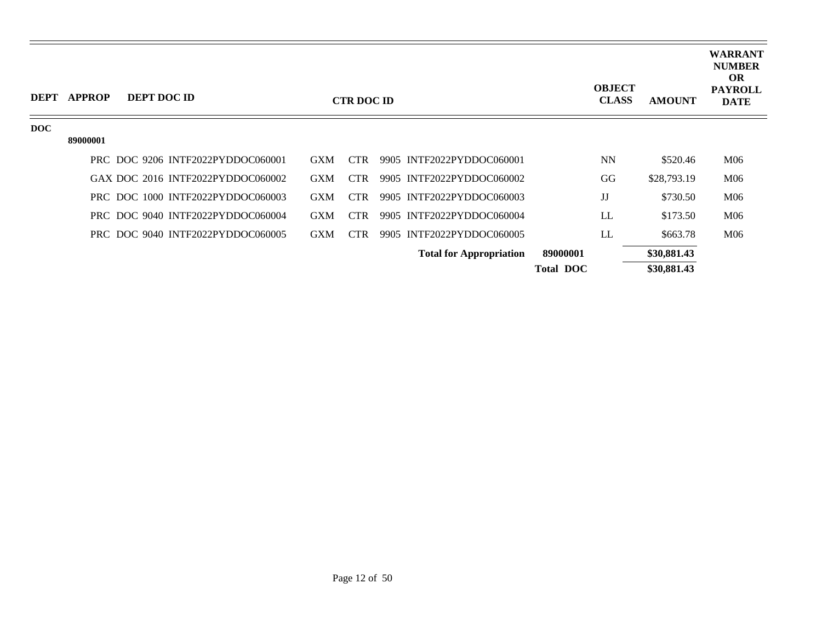| <b>DEPT</b> | <b>APPROP</b> | DEPT DOC ID |                                   |            | <b>CTR DOC ID</b> |                                |                  | <b>OBJECT</b><br><b>CLASS</b> | <b>AMOUNT</b> | <b>WARRANT</b><br><b>NUMBER</b><br><b>OR</b><br><b>PAYROLL</b><br><b>DATE</b> |
|-------------|---------------|-------------|-----------------------------------|------------|-------------------|--------------------------------|------------------|-------------------------------|---------------|-------------------------------------------------------------------------------|
| DOC         |               |             |                                   |            |                   |                                |                  |                               |               |                                                                               |
|             | 89000001      |             |                                   |            |                   |                                |                  |                               |               |                                                                               |
|             |               |             | PRC DOC 9206 INTF2022PYDDOC060001 | <b>GXM</b> | <b>CTR</b>        | 9905 INTF2022PYDDOC060001      |                  | <b>NN</b>                     | \$520.46      | M06                                                                           |
|             |               |             | GAX DOC 2016 INTF2022PYDDOC060002 | <b>GXM</b> | <b>CTR</b>        | 9905 INTF2022PYDDOC060002      |                  | GG                            | \$28,793.19   | M06                                                                           |
|             |               |             | PRC DOC 1000 INTF2022PYDDOC060003 | <b>GXM</b> | CTR.              | 9905 INTF2022PYDDOC060003      |                  | JJ                            | \$730.50      | M06                                                                           |
|             |               |             | PRC DOC 9040 INTF2022PYDDOC060004 | <b>GXM</b> | CTR.              | 9905 INTF2022PYDDOC060004      |                  | LL                            | \$173.50      | M06                                                                           |
|             |               |             | PRC DOC 9040 INTF2022PYDDOC060005 | <b>GXM</b> | <b>CTR</b>        | 9905 INTF2022PYDDOC060005      |                  | LL                            | \$663.78      | M06                                                                           |
|             |               |             |                                   |            |                   | <b>Total for Appropriation</b> | 89000001         |                               | \$30,881.43   |                                                                               |
|             |               |             |                                   |            |                   |                                | <b>Total DOC</b> |                               | \$30,881.43   |                                                                               |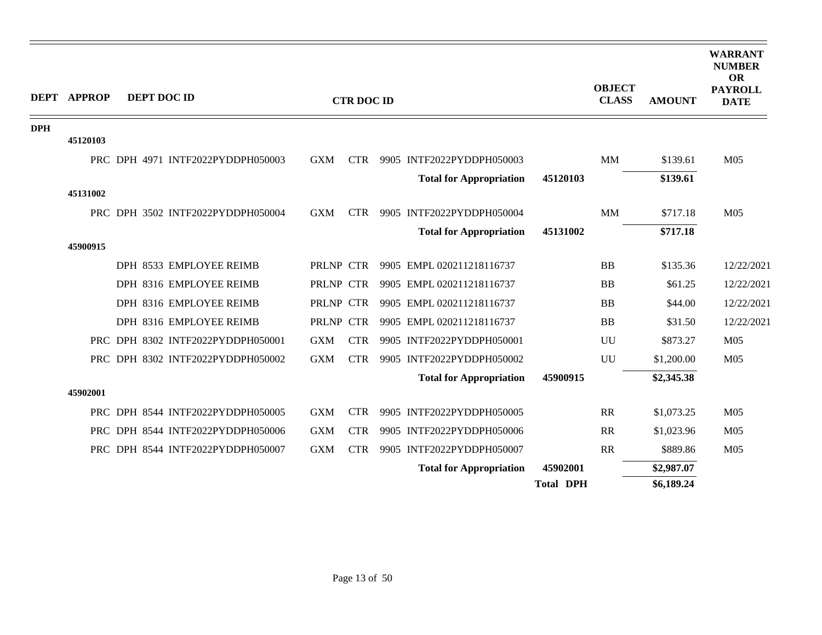|            | <b>DEPT APPROP</b> | DEPT DOC ID |                                   |            | <b>CTR DOC ID</b> |                                |                  | <b>OBJECT</b><br><b>CLASS</b> | <b>AMOUNT</b> | <b>WARRANT</b><br><b>NUMBER</b><br><b>OR</b><br><b>PAYROLL</b><br><b>DATE</b> |
|------------|--------------------|-------------|-----------------------------------|------------|-------------------|--------------------------------|------------------|-------------------------------|---------------|-------------------------------------------------------------------------------|
| <b>DPH</b> |                    |             |                                   |            |                   |                                |                  |                               |               |                                                                               |
|            | 45120103           |             |                                   |            |                   |                                |                  |                               |               |                                                                               |
|            |                    |             | PRC DPH 4971 INTF2022PYDDPH050003 | <b>GXM</b> | <b>CTR</b>        | 9905 INTF2022PYDDPH050003      |                  | <b>MM</b>                     | \$139.61      | M <sub>05</sub>                                                               |
|            |                    |             |                                   |            |                   | <b>Total for Appropriation</b> | 45120103         |                               | \$139.61      |                                                                               |
|            | 45131002           |             |                                   |            |                   |                                |                  |                               |               |                                                                               |
|            |                    |             | PRC DPH 3502 INTF2022PYDDPH050004 | <b>GXM</b> | <b>CTR</b>        | 9905 INTF2022PYDDPH050004      |                  | <b>MM</b>                     | \$717.18      | M <sub>05</sub>                                                               |
|            |                    |             |                                   |            |                   | <b>Total for Appropriation</b> | 45131002         |                               | \$717.18      |                                                                               |
|            | 45900915           |             |                                   |            |                   |                                |                  |                               |               |                                                                               |
|            |                    |             | DPH 8533 EMPLOYEE REIMB           | PRLNP CTR  |                   | 9905 EMPL 020211218116737      |                  | <b>BB</b>                     | \$135.36      | 12/22/2021                                                                    |
|            |                    |             | DPH 8316 EMPLOYEE REIMB           | PRLNP CTR  |                   | 9905 EMPL 020211218116737      |                  | <b>BB</b>                     | \$61.25       | 12/22/2021                                                                    |
|            |                    |             | DPH 8316 EMPLOYEE REIMB           | PRLNP CTR  |                   | 9905 EMPL 020211218116737      |                  | <b>BB</b>                     | \$44.00       | 12/22/2021                                                                    |
|            |                    |             | DPH 8316 EMPLOYEE REIMB           | PRLNP CTR  |                   | 9905 EMPL 020211218116737      |                  | <b>BB</b>                     | \$31.50       | 12/22/2021                                                                    |
|            |                    |             | PRC DPH 8302 INTF2022PYDDPH050001 | <b>GXM</b> | <b>CTR</b>        | 9905 INTF2022PYDDPH050001      |                  | UU                            | \$873.27      | M <sub>05</sub>                                                               |
|            |                    |             | PRC DPH 8302 INTF2022PYDDPH050002 | <b>GXM</b> | <b>CTR</b>        | 9905 INTF2022PYDDPH050002      |                  | UU                            | \$1,200.00    | M <sub>05</sub>                                                               |
|            |                    |             |                                   |            |                   | <b>Total for Appropriation</b> | 45900915         |                               | \$2,345.38    |                                                                               |
|            | 45902001           |             |                                   |            |                   |                                |                  |                               |               |                                                                               |
|            |                    |             | PRC DPH 8544 INTF2022PYDDPH050005 | <b>GXM</b> | <b>CTR</b>        | 9905 INTF2022PYDDPH050005      |                  | RR                            | \$1,073.25    | M <sub>05</sub>                                                               |
|            |                    |             | PRC DPH 8544 INTF2022PYDDPH050006 | <b>GXM</b> | <b>CTR</b>        | 9905 INTF2022PYDDPH050006      |                  | RR                            | \$1,023.96    | M <sub>05</sub>                                                               |
|            |                    |             | PRC DPH 8544 INTF2022PYDDPH050007 | <b>GXM</b> | <b>CTR</b>        | 9905 INTF2022PYDDPH050007      |                  | <b>RR</b>                     | \$889.86      | M <sub>05</sub>                                                               |
|            |                    |             |                                   |            |                   | <b>Total for Appropriation</b> | 45902001         |                               | \$2,987.07    |                                                                               |
|            |                    |             |                                   |            |                   |                                | <b>Total DPH</b> |                               | \$6,189.24    |                                                                               |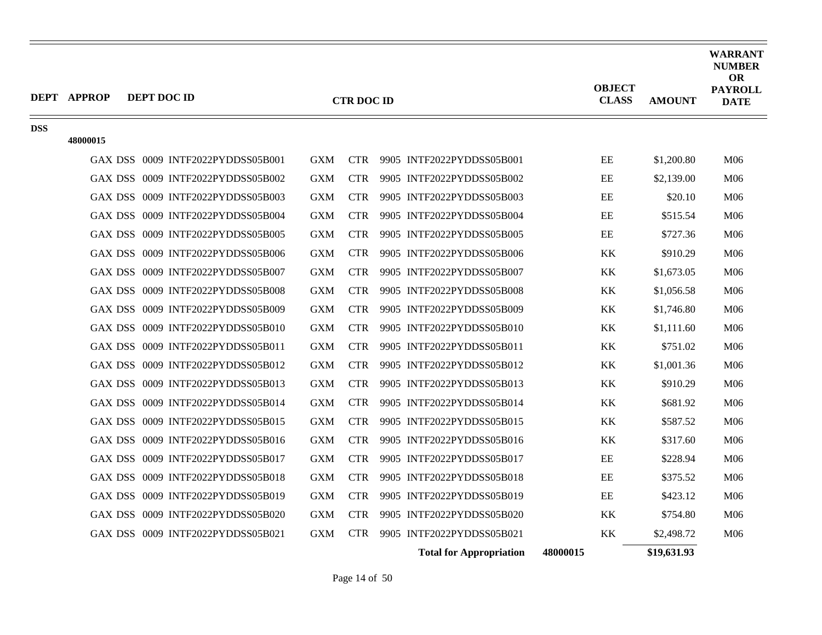|            | <b>DEPT APPROP</b><br>DEPT DOC ID |                                   |            | <b>CTR DOC ID</b> |                                | <b>OBJECT</b><br><b>CLASS</b> | <b>AMOUNT</b> | WARRANT<br><b>NUMBER</b><br><b>OR</b><br><b>PAYROLL</b><br><b>DATE</b> |
|------------|-----------------------------------|-----------------------------------|------------|-------------------|--------------------------------|-------------------------------|---------------|------------------------------------------------------------------------|
| <b>DSS</b> | 48000015                          |                                   |            |                   |                                |                               |               |                                                                        |
|            |                                   | GAX DSS 0009 INTF2022PYDDSS05B001 | <b>GXM</b> | <b>CTR</b>        | 9905 INTF2022PYDDSS05B001      | $\rm EE$                      | \$1,200.80    | M06                                                                    |
|            |                                   | GAX DSS 0009 INTF2022PYDDSS05B002 | <b>GXM</b> | <b>CTR</b>        | 9905 INTF2022PYDDSS05B002      | EE                            | \$2,139.00    | M06                                                                    |
|            |                                   | GAX DSS 0009 INTF2022PYDDSS05B003 | <b>GXM</b> | <b>CTR</b>        | 9905 INTF2022PYDDSS05B003      | EE                            | \$20.10       | M06                                                                    |
|            |                                   | GAX DSS 0009 INTF2022PYDDSS05B004 | <b>GXM</b> | <b>CTR</b>        | 9905 INTF2022PYDDSS05B004      | EE                            | \$515.54      | M06                                                                    |
|            |                                   | GAX DSS 0009 INTF2022PYDDSS05B005 | <b>GXM</b> | <b>CTR</b>        | 9905 INTF2022PYDDSS05B005      | EE                            | \$727.36      | M06                                                                    |
|            |                                   | GAX DSS 0009 INTF2022PYDDSS05B006 | <b>GXM</b> | <b>CTR</b>        | 9905 INTF2022PYDDSS05B006      | <b>KK</b>                     | \$910.29      | M06                                                                    |
|            |                                   | GAX DSS 0009 INTF2022PYDDSS05B007 | <b>GXM</b> | <b>CTR</b>        | 9905 INTF2022PYDDSS05B007      | KK                            | \$1,673.05    | M06                                                                    |
|            |                                   | GAX DSS 0009 INTF2022PYDDSS05B008 | <b>GXM</b> | <b>CTR</b>        | 9905 INTF2022PYDDSS05B008      | KK                            | \$1,056.58    | M06                                                                    |
|            |                                   | GAX DSS 0009 INTF2022PYDDSS05B009 | <b>GXM</b> | <b>CTR</b>        | 9905 INTF2022PYDDSS05B009      | KK                            | \$1,746.80    | M06                                                                    |
|            |                                   | GAX DSS 0009 INTF2022PYDDSS05B010 | <b>GXM</b> | <b>CTR</b>        | 9905 INTF2022PYDDSS05B010      | KK                            | \$1,111.60    | M06                                                                    |
|            |                                   | GAX DSS 0009 INTF2022PYDDSS05B011 | <b>GXM</b> | <b>CTR</b>        | 9905 INTF2022PYDDSS05B011      | KK                            | \$751.02      | M06                                                                    |
|            |                                   | GAX DSS 0009 INTF2022PYDDSS05B012 | <b>GXM</b> | <b>CTR</b>        | 9905 INTF2022PYDDSS05B012      | <b>KK</b>                     | \$1,001.36    | M06                                                                    |
|            |                                   | GAX DSS 0009 INTF2022PYDDSS05B013 | <b>GXM</b> | <b>CTR</b>        | 9905 INTF2022PYDDSS05B013      | <b>KK</b>                     | \$910.29      | M06                                                                    |
|            |                                   | GAX DSS 0009 INTF2022PYDDSS05B014 | <b>GXM</b> | <b>CTR</b>        | 9905 INTF2022PYDDSS05B014      | KK                            | \$681.92      | M06                                                                    |
|            |                                   | GAX DSS 0009 INTF2022PYDDSS05B015 | <b>GXM</b> | <b>CTR</b>        | 9905 INTF2022PYDDSS05B015      | KK                            | \$587.52      | M06                                                                    |
|            |                                   | GAX DSS 0009 INTF2022PYDDSS05B016 | <b>GXM</b> | <b>CTR</b>        | 9905 INTF2022PYDDSS05B016      | KK                            | \$317.60      | M06                                                                    |
|            |                                   | GAX DSS 0009 INTF2022PYDDSS05B017 | <b>GXM</b> | <b>CTR</b>        | 9905 INTF2022PYDDSS05B017      | EE                            | \$228.94      | M06                                                                    |
|            |                                   | GAX DSS 0009 INTF2022PYDDSS05B018 | <b>GXM</b> | <b>CTR</b>        | 9905 INTF2022PYDDSS05B018      | EE                            | \$375.52      | M06                                                                    |
|            |                                   | GAX DSS 0009 INTF2022PYDDSS05B019 | <b>GXM</b> | <b>CTR</b>        | 9905 INTF2022PYDDSS05B019      | EE                            | \$423.12      | M06                                                                    |
|            |                                   | GAX DSS 0009 INTF2022PYDDSS05B020 | <b>GXM</b> | <b>CTR</b>        | 9905 INTF2022PYDDSS05B020      | KK                            | \$754.80      | M06                                                                    |
|            |                                   | GAX DSS 0009 INTF2022PYDDSS05B021 | <b>GXM</b> | <b>CTR</b>        | 9905 INTF2022PYDDSS05B021      | <b>KK</b>                     | \$2,498.72    | M06                                                                    |
|            |                                   |                                   |            |                   | <b>Total for Appropriation</b> | 48000015                      | \$19,631.93   |                                                                        |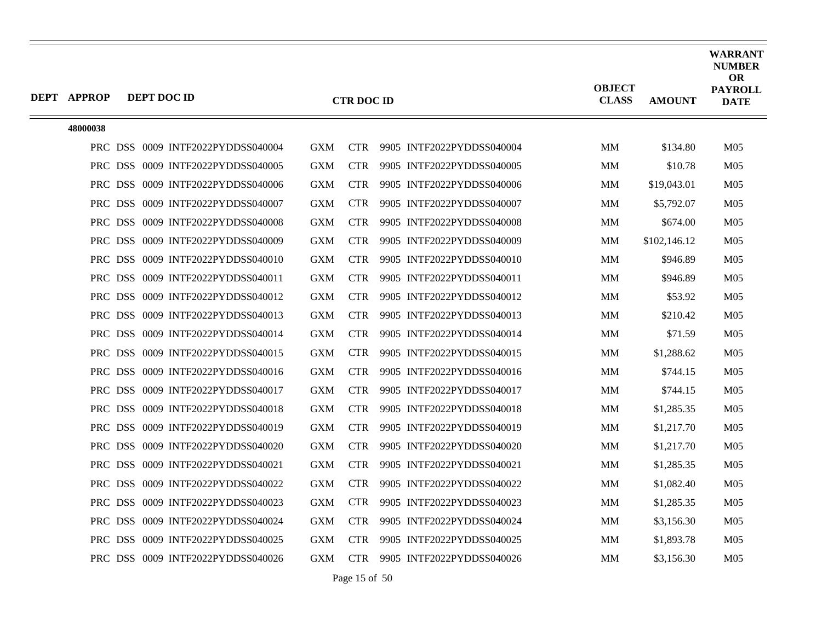| <b>DEPT APPROP</b> | DEPT DOC ID                       |            | <b>CTR DOC ID</b> |                           | <b>OBJECT</b><br><b>CLASS</b> | <b>AMOUNT</b> | <b>WARRANT</b><br><b>NUMBER</b><br><b>OR</b><br><b>PAYROLL</b><br><b>DATE</b> |
|--------------------|-----------------------------------|------------|-------------------|---------------------------|-------------------------------|---------------|-------------------------------------------------------------------------------|
|                    |                                   |            |                   |                           |                               |               |                                                                               |
| 48000038           |                                   |            |                   |                           |                               |               |                                                                               |
|                    | PRC DSS 0009 INTF2022PYDDSS040004 | <b>GXM</b> | <b>CTR</b>        | 9905 INTF2022PYDDSS040004 | <b>MM</b>                     | \$134.80      | M <sub>05</sub>                                                               |
|                    | PRC DSS 0009 INTF2022PYDDSS040005 | GXM        | <b>CTR</b>        | 9905 INTF2022PYDDSS040005 | MM                            | \$10.78       | M <sub>05</sub>                                                               |
|                    | PRC DSS 0009 INTF2022PYDDSS040006 | <b>GXM</b> | <b>CTR</b>        | 9905 INTF2022PYDDSS040006 | МM                            | \$19,043.01   | M <sub>05</sub>                                                               |
|                    | PRC DSS 0009 INTF2022PYDDSS040007 | <b>GXM</b> | <b>CTR</b>        | 9905 INTF2022PYDDSS040007 | MМ                            | \$5,792.07    | M <sub>05</sub>                                                               |
|                    | PRC DSS 0009 INTF2022PYDDSS040008 | <b>GXM</b> | <b>CTR</b>        | 9905 INTF2022PYDDSS040008 | MM                            | \$674.00      | M <sub>05</sub>                                                               |
|                    | PRC DSS 0009 INTF2022PYDDSS040009 | <b>GXM</b> | <b>CTR</b>        | 9905 INTF2022PYDDSS040009 | MM                            | \$102,146.12  | M <sub>05</sub>                                                               |
|                    | PRC DSS 0009 INTF2022PYDDSS040010 | <b>GXM</b> | <b>CTR</b>        | 9905 INTF2022PYDDSS040010 | MМ                            | \$946.89      | M <sub>05</sub>                                                               |
|                    | PRC DSS 0009 INTF2022PYDDSS040011 | <b>GXM</b> | <b>CTR</b>        | 9905 INTF2022PYDDSS040011 | MМ                            | \$946.89      | M <sub>05</sub>                                                               |
|                    | PRC DSS 0009 INTF2022PYDDSS040012 | <b>GXM</b> | <b>CTR</b>        | 9905 INTF2022PYDDSS040012 | <b>MM</b>                     | \$53.92       | M <sub>05</sub>                                                               |
|                    | PRC DSS 0009 INTF2022PYDDSS040013 | <b>GXM</b> | <b>CTR</b>        | 9905 INTF2022PYDDSS040013 | MМ                            | \$210.42      | M <sub>05</sub>                                                               |
|                    | PRC DSS 0009 INTF2022PYDDSS040014 | <b>GXM</b> | <b>CTR</b>        | 9905 INTF2022PYDDSS040014 | MM                            | \$71.59       | M <sub>05</sub>                                                               |
|                    | PRC DSS 0009 INTF2022PYDDSS040015 | <b>GXM</b> | <b>CTR</b>        | 9905 INTF2022PYDDSS040015 | <b>MM</b>                     | \$1,288.62    | M <sub>05</sub>                                                               |
|                    | PRC DSS 0009 INTF2022PYDDSS040016 | <b>GXM</b> | <b>CTR</b>        | 9905 INTF2022PYDDSS040016 | <b>MM</b>                     | \$744.15      | M <sub>05</sub>                                                               |
|                    | PRC DSS 0009 INTF2022PYDDSS040017 | <b>GXM</b> | <b>CTR</b>        | 9905 INTF2022PYDDSS040017 | MM                            | \$744.15      | M <sub>05</sub>                                                               |
|                    | PRC DSS 0009 INTF2022PYDDSS040018 | <b>GXM</b> | <b>CTR</b>        | 9905 INTF2022PYDDSS040018 | MM                            | \$1,285.35    | M <sub>05</sub>                                                               |
|                    | PRC DSS 0009 INTF2022PYDDSS040019 | <b>GXM</b> | <b>CTR</b>        | 9905 INTF2022PYDDSS040019 | MМ                            | \$1,217.70    | M <sub>05</sub>                                                               |
|                    | PRC DSS 0009 INTF2022PYDDSS040020 | <b>GXM</b> | <b>CTR</b>        | 9905 INTF2022PYDDSS040020 | <b>MM</b>                     | \$1,217.70    | M <sub>05</sub>                                                               |
|                    | PRC DSS 0009 INTF2022PYDDSS040021 | <b>GXM</b> | <b>CTR</b>        | 9905 INTF2022PYDDSS040021 | MM                            | \$1,285.35    | M <sub>05</sub>                                                               |
|                    | PRC DSS 0009 INTF2022PYDDSS040022 | <b>GXM</b> | <b>CTR</b>        | 9905 INTF2022PYDDSS040022 | MМ                            | \$1,082.40    | M <sub>05</sub>                                                               |
|                    | PRC DSS 0009 INTF2022PYDDSS040023 | <b>GXM</b> | <b>CTR</b>        | 9905 INTF2022PYDDSS040023 | MМ                            | \$1,285.35    | M <sub>05</sub>                                                               |
|                    | PRC DSS 0009 INTF2022PYDDSS040024 | <b>GXM</b> | <b>CTR</b>        | 9905 INTF2022PYDDSS040024 | <b>MM</b>                     | \$3,156.30    | M <sub>05</sub>                                                               |
|                    | PRC DSS 0009 INTF2022PYDDSS040025 | GXM        | <b>CTR</b>        | 9905 INTF2022PYDDSS040025 | MM                            | \$1,893.78    | M <sub>05</sub>                                                               |
|                    | PRC DSS 0009 INTF2022PYDDSS040026 | <b>GXM</b> | <b>CTR</b>        | 9905 INTF2022PYDDSS040026 | MM                            | \$3,156.30    | M <sub>05</sub>                                                               |

Page 15 of 50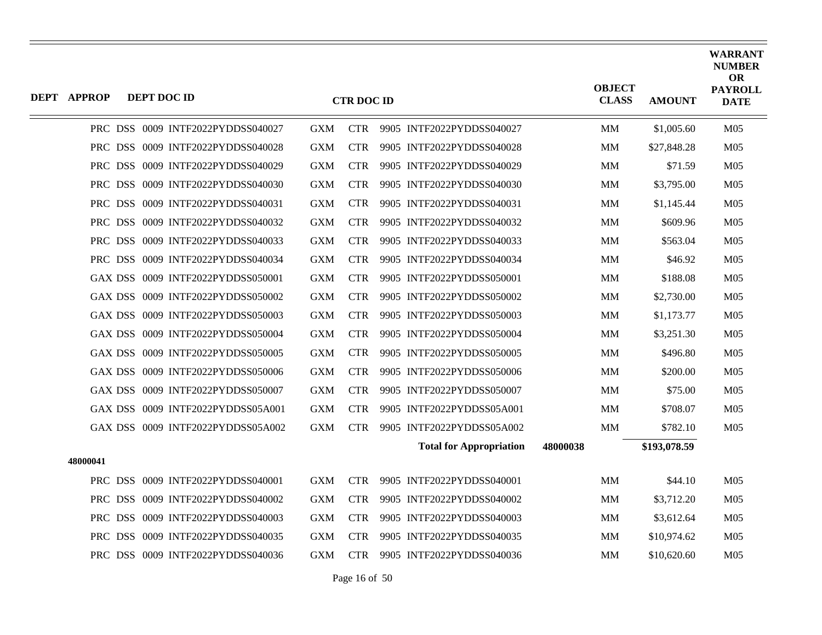| <b>DEPT APPROP</b> | DEPT DOC ID |                                   |            | <b>CTR DOC ID</b> |                                |          | <b>OBJECT</b><br><b>CLASS</b> | <b>AMOUNT</b> | <b>WARRANT</b><br><b>NUMBER</b><br><b>OR</b><br><b>PAYROLL</b><br><b>DATE</b> |
|--------------------|-------------|-----------------------------------|------------|-------------------|--------------------------------|----------|-------------------------------|---------------|-------------------------------------------------------------------------------|
|                    |             | PRC DSS 0009 INTF2022PYDDSS040027 | <b>GXM</b> | <b>CTR</b>        | 9905 INTF2022PYDDSS040027      |          | <b>MM</b>                     | \$1,005.60    | M <sub>05</sub>                                                               |
|                    |             | PRC DSS 0009 INTF2022PYDDSS040028 | <b>GXM</b> | <b>CTR</b>        | 9905 INTF2022PYDDSS040028      |          | <b>MM</b>                     | \$27,848.28   | M <sub>05</sub>                                                               |
|                    |             | PRC DSS 0009 INTF2022PYDDSS040029 | <b>GXM</b> | <b>CTR</b>        | 9905 INTF2022PYDDSS040029      |          | MM                            | \$71.59       | M <sub>05</sub>                                                               |
|                    |             | PRC DSS 0009 INTF2022PYDDSS040030 | <b>GXM</b> | <b>CTR</b>        | 9905 INTF2022PYDDSS040030      |          | MМ                            | \$3,795.00    | M <sub>05</sub>                                                               |
|                    |             | PRC DSS 0009 INTF2022PYDDSS040031 | <b>GXM</b> | <b>CTR</b>        | 9905 INTF2022PYDDSS040031      |          | MM                            | \$1,145.44    | M <sub>05</sub>                                                               |
|                    |             | PRC DSS 0009 INTF2022PYDDSS040032 | <b>GXM</b> | <b>CTR</b>        | 9905 INTF2022PYDDSS040032      |          | <b>MM</b>                     | \$609.96      | M <sub>05</sub>                                                               |
|                    |             | PRC DSS 0009 INTF2022PYDDSS040033 | <b>GXM</b> | CTR.              | 9905 INTF2022PYDDSS040033      |          | <b>MM</b>                     | \$563.04      | M <sub>05</sub>                                                               |
|                    |             | PRC DSS 0009 INTF2022PYDDSS040034 | <b>GXM</b> | <b>CTR</b>        | 9905 INTF2022PYDDSS040034      |          | MМ                            | \$46.92       | M <sub>05</sub>                                                               |
|                    |             | GAX DSS 0009 INTF2022PYDDSS050001 | <b>GXM</b> | <b>CTR</b>        | 9905 INTF2022PYDDSS050001      |          | <b>MM</b>                     | \$188.08      | M <sub>05</sub>                                                               |
|                    |             | GAX DSS 0009 INTF2022PYDDSS050002 | <b>GXM</b> | <b>CTR</b>        | 9905 INTF2022PYDDSS050002      |          | <b>MM</b>                     | \$2,730.00    | M <sub>05</sub>                                                               |
|                    |             | GAX DSS 0009 INTF2022PYDDSS050003 | <b>GXM</b> | <b>CTR</b>        | 9905 INTF2022PYDDSS050003      |          | MМ                            | \$1,173.77    | M <sub>05</sub>                                                               |
|                    |             | GAX DSS 0009 INTF2022PYDDSS050004 | <b>GXM</b> | <b>CTR</b>        | 9905 INTF2022PYDDSS050004      |          | <b>MM</b>                     | \$3,251.30    | M <sub>05</sub>                                                               |
|                    |             | GAX DSS 0009 INTF2022PYDDSS050005 | <b>GXM</b> | <b>CTR</b>        | 9905 INTF2022PYDDSS050005      |          | <b>MM</b>                     | \$496.80      | M <sub>05</sub>                                                               |
|                    |             | GAX DSS 0009 INTF2022PYDDSS050006 | <b>GXM</b> | <b>CTR</b>        | 9905 INTF2022PYDDSS050006      |          | MМ                            | \$200.00      | M <sub>05</sub>                                                               |
|                    |             | GAX DSS 0009 INTF2022PYDDSS050007 | <b>GXM</b> | <b>CTR</b>        | 9905 INTF2022PYDDSS050007      |          | <b>MM</b>                     | \$75.00       | M <sub>05</sub>                                                               |
|                    |             | GAX DSS 0009 INTF2022PYDDSS05A001 | <b>GXM</b> | <b>CTR</b>        | 9905 INTF2022PYDDSS05A001      |          | MM                            | \$708.07      | M <sub>05</sub>                                                               |
|                    |             | GAX DSS 0009 INTF2022PYDDSS05A002 | <b>GXM</b> | <b>CTR</b>        | 9905 INTF2022PYDDSS05A002      |          | <b>MM</b>                     | \$782.10      | M <sub>05</sub>                                                               |
|                    |             |                                   |            |                   | <b>Total for Appropriation</b> | 48000038 |                               | \$193,078.59  |                                                                               |
| 48000041           |             |                                   |            |                   |                                |          |                               |               |                                                                               |
|                    |             | PRC DSS 0009 INTF2022PYDDSS040001 | <b>GXM</b> | <b>CTR</b>        | 9905 INTF2022PYDDSS040001      |          | MM                            | \$44.10       | M <sub>05</sub>                                                               |
|                    |             | PRC DSS 0009 INTF2022PYDDSS040002 | <b>GXM</b> | <b>CTR</b>        | 9905 INTF2022PYDDSS040002      |          | MM                            | \$3,712.20    | M <sub>05</sub>                                                               |
|                    |             | PRC DSS 0009 INTF2022PYDDSS040003 | <b>GXM</b> | <b>CTR</b>        | 9905 INTF2022PYDDSS040003      |          | <b>MM</b>                     | \$3,612.64    | M <sub>05</sub>                                                               |
|                    |             | PRC DSS 0009 INTF2022PYDDSS040035 | <b>GXM</b> | <b>CTR</b>        | 9905 INTF2022PYDDSS040035      |          | MM                            | \$10,974.62   | M <sub>05</sub>                                                               |
|                    |             | PRC DSS 0009 INTF2022PYDDSS040036 | GXM        | <b>CTR</b>        | 9905 INTF2022PYDDSS040036      |          | MМ                            | \$10,620.60   | M <sub>05</sub>                                                               |

Page 16 of 50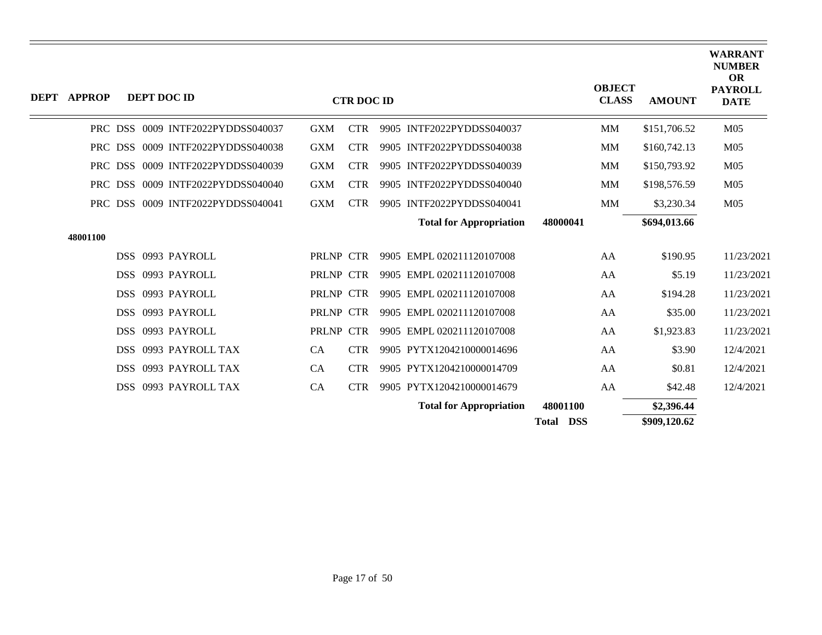| DEPT APPROP |  | <b>DEPT DOC ID</b>                |              | <b>CTR DOC ID</b> |                                |                  | <b>OBJECT</b><br><b>CLASS</b> | <b>AMOUNT</b> | <b>WARRANT</b><br><b>NUMBER</b><br>OR<br><b>PAYROLL</b><br><b>DATE</b> |
|-------------|--|-----------------------------------|--------------|-------------------|--------------------------------|------------------|-------------------------------|---------------|------------------------------------------------------------------------|
|             |  | PRC DSS 0009 INTF2022PYDDSS040037 | <b>GXM</b>   | <b>CTR</b>        | 9905 INTF2022PYDDSS040037      |                  | <b>MM</b>                     | \$151,706.52  | M <sub>05</sub>                                                        |
|             |  | PRC DSS 0009 INTF2022PYDDSS040038 | <b>GXM</b>   | <b>CTR</b>        | 9905 INTF2022PYDDSS040038      |                  | MM                            | \$160,742.13  | M <sub>05</sub>                                                        |
|             |  | PRC DSS 0009 INTF2022PYDDSS040039 | <b>GXM</b>   | <b>CTR</b>        | 9905 INTF2022PYDDSS040039      |                  | MM                            | \$150,793.92  | M <sub>05</sub>                                                        |
|             |  | PRC DSS 0009 INTF2022PYDDSS040040 | <b>GXM</b>   | <b>CTR</b>        | 9905 INTF2022PYDDSS040040      |                  | MM                            | \$198,576.59  | M <sub>05</sub>                                                        |
|             |  | PRC DSS 0009 INTF2022PYDDSS040041 | <b>GXM</b>   | <b>CTR</b>        | 9905 INTF2022PYDDSS040041      |                  | MM                            | \$3,230.34    | M <sub>05</sub>                                                        |
|             |  |                                   |              |                   | <b>Total for Appropriation</b> | 48000041         |                               | \$694,013.66  |                                                                        |
| 48001100    |  |                                   |              |                   |                                |                  |                               |               |                                                                        |
|             |  | DSS 0993 PAYROLL                  | PRLNP CTR    |                   | 9905 EMPL 020211120107008      |                  | AA                            | \$190.95      | 11/23/2021                                                             |
|             |  | DSS 0993 PAYROLL                  | PRLNP CTR    |                   | 9905 EMPL 020211120107008      |                  | AA                            | \$5.19        | 11/23/2021                                                             |
|             |  | DSS 0993 PAYROLL                  | PRLNP CTR    |                   | 9905 EMPL 020211120107008      |                  | AA                            | \$194.28      | 11/23/2021                                                             |
|             |  | DSS 0993 PAYROLL                  | PRLNP CTR    |                   | 9905 EMPL 020211120107008      |                  | AA                            | \$35.00       | 11/23/2021                                                             |
|             |  | DSS 0993 PAYROLL                  | <b>PRLNP</b> | <b>CTR</b>        | 9905 EMPL 020211120107008      |                  | AA                            | \$1,923.83    | 11/23/2021                                                             |
|             |  | DSS 0993 PAYROLL TAX              | CA           | <b>CTR</b>        | 9905 PYTX1204210000014696      |                  | AA                            | \$3.90        | 12/4/2021                                                              |
|             |  | DSS 0993 PAYROLL TAX              | <b>CA</b>    | <b>CTR</b>        | 9905 PYTX1204210000014709      |                  | AA                            | \$0.81        | 12/4/2021                                                              |
|             |  | DSS 0993 PAYROLL TAX              | CA           | <b>CTR</b>        | 9905 PYTX1204210000014679      |                  | AA                            | \$42.48       | 12/4/2021                                                              |
|             |  |                                   |              |                   | <b>Total for Appropriation</b> | 48001100         |                               | \$2,396.44    |                                                                        |
|             |  |                                   |              |                   |                                | <b>Total DSS</b> |                               | \$909,120.62  |                                                                        |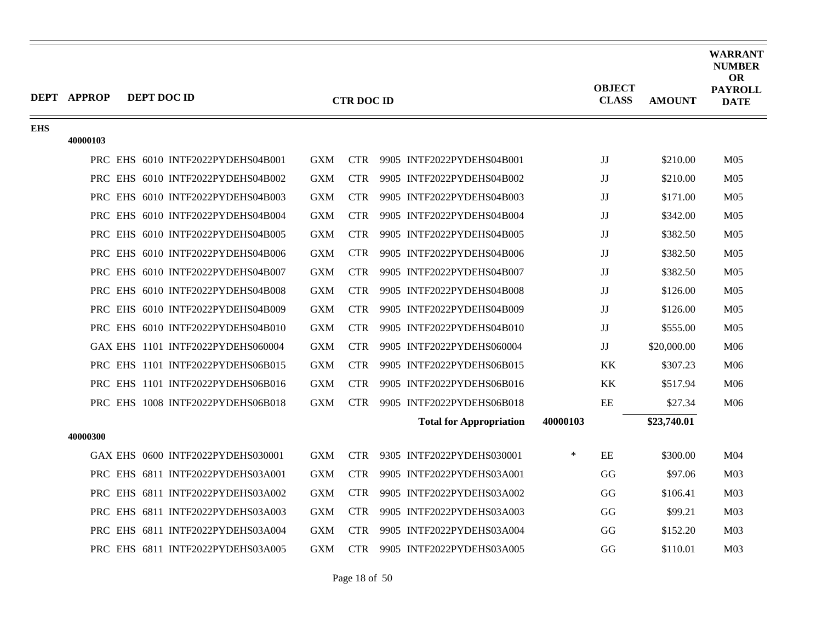|            | DEPT APPROP | DEPT DOC ID |                                   |            | <b>CTR DOC ID</b> |                                |          | <b>OBJECT</b><br><b>CLASS</b> | <b>AMOUNT</b> | <b>WARRANT</b><br><b>NUMBER</b><br><b>OR</b><br><b>PAYROLL</b><br><b>DATE</b> |
|------------|-------------|-------------|-----------------------------------|------------|-------------------|--------------------------------|----------|-------------------------------|---------------|-------------------------------------------------------------------------------|
| <b>EHS</b> |             |             |                                   |            |                   |                                |          |                               |               |                                                                               |
|            | 40000103    |             |                                   |            |                   |                                |          |                               |               |                                                                               |
|            |             |             | PRC EHS 6010 INTF2022PYDEHS04B001 | <b>GXM</b> |                   | CTR 9905 INTF2022PYDEHS04B001  |          | JJ                            | \$210.00      | M <sub>05</sub>                                                               |
|            |             |             | PRC EHS 6010 INTF2022PYDEHS04B002 | <b>GXM</b> | <b>CTR</b>        | 9905 INTF2022PYDEHS04B002      |          | JJ                            | \$210.00      | M <sub>05</sub>                                                               |
|            |             |             | PRC EHS 6010 INTF2022PYDEHS04B003 | <b>GXM</b> | <b>CTR</b>        | 9905 INTF2022PYDEHS04B003      |          | JJ                            | \$171.00      | M <sub>05</sub>                                                               |
|            |             |             | PRC EHS 6010 INTF2022PYDEHS04B004 | <b>GXM</b> | <b>CTR</b>        | 9905 INTF2022PYDEHS04B004      |          | JJ                            | \$342.00      | M <sub>05</sub>                                                               |
|            |             |             | PRC EHS 6010 INTF2022PYDEHS04B005 | <b>GXM</b> | <b>CTR</b>        | 9905 INTF2022PYDEHS04B005      |          | JJ                            | \$382.50      | M <sub>05</sub>                                                               |
|            |             |             | PRC EHS 6010 INTF2022PYDEHS04B006 | <b>GXM</b> | <b>CTR</b>        | 9905 INTF2022PYDEHS04B006      |          | JJ                            | \$382.50      | M <sub>05</sub>                                                               |
|            |             |             | PRC EHS 6010 INTF2022PYDEHS04B007 | <b>GXM</b> | <b>CTR</b>        | 9905 INTF2022PYDEHS04B007      |          | JJ                            | \$382.50      | M <sub>05</sub>                                                               |
|            |             |             | PRC EHS 6010 INTF2022PYDEHS04B008 | <b>GXM</b> | <b>CTR</b>        | 9905 INTF2022PYDEHS04B008      |          | JJ                            | \$126.00      | M <sub>05</sub>                                                               |
|            |             |             | PRC EHS 6010 INTF2022PYDEHS04B009 | <b>GXM</b> | <b>CTR</b>        | 9905 INTF2022PYDEHS04B009      |          | JJ                            | \$126.00      | M <sub>05</sub>                                                               |
|            |             |             | PRC EHS 6010 INTF2022PYDEHS04B010 | <b>GXM</b> | <b>CTR</b>        | 9905 INTF2022PYDEHS04B010      |          | $\mathbf{J}\mathbf{J}$        | \$555.00      | M <sub>05</sub>                                                               |
|            |             |             | GAX EHS 1101 INTF2022PYDEHS060004 | <b>GXM</b> | <b>CTR</b>        | 9905 INTF2022PYDEHS060004      |          | JJ                            | \$20,000.00   | M06                                                                           |
|            |             |             | PRC EHS 1101 INTF2022PYDEHS06B015 | <b>GXM</b> | <b>CTR</b>        | 9905 INTF2022PYDEHS06B015      |          | KK                            | \$307.23      | M06                                                                           |
|            |             |             | PRC EHS 1101 INTF2022PYDEHS06B016 | <b>GXM</b> | <b>CTR</b>        | 9905 INTF2022PYDEHS06B016      |          | KK                            | \$517.94      | M06                                                                           |
|            |             |             | PRC EHS 1008 INTF2022PYDEHS06B018 | <b>GXM</b> |                   | CTR 9905 INTF2022PYDEHS06B018  |          | EE                            | \$27.34       | M06                                                                           |
|            |             |             |                                   |            |                   | <b>Total for Appropriation</b> | 40000103 |                               | \$23,740.01   |                                                                               |
|            | 40000300    |             |                                   |            |                   |                                |          |                               |               |                                                                               |
|            |             |             | GAX EHS 0600 INTF2022PYDEHS030001 | <b>GXM</b> | <b>CTR</b>        | 9305 INTF2022PYDEHS030001      | ∗        | EE                            | \$300.00      | M <sub>04</sub>                                                               |
|            |             |             | PRC EHS 6811 INTF2022PYDEHS03A001 | <b>GXM</b> | <b>CTR</b>        | 9905 INTF2022PYDEHS03A001      |          | GG                            | \$97.06       | M03                                                                           |
|            |             |             | PRC EHS 6811 INTF2022PYDEHS03A002 | <b>GXM</b> | <b>CTR</b>        | 9905 INTF2022PYDEHS03A002      |          | GG                            | \$106.41      | M <sub>03</sub>                                                               |
|            |             |             | PRC EHS 6811 INTF2022PYDEHS03A003 | <b>GXM</b> | <b>CTR</b>        | 9905 INTF2022PYDEHS03A003      |          | GG                            | \$99.21       | M <sub>03</sub>                                                               |
|            |             |             | PRC EHS 6811 INTF2022PYDEHS03A004 | <b>GXM</b> | <b>CTR</b>        | 9905 INTF2022PYDEHS03A004      |          | GG                            | \$152.20      | M <sub>03</sub>                                                               |
|            |             |             | PRC EHS 6811 INTF2022PYDEHS03A005 | <b>GXM</b> | <b>CTR</b>        | 9905 INTF2022PYDEHS03A005      |          | GG                            | \$110.01      | M <sub>03</sub>                                                               |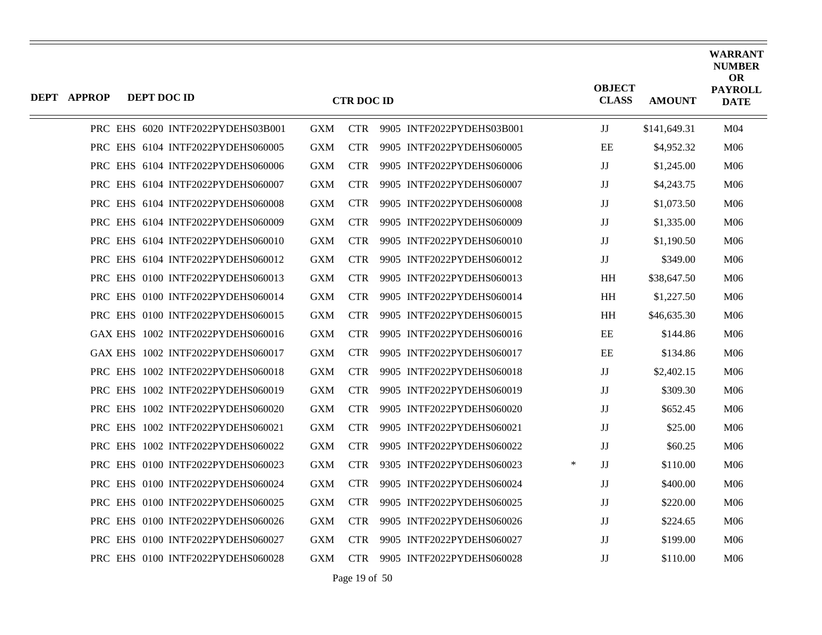| <b>DEPT APPROP</b> | DEPT DOC ID |                                   |            | <b>CTR DOC ID</b> |                           |        | <b>OBJECT</b><br><b>CLASS</b> | <b>AMOUNT</b> | <b>WARRANT</b><br><b>NUMBER</b><br><b>OR</b><br><b>PAYROLL</b><br><b>DATE</b> |
|--------------------|-------------|-----------------------------------|------------|-------------------|---------------------------|--------|-------------------------------|---------------|-------------------------------------------------------------------------------|
|                    |             | PRC EHS 6020 INTF2022PYDEHS03B001 | GXM        | <b>CTR</b>        | 9905 INTF2022PYDEHS03B001 |        | JJ                            | \$141,649.31  | M <sub>04</sub>                                                               |
|                    |             | PRC EHS 6104 INTF2022PYDEHS060005 | <b>GXM</b> | <b>CTR</b>        | 9905 INTF2022PYDEHS060005 |        | EЕ                            | \$4,952.32    | M06                                                                           |
|                    |             | PRC EHS 6104 INTF2022PYDEHS060006 | GXM        | <b>CTR</b>        | 9905 INTF2022PYDEHS060006 |        | JJ                            | \$1,245.00    | M06                                                                           |
|                    |             | PRC EHS 6104 INTF2022PYDEHS060007 | <b>GXM</b> | <b>CTR</b>        | 9905 INTF2022PYDEHS060007 |        | JJ                            | \$4,243.75    | M06                                                                           |
|                    |             | PRC EHS 6104 INTF2022PYDEHS060008 | <b>GXM</b> | <b>CTR</b>        | 9905 INTF2022PYDEHS060008 |        | JJ                            | \$1,073.50    | M06                                                                           |
|                    |             | PRC EHS 6104 INTF2022PYDEHS060009 | GXM        | <b>CTR</b>        | 9905 INTF2022PYDEHS060009 |        | JJ                            | \$1,335.00    | M06                                                                           |
|                    |             | PRC EHS 6104 INTF2022PYDEHS060010 | <b>GXM</b> | <b>CTR</b>        | 9905 INTF2022PYDEHS060010 |        | JJ                            | \$1,190.50    | M06                                                                           |
|                    |             | PRC EHS 6104 INTF2022PYDEHS060012 | <b>GXM</b> | <b>CTR</b>        | 9905 INTF2022PYDEHS060012 |        | $\mathbf{J}\mathbf{J}$        | \$349.00      | M06                                                                           |
|                    |             | PRC EHS 0100 INTF2022PYDEHS060013 | GXM        | <b>CTR</b>        | 9905 INTF2022PYDEHS060013 |        | <b>HH</b>                     | \$38,647.50   | M06                                                                           |
|                    |             | PRC EHS 0100 INTF2022PYDEHS060014 | <b>GXM</b> | <b>CTR</b>        | 9905 INTF2022PYDEHS060014 |        | <b>HH</b>                     | \$1,227.50    | M06                                                                           |
|                    |             | PRC EHS 0100 INTF2022PYDEHS060015 | <b>GXM</b> | <b>CTR</b>        | 9905 INTF2022PYDEHS060015 |        | HH                            | \$46,635.30   | M <sub>06</sub>                                                               |
|                    |             | GAX EHS 1002 INTF2022PYDEHS060016 | GXM        | <b>CTR</b>        | 9905 INTF2022PYDEHS060016 |        | EE                            | \$144.86      | M06                                                                           |
|                    |             | GAX EHS 1002 INTF2022PYDEHS060017 | <b>GXM</b> | <b>CTR</b>        | 9905 INTF2022PYDEHS060017 |        | EE                            | \$134.86      | M06                                                                           |
|                    |             | PRC EHS 1002 INTF2022PYDEHS060018 | <b>GXM</b> | <b>CTR</b>        | 9905 INTF2022PYDEHS060018 |        | JJ                            | \$2,402.15    | M <sub>06</sub>                                                               |
|                    |             | PRC EHS 1002 INTF2022PYDEHS060019 | GXM        | <b>CTR</b>        | 9905 INTF2022PYDEHS060019 |        | JJ                            | \$309.30      | M06                                                                           |
|                    |             | PRC EHS 1002 INTF2022PYDEHS060020 | <b>GXM</b> | CTR.              | 9905 INTF2022PYDEHS060020 |        | JJ                            | \$652.45      | M06                                                                           |
|                    |             | PRC EHS 1002 INTF2022PYDEHS060021 | <b>GXM</b> | <b>CTR</b>        | 9905 INTF2022PYDEHS060021 |        | $_{\rm JJ}$                   | \$25.00       | M <sub>06</sub>                                                               |
|                    |             | PRC EHS 1002 INTF2022PYDEHS060022 | <b>GXM</b> | <b>CTR</b>        | 9905 INTF2022PYDEHS060022 |        | $\mathbf{J}\mathbf{J}$        | \$60.25       | M06                                                                           |
|                    |             | PRC EHS 0100 INTF2022PYDEHS060023 | <b>GXM</b> | <b>CTR</b>        | 9305 INTF2022PYDEHS060023 | $\ast$ | $\mathbf{J}\mathbf{J}$        | \$110.00      | M06                                                                           |
|                    |             | PRC EHS 0100 INTF2022PYDEHS060024 | <b>GXM</b> | <b>CTR</b>        | 9905 INTF2022PYDEHS060024 |        | JJ                            | \$400.00      | M <sub>06</sub>                                                               |
|                    |             | PRC EHS 0100 INTF2022PYDEHS060025 | <b>GXM</b> | CTR.              | 9905 INTF2022PYDEHS060025 |        | IJ                            | \$220.00      | M06                                                                           |
|                    |             | PRC EHS 0100 INTF2022PYDEHS060026 | <b>GXM</b> | <b>CTR</b>        | 9905 INTF2022PYDEHS060026 |        | JJ                            | \$224.65      | M06                                                                           |
|                    |             | PRC EHS 0100 INTF2022PYDEHS060027 | <b>GXM</b> | CTR.              | 9905 INTF2022PYDEHS060027 |        | $_{\rm JJ}$                   | \$199.00      | M06                                                                           |
|                    |             | PRC EHS 0100 INTF2022PYDEHS060028 | GXM        | <b>CTR</b>        | 9905 INTF2022PYDEHS060028 |        | IJ                            | \$110.00      | M06                                                                           |

Page 19 of 50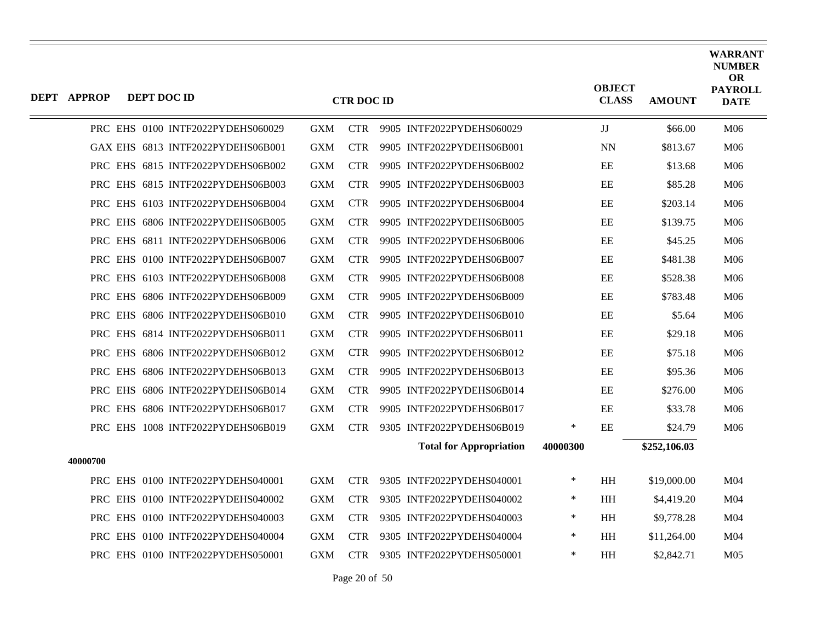| <b>DEPT APPROP</b> | DEPT DOC ID                       |            | <b>CTR DOC ID</b> |                                |          | <b>OBJECT</b><br><b>CLASS</b> | <b>AMOUNT</b> | <b>WARRANT</b><br><b>NUMBER</b><br><b>OR</b><br><b>PAYROLL</b><br><b>DATE</b> |
|--------------------|-----------------------------------|------------|-------------------|--------------------------------|----------|-------------------------------|---------------|-------------------------------------------------------------------------------|
|                    | PRC EHS 0100 INTF2022PYDEHS060029 | <b>GXM</b> | <b>CTR</b>        | 9905 INTF2022PYDEHS060029      |          | $\mathbf{J}\mathbf{J}$        | \$66.00       | M06                                                                           |
|                    | GAX EHS 6813 INTF2022PYDEHS06B001 | <b>GXM</b> | <b>CTR</b>        | 9905 INTF2022PYDEHS06B001      |          | <b>NN</b>                     | \$813.67      | M06                                                                           |
|                    | PRC EHS 6815 INTF2022PYDEHS06B002 | <b>GXM</b> | <b>CTR</b>        | 9905 INTF2022PYDEHS06B002      |          | EE                            | \$13.68       | M06                                                                           |
|                    | PRC EHS 6815 INTF2022PYDEHS06B003 | <b>GXM</b> | <b>CTR</b>        | 9905 INTF2022PYDEHS06B003      |          | $\rm{EE}$                     | \$85.28       | M06                                                                           |
|                    | PRC EHS 6103 INTF2022PYDEHS06B004 | <b>GXM</b> | <b>CTR</b>        | 9905 INTF2022PYDEHS06B004      |          | EE                            | \$203.14      | M06                                                                           |
|                    | PRC EHS 6806 INTF2022PYDEHS06B005 | <b>GXM</b> | <b>CTR</b>        | 9905 INTF2022PYDEHS06B005      |          | EE                            | \$139.75      | M06                                                                           |
|                    | PRC EHS 6811 INTF2022PYDEHS06B006 | <b>GXM</b> | <b>CTR</b>        | 9905 INTF2022PYDEHS06B006      |          | $\rm EE$                      | \$45.25       | M06                                                                           |
|                    | PRC EHS 0100 INTF2022PYDEHS06B007 | <b>GXM</b> | <b>CTR</b>        | 9905 INTF2022PYDEHS06B007      |          | EE                            | \$481.38      | M06                                                                           |
|                    | PRC EHS 6103 INTF2022PYDEHS06B008 | <b>GXM</b> | <b>CTR</b>        | 9905 INTF2022PYDEHS06B008      |          | EE                            | \$528.38      | M06                                                                           |
|                    | PRC EHS 6806 INTF2022PYDEHS06B009 | <b>GXM</b> | <b>CTR</b>        | 9905 INTF2022PYDEHS06B009      |          | $\rm EE$                      | \$783.48      | M06                                                                           |
|                    | PRC EHS 6806 INTF2022PYDEHS06B010 | <b>GXM</b> | <b>CTR</b>        | 9905 INTF2022PYDEHS06B010      |          | EE                            | \$5.64        | M06                                                                           |
|                    | PRC EHS 6814 INTF2022PYDEHS06B011 | <b>GXM</b> | <b>CTR</b>        | 9905 INTF2022PYDEHS06B011      |          | EE                            | \$29.18       | M06                                                                           |
|                    | PRC EHS 6806 INTF2022PYDEHS06B012 | <b>GXM</b> | <b>CTR</b>        | 9905 INTF2022PYDEHS06B012      |          | EE                            | \$75.18       | M06                                                                           |
|                    | PRC EHS 6806 INTF2022PYDEHS06B013 | <b>GXM</b> | <b>CTR</b>        | 9905 INTF2022PYDEHS06B013      |          | EE                            | \$95.36       | M06                                                                           |
|                    | PRC EHS 6806 INTF2022PYDEHS06B014 | <b>GXM</b> | <b>CTR</b>        | 9905 INTF2022PYDEHS06B014      |          | EE                            | \$276.00      | M06                                                                           |
|                    | PRC EHS 6806 INTF2022PYDEHS06B017 | <b>GXM</b> | <b>CTR</b>        | 9905 INTF2022PYDEHS06B017      |          | EE                            | \$33.78       | M06                                                                           |
|                    | PRC EHS 1008 INTF2022PYDEHS06B019 | GXM        | <b>CTR</b>        | 9305 INTF2022PYDEHS06B019      | $\ast$   | EE                            | \$24.79       | M06                                                                           |
|                    |                                   |            |                   | <b>Total for Appropriation</b> | 40000300 |                               | \$252,106.03  |                                                                               |
| 40000700           |                                   |            |                   |                                |          |                               |               |                                                                               |
|                    | PRC EHS 0100 INTF2022PYDEHS040001 | <b>GXM</b> | <b>CTR</b>        | 9305 INTF2022PYDEHS040001      | ∗        | $\mathbf{H} \mathbf{H}$       | \$19,000.00   | M04                                                                           |
|                    | PRC EHS 0100 INTF2022PYDEHS040002 | <b>GXM</b> | <b>CTR</b>        | 9305 INTF2022PYDEHS040002      | ∗        | <b>HH</b>                     | \$4,419.20    | M <sub>04</sub>                                                               |
|                    | PRC EHS 0100 INTF2022PYDEHS040003 | <b>GXM</b> | <b>CTR</b>        | 9305 INTF2022PYDEHS040003      | ∗        | <b>HH</b>                     | \$9,778.28    | M <sub>04</sub>                                                               |
|                    | PRC EHS 0100 INTF2022PYDEHS040004 | <b>GXM</b> | <b>CTR</b>        | 9305 INTF2022PYDEHS040004      | ∗        | HH                            | \$11,264.00   | M04                                                                           |
|                    | PRC EHS 0100 INTF2022PYDEHS050001 | <b>GXM</b> | <b>CTR</b>        | 9305 INTF2022PYDEHS050001      | *        | <b>HH</b>                     | \$2,842.71    | M <sub>05</sub>                                                               |
|                    |                                   |            |                   |                                |          |                               |               |                                                                               |

Page 20 of 50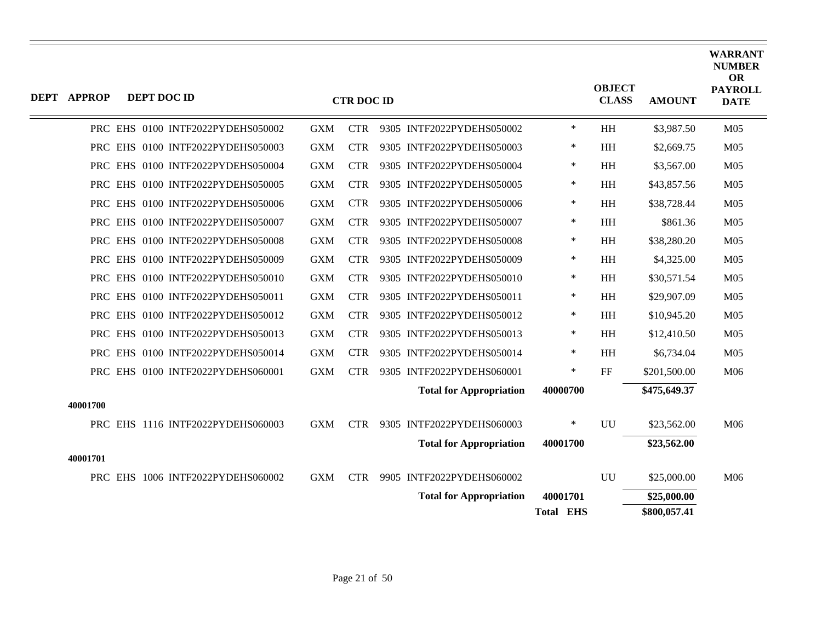| <b>DEPT APPROP</b> | DEPT DOC ID |                                   |            | <b>CTR DOC ID</b> |                                |                              | <b>OBJECT</b><br><b>CLASS</b> | <b>AMOUNT</b> | <b>WARRANT</b><br><b>NUMBER</b><br><b>OR</b><br><b>PAYROLL</b><br><b>DATE</b> |
|--------------------|-------------|-----------------------------------|------------|-------------------|--------------------------------|------------------------------|-------------------------------|---------------|-------------------------------------------------------------------------------|
|                    |             | PRC EHS 0100 INTF2022PYDEHS050002 | <b>GXM</b> | <b>CTR</b>        | 9305 INTF2022PYDEHS050002      | $\ast$                       | HH                            | \$3,987.50    | M <sub>05</sub>                                                               |
|                    |             | PRC EHS 0100 INTF2022PYDEHS050003 | <b>GXM</b> | <b>CTR</b>        | 9305 INTF2022PYDEHS050003      | $\ast$                       | HH                            | \$2,669.75    | M <sub>05</sub>                                                               |
|                    |             | PRC EHS 0100 INTF2022PYDEHS050004 | <b>GXM</b> | <b>CTR</b>        | 9305 INTF2022PYDEHS050004      | ∗                            | HH                            | \$3,567.00    | M <sub>05</sub>                                                               |
|                    |             | PRC EHS 0100 INTF2022PYDEHS050005 | <b>GXM</b> | <b>CTR</b>        | 9305 INTF2022PYDEHS050005      | $\ast$                       | HH                            | \$43,857.56   | M <sub>05</sub>                                                               |
|                    |             | PRC EHS 0100 INTF2022PYDEHS050006 | <b>GXM</b> | <b>CTR</b>        | 9305 INTF2022PYDEHS050006      | $\ast$                       | HH                            | \$38,728.44   | M <sub>05</sub>                                                               |
|                    |             | PRC EHS 0100 INTF2022PYDEHS050007 | <b>GXM</b> | <b>CTR</b>        | 9305 INTF2022PYDEHS050007      | ∗                            | HH                            | \$861.36      | M <sub>05</sub>                                                               |
|                    |             | PRC EHS 0100 INTF2022PYDEHS050008 | <b>GXM</b> | <b>CTR</b>        | 9305 INTF2022PYDEHS050008      | $\ast$                       | <b>HH</b>                     | \$38,280.20   | M <sub>05</sub>                                                               |
|                    |             | PRC EHS 0100 INTF2022PYDEHS050009 | <b>GXM</b> | <b>CTR</b>        | 9305 INTF2022PYDEHS050009      | $\ast$                       | HH                            | \$4,325.00    | M <sub>05</sub>                                                               |
|                    |             | PRC EHS 0100 INTF2022PYDEHS050010 | <b>GXM</b> | <b>CTR</b>        | 9305 INTF2022PYDEHS050010      | $\ast$                       | HH                            | \$30,571.54   | M <sub>05</sub>                                                               |
|                    |             | PRC EHS 0100 INTF2022PYDEHS050011 | <b>GXM</b> | <b>CTR</b>        | 9305 INTF2022PYDEHS050011      | ∗                            | <b>HH</b>                     | \$29,907.09   | M <sub>05</sub>                                                               |
|                    |             | PRC EHS 0100 INTF2022PYDEHS050012 | <b>GXM</b> | <b>CTR</b>        | 9305 INTF2022PYDEHS050012      | $\ast$                       | HH                            | \$10,945.20   | M <sub>05</sub>                                                               |
|                    |             | PRC EHS 0100 INTF2022PYDEHS050013 | <b>GXM</b> | <b>CTR</b>        | 9305 INTF2022PYDEHS050013      | $\ast$                       | HH                            | \$12,410.50   | M <sub>05</sub>                                                               |
|                    |             | PRC EHS 0100 INTF2022PYDEHS050014 | <b>GXM</b> | <b>CTR</b>        | 9305 INTF2022PYDEHS050014      | $\ast$                       | HH                            | \$6,734.04    | M <sub>05</sub>                                                               |
|                    |             | PRC EHS 0100 INTF2022PYDEHS060001 | <b>GXM</b> | <b>CTR</b>        | 9305 INTF2022PYDEHS060001      | $\ast$                       | $\rm FF$                      | \$201,500.00  | M06                                                                           |
|                    |             |                                   |            |                   | <b>Total for Appropriation</b> | 40000700                     |                               | \$475,649.37  |                                                                               |
| 40001700           |             |                                   |            |                   |                                |                              |                               |               |                                                                               |
|                    |             | PRC EHS 1116 INTF2022PYDEHS060003 | <b>GXM</b> | <b>CTR</b>        | 9305 INTF2022PYDEHS060003      | $\ast$                       | <b>UU</b>                     | \$23,562.00   | M06                                                                           |
|                    |             |                                   |            |                   | <b>Total for Appropriation</b> | 40001700                     |                               | \$23,562.00   |                                                                               |
| 40001701           |             |                                   |            |                   |                                |                              |                               |               |                                                                               |
|                    |             | PRC EHS 1006 INTF2022PYDEHS060002 | <b>GXM</b> | <b>CTR</b>        | 9905 INTF2022PYDEHS060002      |                              | UU                            | \$25,000.00   | M06                                                                           |
|                    |             |                                   |            |                   | <b>Total for Appropriation</b> | 40001701<br><b>Total EHS</b> |                               | \$25,000.00   |                                                                               |
|                    |             |                                   |            |                   |                                |                              |                               | \$800,057.41  |                                                                               |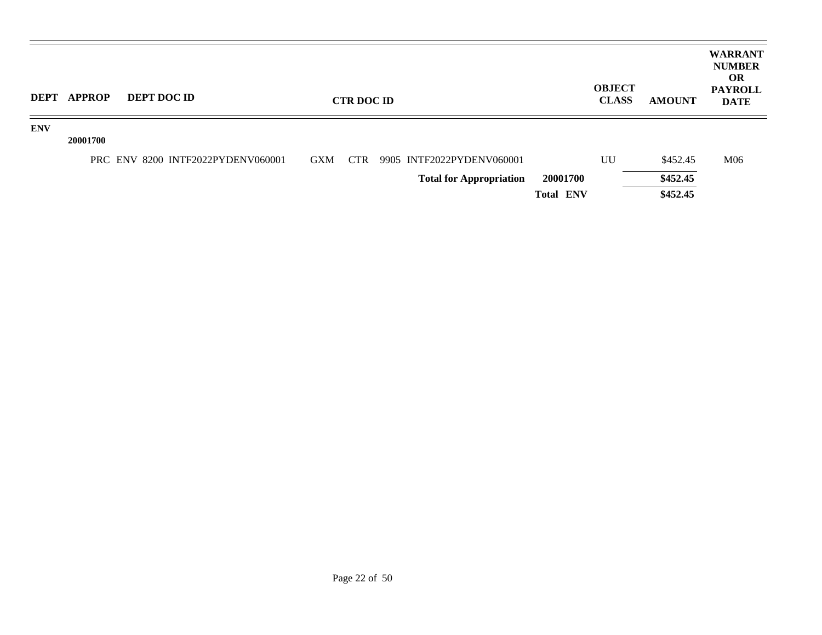| <b>DEPT</b> | <b>APPROP</b> | <b>DEPT DOC ID</b>                |            | <b>CTR DOC ID</b> |                                |                  | <b>OBJECT</b><br><b>CLASS</b> | <b>AMOUNT</b> | <b>WARRANT</b><br><b>NUMBER</b><br><b>OR</b><br><b>PAYROLL</b><br><b>DATE</b> |
|-------------|---------------|-----------------------------------|------------|-------------------|--------------------------------|------------------|-------------------------------|---------------|-------------------------------------------------------------------------------|
| <b>ENV</b>  | 20001700      |                                   |            |                   |                                |                  |                               |               |                                                                               |
|             |               | PRC ENV 8200 INTF2022PYDENV060001 | <b>GXM</b> | <b>CTR</b>        | 9905 INTF2022PYDENV060001      |                  | UU                            | \$452.45      | M06                                                                           |
|             |               |                                   |            |                   | <b>Total for Appropriation</b> | 20001700         |                               | \$452.45      |                                                                               |
|             |               |                                   |            |                   |                                | <b>Total ENV</b> |                               | \$452.45      |                                                                               |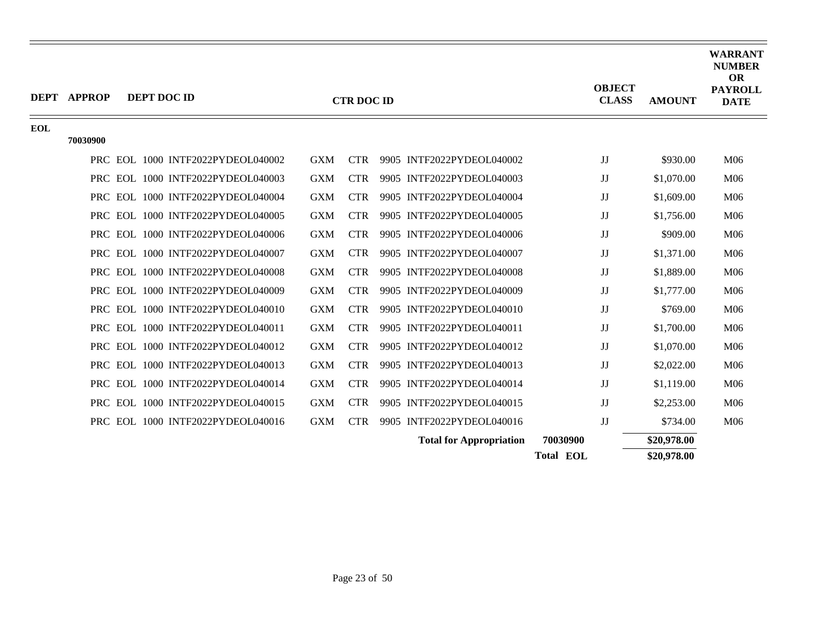|            | DEPT APPROP | DEPT DOC ID                       |            | <b>CTR DOC ID</b> |                                | <b>OBJECT</b><br><b>CLASS</b> | <b>AMOUNT</b> | <b>WARRANT</b><br><b>NUMBER</b><br><b>OR</b><br><b>PAYROLL</b><br><b>DATE</b> |
|------------|-------------|-----------------------------------|------------|-------------------|--------------------------------|-------------------------------|---------------|-------------------------------------------------------------------------------|
| <b>EOL</b> |             |                                   |            |                   |                                |                               |               |                                                                               |
|            | 70030900    |                                   |            |                   |                                |                               |               |                                                                               |
|            |             | PRC EOL 1000 INTF2022PYDEOL040002 | <b>GXM</b> | <b>CTR</b>        | 9905 INTF2022PYDEOL040002      | JJ                            | \$930.00      | M06                                                                           |
|            |             | PRC EOL 1000 INTF2022PYDEOL040003 | <b>GXM</b> | <b>CTR</b>        | 9905 INTF2022PYDEOL040003      | JJ                            | \$1,070.00    | M06                                                                           |
|            |             | PRC EOL 1000 INTF2022PYDEOL040004 | <b>GXM</b> | <b>CTR</b>        | 9905 INTF2022PYDEOL040004      | JJ                            | \$1,609.00    | M06                                                                           |
|            |             | PRC EOL 1000 INTF2022PYDEOL040005 | <b>GXM</b> | <b>CTR</b>        | 9905 INTF2022PYDEOL040005      | JJ                            | \$1,756.00    | M06                                                                           |
|            | <b>PRC</b>  | EOL 1000 INTF2022PYDEOL040006     | <b>GXM</b> | <b>CTR</b>        | 9905 INTF2022PYDEOL040006      | JJ                            | \$909.00      | M06                                                                           |
|            |             | PRC EOL 1000 INTF2022PYDEOL040007 | <b>GXM</b> | <b>CTR</b>        | 9905 INTF2022PYDEOL040007      | JJ                            | \$1,371.00    | M06                                                                           |
|            |             | PRC EOL 1000 INTF2022PYDEOL040008 | <b>GXM</b> | <b>CTR</b>        | 9905 INTF2022PYDEOL040008      | JJ                            | \$1,889.00    | M06                                                                           |
|            | <b>PRC</b>  | EOL 1000 INTF2022PYDEOL040009     | <b>GXM</b> | <b>CTR</b>        | 9905 INTF2022PYDEOL040009      | JJ                            | \$1,777.00    | M06                                                                           |
|            |             | PRC EOL 1000 INTF2022PYDEOL040010 | <b>GXM</b> | <b>CTR</b>        | 9905 INTF2022PYDEOL040010      | JJ                            | \$769.00      | M06                                                                           |
|            |             | PRC EOL 1000 INTF2022PYDEOL040011 | <b>GXM</b> | <b>CTR</b>        | 9905 INTF2022PYDEOL040011      | JJ                            | \$1,700.00    | M06                                                                           |
|            | <b>PRC</b>  | EOL 1000 INTF2022PYDEOL040012     | <b>GXM</b> | <b>CTR</b>        | 9905 INTF2022PYDEOL040012      | $\rm JJ$                      | \$1,070.00    | M06                                                                           |
|            |             | PRC EOL 1000 INTF2022PYDEOL040013 | <b>GXM</b> | <b>CTR</b>        | 9905 INTF2022PYDEOL040013      | JJ                            | \$2,022.00    | M06                                                                           |
|            |             | PRC EOL 1000 INTF2022PYDEOL040014 | <b>GXM</b> | <b>CTR</b>        | 9905 INTF2022PYDEOL040014      | JJ                            | \$1,119.00    | M06                                                                           |
|            |             | PRC EOL 1000 INTF2022PYDEOL040015 | <b>GXM</b> | <b>CTR</b>        | 9905 INTF2022PYDEOL040015      | JJ                            | \$2,253.00    | M06                                                                           |
|            |             | PRC EOL 1000 INTF2022PYDEOL040016 | <b>GXM</b> | <b>CTR</b>        | 9905 INTF2022PYDEOL040016      | JJ                            | \$734.00      | M06                                                                           |
|            |             |                                   |            |                   | <b>Total for Appropriation</b> | 70030900                      | \$20,978.00   |                                                                               |
|            |             |                                   |            |                   |                                | <b>Total EOL</b>              | \$20,978.00   |                                                                               |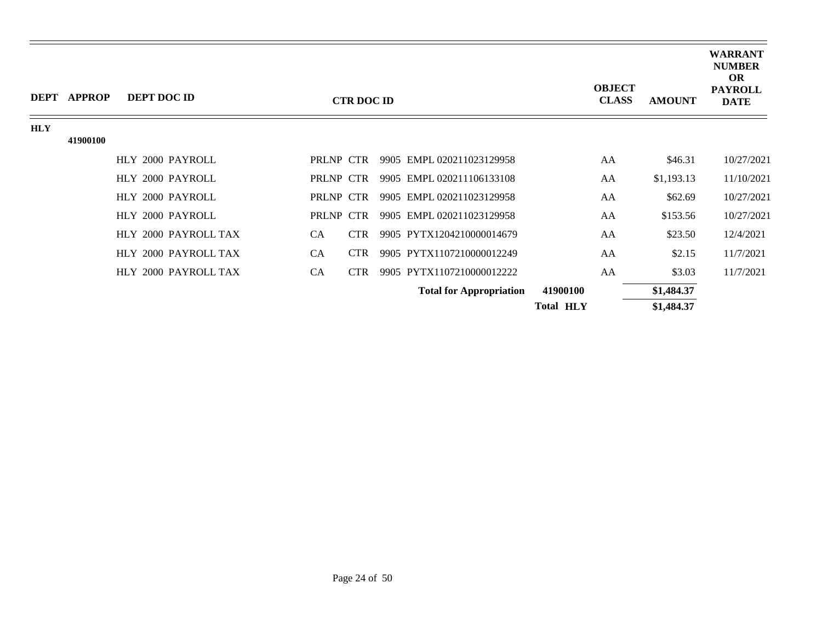|            | DEPT APPROP | <b>DEPT DOC ID</b>   |           | <b>CTR DOC ID</b> |                                |                  | <b>OBJECT</b><br><b>CLASS</b> | <b>AMOUNT</b> | <b>WARRANT</b><br><b>NUMBER</b><br><b>OR</b><br><b>PAYROLL</b><br><b>DATE</b> |
|------------|-------------|----------------------|-----------|-------------------|--------------------------------|------------------|-------------------------------|---------------|-------------------------------------------------------------------------------|
| <b>HLY</b> |             |                      |           |                   |                                |                  |                               |               |                                                                               |
|            | 41900100    |                      |           |                   |                                |                  |                               |               |                                                                               |
|            |             | HLY 2000 PAYROLL     | PRLNP CTR |                   | 9905 EMPL 020211023129958      | AA               |                               | \$46.31       | 10/27/2021                                                                    |
|            |             | HLY 2000 PAYROLL     | PRLNP CTR |                   | 9905 EMPL 020211106133108      | AA               |                               | \$1,193.13    | 11/10/2021                                                                    |
|            |             | HLY 2000 PAYROLL     | PRLNP CTR |                   | 9905 EMPL 020211023129958      | AA               |                               | \$62.69       | 10/27/2021                                                                    |
|            |             | HLY 2000 PAYROLL     | PRLNP CTR |                   | 9905 EMPL 020211023129958      | AA               |                               | \$153.56      | 10/27/2021                                                                    |
|            |             | HLY 2000 PAYROLL TAX | <b>CA</b> | <b>CTR</b>        | 9905 PYTX1204210000014679      | AA               |                               | \$23.50       | 12/4/2021                                                                     |
|            |             | HLY 2000 PAYROLL TAX | <b>CA</b> | <b>CTR</b>        | 9905 PYTX1107210000012249      | AA               |                               | \$2.15        | 11/7/2021                                                                     |
|            |             | HLY 2000 PAYROLL TAX | CA        | <b>CTR</b>        | 9905 PYTX1107210000012222      | AA               |                               | \$3.03        | 11/7/2021                                                                     |
|            |             |                      |           |                   | <b>Total for Appropriation</b> | 41900100         |                               | \$1,484.37    |                                                                               |
|            |             |                      |           |                   |                                | <b>Total HLY</b> |                               | \$1,484.37    |                                                                               |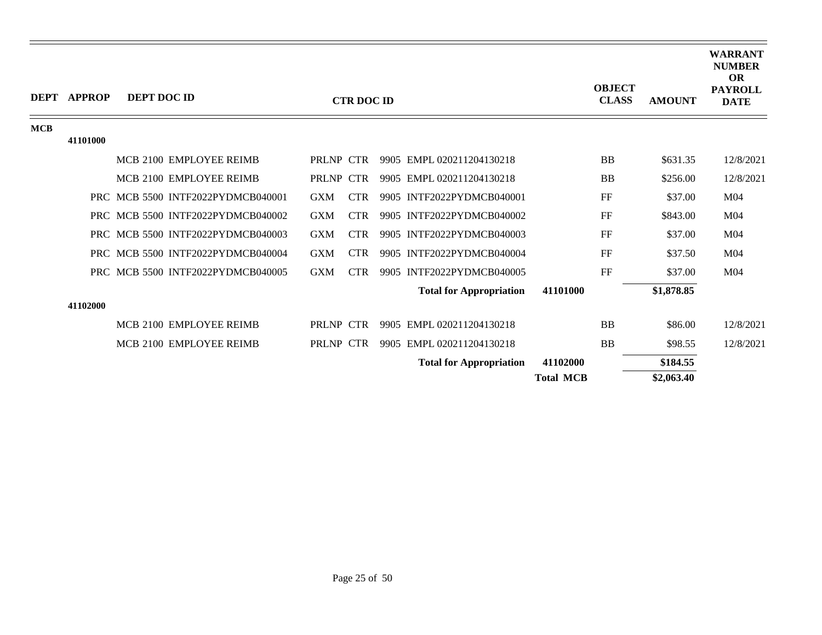|            | DEPT APPROP | DEPT DOC ID |                                   |            | <b>CTR DOC ID</b> |                                |                  | <b>OBJECT</b><br><b>CLASS</b> | <b>AMOUNT</b> | <b>WARRANT</b><br><b>NUMBER</b><br><b>OR</b><br><b>PAYROLL</b><br><b>DATE</b> |
|------------|-------------|-------------|-----------------------------------|------------|-------------------|--------------------------------|------------------|-------------------------------|---------------|-------------------------------------------------------------------------------|
| <b>MCB</b> |             |             |                                   |            |                   |                                |                  |                               |               |                                                                               |
|            | 41101000    |             |                                   |            |                   |                                |                  |                               |               |                                                                               |
|            |             |             | MCB 2100 EMPLOYEE REIMB           | PRLNP CTR  |                   | 9905 EMPL 020211204130218      |                  | <b>BB</b>                     | \$631.35      | 12/8/2021                                                                     |
|            |             |             | MCB 2100 EMPLOYEE REIMB           | PRLNP CTR  |                   | 9905 EMPL 020211204130218      |                  | <b>BB</b>                     | \$256.00      | 12/8/2021                                                                     |
|            |             |             | PRC MCB 5500 INTF2022PYDMCB040001 | <b>GXM</b> | <b>CTR</b>        | 9905 INTF2022PYDMCB040001      |                  | FF                            | \$37.00       | M <sub>04</sub>                                                               |
|            |             |             | PRC MCB 5500 INTF2022PYDMCB040002 | <b>GXM</b> | <b>CTR</b>        | 9905 INTF2022PYDMCB040002      |                  | FF                            | \$843.00      | M <sub>04</sub>                                                               |
|            |             |             | PRC MCB 5500 INTF2022PYDMCB040003 | <b>GXM</b> | CTR.              | 9905 INTF2022PYDMCB040003      |                  | FF                            | \$37.00       | M <sub>04</sub>                                                               |
|            |             |             | PRC MCB 5500 INTF2022PYDMCB040004 | <b>GXM</b> | CTR.              | 9905 INTF2022PYDMCB040004      |                  | FF                            | \$37.50       | M <sub>04</sub>                                                               |
|            |             |             | PRC MCB 5500 INTF2022PYDMCB040005 | <b>GXM</b> | <b>CTR</b>        | 9905 INTF2022PYDMCB040005      |                  | FF                            | \$37.00       | M <sub>04</sub>                                                               |
|            |             |             |                                   |            |                   | <b>Total for Appropriation</b> | 41101000         |                               | \$1,878.85    |                                                                               |
|            | 41102000    |             |                                   |            |                   |                                |                  |                               |               |                                                                               |
|            |             |             | MCB 2100 EMPLOYEE REIMB           | PRLNP CTR  |                   | 9905 EMPL 020211204130218      |                  | <b>BB</b>                     | \$86.00       | 12/8/2021                                                                     |
|            |             |             | MCB 2100 EMPLOYEE REIMB           | PRLNP CTR  |                   | 9905 EMPL 020211204130218      |                  | <b>BB</b>                     | \$98.55       | 12/8/2021                                                                     |
|            |             |             |                                   |            |                   | <b>Total for Appropriation</b> | 41102000         |                               | \$184.55      |                                                                               |
|            |             |             |                                   |            |                   |                                | <b>Total MCB</b> |                               | \$2,063.40    |                                                                               |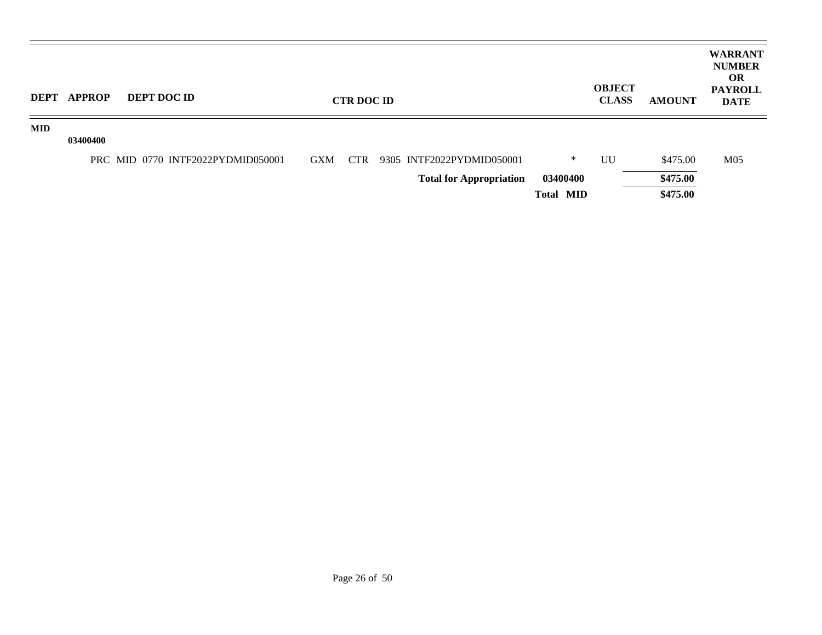| <b>DEPT</b> | <b>APPROP</b> | <b>DEPT DOC ID</b>                |            | <b>CTR DOC ID</b> |                                |                  | <b>OBJECT</b><br><b>CLASS</b> | <b>AMOUNT</b> | <b>WARRANT</b><br><b>NUMBER</b><br><b>OR</b><br><b>PAYROLL</b><br><b>DATE</b> |
|-------------|---------------|-----------------------------------|------------|-------------------|--------------------------------|------------------|-------------------------------|---------------|-------------------------------------------------------------------------------|
| <b>MID</b>  | 03400400      |                                   |            |                   |                                |                  |                               |               |                                                                               |
|             |               | PRC MID 0770 INTF2022PYDMID050001 | <b>GXM</b> | CTR               | 9305 INTF2022PYDMID050001      | ∗                | UU                            | \$475.00      | M05                                                                           |
|             |               |                                   |            |                   | <b>Total for Appropriation</b> | 03400400         |                               | \$475.00      |                                                                               |
|             |               |                                   |            |                   |                                | <b>Total MID</b> |                               | \$475.00      |                                                                               |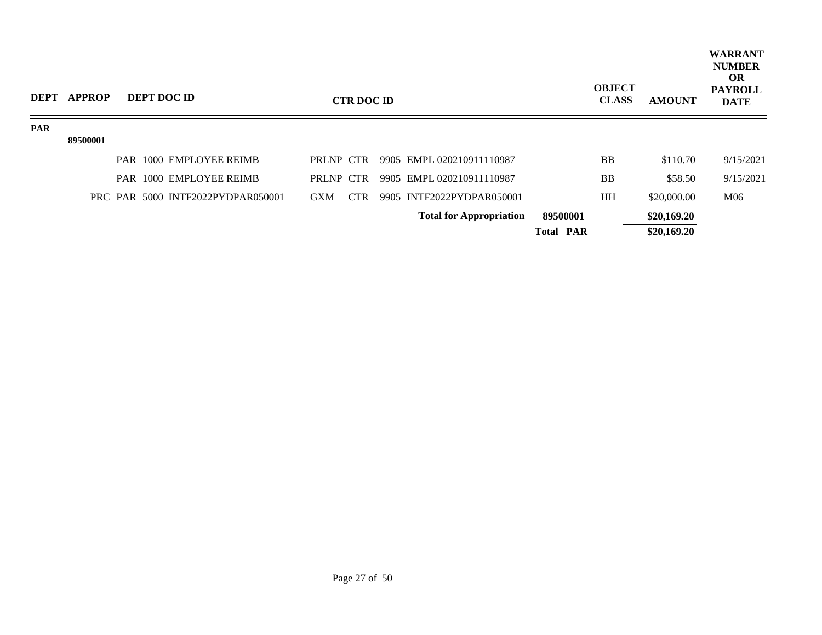| <b>DEPT</b> | <b>APPROP</b> |  | <b>DEPT DOC ID</b>                |            | <b>CTR DOC ID</b> |                                |                  | <b>OBJECT</b><br><b>CLASS</b> | <b>AMOUNT</b> | <b>WARRANT</b><br><b>NUMBER</b><br><b>OR</b><br><b>PAYROLL</b><br><b>DATE</b> |
|-------------|---------------|--|-----------------------------------|------------|-------------------|--------------------------------|------------------|-------------------------------|---------------|-------------------------------------------------------------------------------|
| <b>PAR</b>  |               |  |                                   |            |                   |                                |                  |                               |               |                                                                               |
|             | 89500001      |  |                                   |            |                   |                                |                  |                               |               |                                                                               |
|             |               |  | PAR 1000 EMPLOYEE REIMB           | PRLNP CTR  |                   | 9905 EMPL 020210911110987      |                  | <b>BB</b>                     | \$110.70      | 9/15/2021                                                                     |
|             |               |  | PAR 1000 EMPLOYEE REIMB           | PRLNP CTR  |                   | 9905 EMPL 020210911110987      |                  | <b>BB</b>                     | \$58.50       | 9/15/2021                                                                     |
|             |               |  | PRC PAR 5000 INTF2022PYDPAR050001 | <b>GXM</b> | <b>CTR</b>        | 9905 INTF2022PYDPAR050001      |                  | HH                            | \$20,000.00   | M06                                                                           |
|             |               |  |                                   |            |                   | <b>Total for Appropriation</b> | 89500001         |                               | \$20,169.20   |                                                                               |
|             |               |  |                                   |            |                   |                                | <b>Total PAR</b> |                               | \$20,169.20   |                                                                               |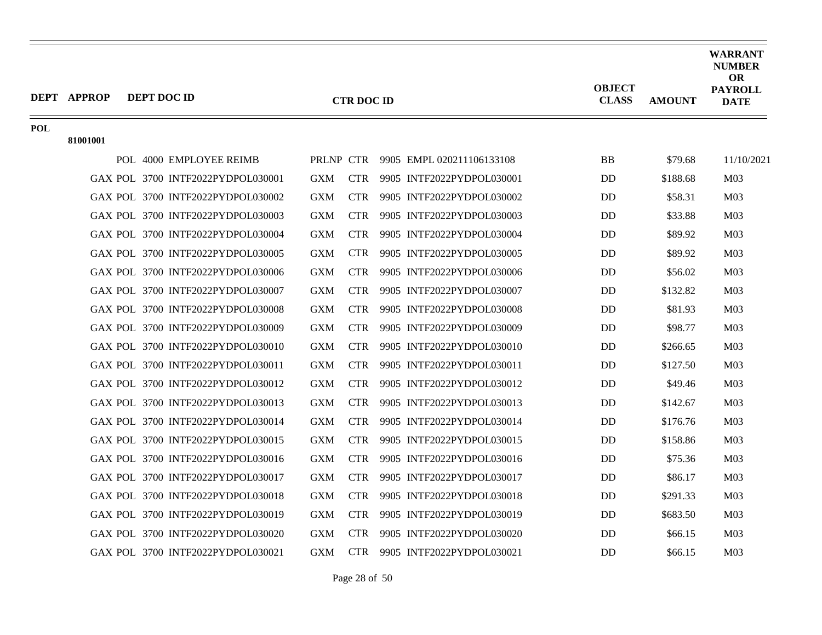|     | <b>DEPT APPROP</b><br>DEPT DOC ID |            | <b>CTR DOC ID</b> |                                     | <b>OBJECT</b><br><b>CLASS</b> | <b>AMOUNT</b> | WARRANT<br><b>NUMBER</b><br><b>OR</b><br><b>PAYROLL</b><br><b>DATE</b> |
|-----|-----------------------------------|------------|-------------------|-------------------------------------|-------------------------------|---------------|------------------------------------------------------------------------|
| POL |                                   |            |                   |                                     |                               |               |                                                                        |
|     | 81001001                          |            |                   |                                     |                               |               |                                                                        |
|     | POL 4000 EMPLOYEE REIMB           |            |                   | PRLNP CTR 9905 EMPL 020211106133108 | <b>BB</b>                     | \$79.68       | 11/10/2021                                                             |
|     | GAX POL 3700 INTF2022PYDPOL030001 | GXM        |                   | CTR 9905 INTF2022PYDPOL030001       | <b>DD</b>                     | \$188.68      | M <sub>03</sub>                                                        |
|     | GAX POL 3700 INTF2022PYDPOL030002 | <b>GXM</b> | <b>CTR</b>        | 9905 INTF2022PYDPOL030002           | <b>DD</b>                     | \$58.31       | M <sub>03</sub>                                                        |
|     | GAX POL 3700 INTF2022PYDPOL030003 | <b>GXM</b> | <b>CTR</b>        | 9905 INTF2022PYDPOL030003           | <b>DD</b>                     | \$33.88       | M <sub>03</sub>                                                        |
|     | GAX POL 3700 INTF2022PYDPOL030004 | <b>GXM</b> | <b>CTR</b>        | 9905 INTF2022PYDPOL030004           | <b>DD</b>                     | \$89.92       | M <sub>03</sub>                                                        |
|     | GAX POL 3700 INTF2022PYDPOL030005 | <b>GXM</b> | <b>CTR</b>        | 9905 INTF2022PYDPOL030005           | <b>DD</b>                     | \$89.92       | M <sub>03</sub>                                                        |
|     | GAX POL 3700 INTF2022PYDPOL030006 | GXM        | <b>CTR</b>        | 9905 INTF2022PYDPOL030006           | DD.                           | \$56.02       | M <sub>03</sub>                                                        |
|     | GAX POL 3700 INTF2022PYDPOL030007 | <b>GXM</b> | <b>CTR</b>        | 9905 INTF2022PYDPOL030007           | DD.                           | \$132.82      | M <sub>03</sub>                                                        |
|     | GAX POL 3700 INTF2022PYDPOL030008 | <b>GXM</b> | <b>CTR</b>        | 9905 INTF2022PYDPOL030008           | DD.                           | \$81.93       | M <sub>03</sub>                                                        |
|     | GAX POL 3700 INTF2022PYDPOL030009 | <b>GXM</b> | <b>CTR</b>        | 9905 INTF2022PYDPOL030009           | DD.                           | \$98.77       | M <sub>03</sub>                                                        |
|     | GAX POL 3700 INTF2022PYDPOL030010 | <b>GXM</b> | <b>CTR</b>        | 9905 INTF2022PYDPOL030010           | DD                            | \$266.65      | M <sub>03</sub>                                                        |
|     | GAX POL 3700 INTF2022PYDPOL030011 | <b>GXM</b> | <b>CTR</b>        | 9905 INTF2022PYDPOL030011           | DD.                           | \$127.50      | M <sub>03</sub>                                                        |
|     | GAX POL 3700 INTF2022PYDPOL030012 | <b>GXM</b> | <b>CTR</b>        | 9905 INTF2022PYDPOL030012           | DD.                           | \$49.46       | M <sub>03</sub>                                                        |
|     | GAX POL 3700 INTF2022PYDPOL030013 | <b>GXM</b> | <b>CTR</b>        | 9905 INTF2022PYDPOL030013           | DD                            | \$142.67      | M <sub>03</sub>                                                        |
|     | GAX POL 3700 INTF2022PYDPOL030014 | <b>GXM</b> | <b>CTR</b>        | 9905 INTF2022PYDPOL030014           | <b>DD</b>                     | \$176.76      | M <sub>03</sub>                                                        |
|     | GAX POL 3700 INTF2022PYDPOL030015 | <b>GXM</b> | <b>CTR</b>        | 9905 INTF2022PYDPOL030015           | DD.                           | \$158.86      | M <sub>03</sub>                                                        |
|     | GAX POL 3700 INTF2022PYDPOL030016 | <b>GXM</b> | <b>CTR</b>        | 9905 INTF2022PYDPOL030016           | <b>DD</b>                     | \$75.36       | M <sub>03</sub>                                                        |
|     | GAX POL 3700 INTF2022PYDPOL030017 | <b>GXM</b> |                   | CTR 9905 INTF2022PYDPOL030017       | <b>DD</b>                     | \$86.17       | M <sub>03</sub>                                                        |
|     | GAX POL 3700 INTF2022PYDPOL030018 | <b>GXM</b> | <b>CTR</b>        | 9905 INTF2022PYDPOL030018           | <b>DD</b>                     | \$291.33      | M <sub>03</sub>                                                        |
|     | GAX POL 3700 INTF2022PYDPOL030019 | <b>GXM</b> | <b>CTR</b>        | 9905 INTF2022PYDPOL030019           | <b>DD</b>                     | \$683.50      | M <sub>03</sub>                                                        |
|     | GAX POL 3700 INTF2022PYDPOL030020 | <b>GXM</b> | <b>CTR</b>        | 9905 INTF2022PYDPOL030020           | <b>DD</b>                     | \$66.15       | M <sub>03</sub>                                                        |
|     | GAX POL 3700 INTF2022PYDPOL030021 | <b>GXM</b> | <b>CTR</b>        | 9905 INTF2022PYDPOL030021           | <b>DD</b>                     | \$66.15       | M <sub>03</sub>                                                        |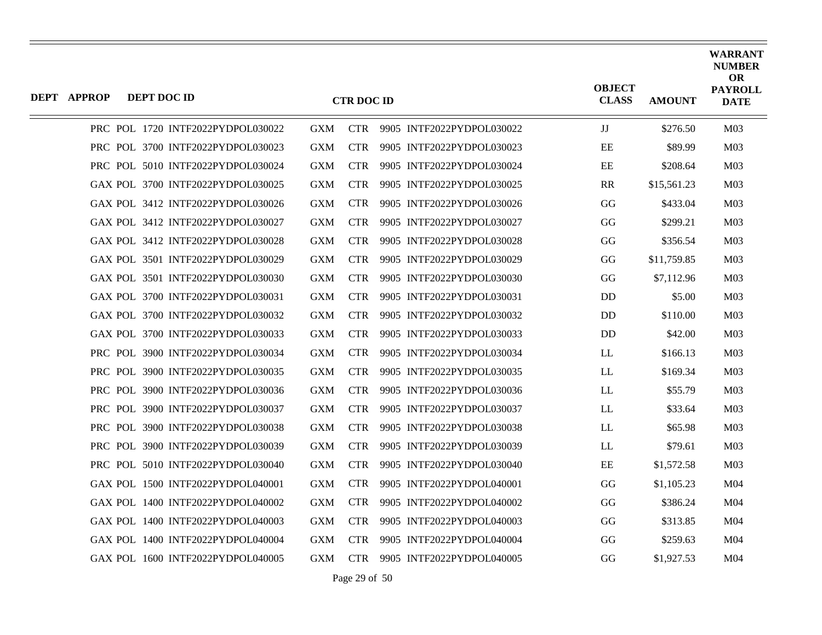| <b>DEPT APPROP</b> | DEPT DOC ID |                                   |            | <b>CTR DOC ID</b> |                           | <b>OBJECT</b><br><b>CLASS</b> | <b>AMOUNT</b> | <b>WARRANT</b><br><b>NUMBER</b><br><b>OR</b><br><b>PAYROLL</b><br><b>DATE</b> |
|--------------------|-------------|-----------------------------------|------------|-------------------|---------------------------|-------------------------------|---------------|-------------------------------------------------------------------------------|
|                    |             | PRC POL 1720 INTF2022PYDPOL030022 | <b>GXM</b> | <b>CTR</b>        | 9905 INTF2022PYDPOL030022 | JJ                            | \$276.50      | M <sub>03</sub>                                                               |
|                    |             | PRC POL 3700 INTF2022PYDPOL030023 | <b>GXM</b> | <b>CTR</b>        | 9905 INTF2022PYDPOL030023 | EE                            | \$89.99       | M <sub>03</sub>                                                               |
|                    |             | PRC POL 5010 INTF2022PYDPOL030024 | <b>GXM</b> | <b>CTR</b>        | 9905 INTF2022PYDPOL030024 | EE                            | \$208.64      | M <sub>03</sub>                                                               |
|                    |             | GAX POL 3700 INTF2022PYDPOL030025 | <b>GXM</b> | <b>CTR</b>        | 9905 INTF2022PYDPOL030025 | <b>RR</b>                     | \$15,561.23   | M <sub>03</sub>                                                               |
|                    |             | GAX POL 3412 INTF2022PYDPOL030026 | <b>GXM</b> | <b>CTR</b>        | 9905 INTF2022PYDPOL030026 | GG                            | \$433.04      | M <sub>03</sub>                                                               |
|                    |             | GAX POL 3412 INTF2022PYDPOL030027 | <b>GXM</b> | <b>CTR</b>        | 9905 INTF2022PYDPOL030027 | GG                            | \$299.21      | M <sub>03</sub>                                                               |
|                    |             | GAX POL 3412 INTF2022PYDPOL030028 | <b>GXM</b> | <b>CTR</b>        | 9905 INTF2022PYDPOL030028 | GG                            | \$356.54      | M <sub>03</sub>                                                               |
|                    |             | GAX POL 3501 INTF2022PYDPOL030029 | <b>GXM</b> | <b>CTR</b>        | 9905 INTF2022PYDPOL030029 | GG                            | \$11,759.85   | M <sub>03</sub>                                                               |
|                    |             | GAX POL 3501 INTF2022PYDPOL030030 | <b>GXM</b> | <b>CTR</b>        | 9905 INTF2022PYDPOL030030 | GG                            | \$7,112.96    | M <sub>03</sub>                                                               |
|                    |             | GAX POL 3700 INTF2022PYDPOL030031 | <b>GXM</b> | <b>CTR</b>        | 9905 INTF2022PYDPOL030031 | <b>DD</b>                     | \$5.00        | M <sub>03</sub>                                                               |
|                    |             | GAX POL 3700 INTF2022PYDPOL030032 | <b>GXM</b> | <b>CTR</b>        | 9905 INTF2022PYDPOL030032 | D <sub>D</sub>                | \$110.00      | M <sub>03</sub>                                                               |
|                    |             | GAX POL 3700 INTF2022PYDPOL030033 | <b>GXM</b> | <b>CTR</b>        | 9905 INTF2022PYDPOL030033 | <b>DD</b>                     | \$42.00       | M <sub>03</sub>                                                               |
|                    |             | PRC POL 3900 INTF2022PYDPOL030034 | <b>GXM</b> | <b>CTR</b>        | 9905 INTF2022PYDPOL030034 | LL                            | \$166.13      | M <sub>03</sub>                                                               |
|                    |             | PRC POL 3900 INTF2022PYDPOL030035 | <b>GXM</b> | <b>CTR</b>        | 9905 INTF2022PYDPOL030035 | LL                            | \$169.34      | M <sub>03</sub>                                                               |
|                    |             | PRC POL 3900 INTF2022PYDPOL030036 | <b>GXM</b> | <b>CTR</b>        | 9905 INTF2022PYDPOL030036 | LL                            | \$55.79       | M <sub>03</sub>                                                               |
|                    |             | PRC POL 3900 INTF2022PYDPOL030037 | <b>GXM</b> | <b>CTR</b>        | 9905 INTF2022PYDPOL030037 | LL                            | \$33.64       | M <sub>03</sub>                                                               |
|                    |             | PRC POL 3900 INTF2022PYDPOL030038 | <b>GXM</b> | <b>CTR</b>        | 9905 INTF2022PYDPOL030038 | LL                            | \$65.98       | M <sub>03</sub>                                                               |
|                    |             | PRC POL 3900 INTF2022PYDPOL030039 | <b>GXM</b> | <b>CTR</b>        | 9905 INTF2022PYDPOL030039 | LL                            | \$79.61       | M <sub>03</sub>                                                               |
|                    |             | PRC POL 5010 INTF2022PYDPOL030040 | <b>GXM</b> | <b>CTR</b>        | 9905 INTF2022PYDPOL030040 | EE                            | \$1,572.58    | M <sub>03</sub>                                                               |
|                    |             | GAX POL 1500 INTF2022PYDPOL040001 | <b>GXM</b> | <b>CTR</b>        | 9905 INTF2022PYDPOL040001 | GG                            | \$1,105.23    | M <sub>04</sub>                                                               |
|                    |             | GAX POL 1400 INTF2022PYDPOL040002 | <b>GXM</b> | <b>CTR</b>        | 9905 INTF2022PYDPOL040002 | GG                            | \$386.24      | M <sub>04</sub>                                                               |
|                    |             | GAX POL 1400 INTF2022PYDPOL040003 | <b>GXM</b> | <b>CTR</b>        | 9905 INTF2022PYDPOL040003 | GG                            | \$313.85      | M <sub>04</sub>                                                               |
|                    |             | GAX POL 1400 INTF2022PYDPOL040004 | <b>GXM</b> | <b>CTR</b>        | 9905 INTF2022PYDPOL040004 | GG                            | \$259.63      | M <sub>04</sub>                                                               |
|                    |             | GAX POL 1600 INTF2022PYDPOL040005 | <b>GXM</b> | <b>CTR</b>        | 9905 INTF2022PYDPOL040005 | GG                            | \$1,927.53    | M04                                                                           |

Page 29 of 50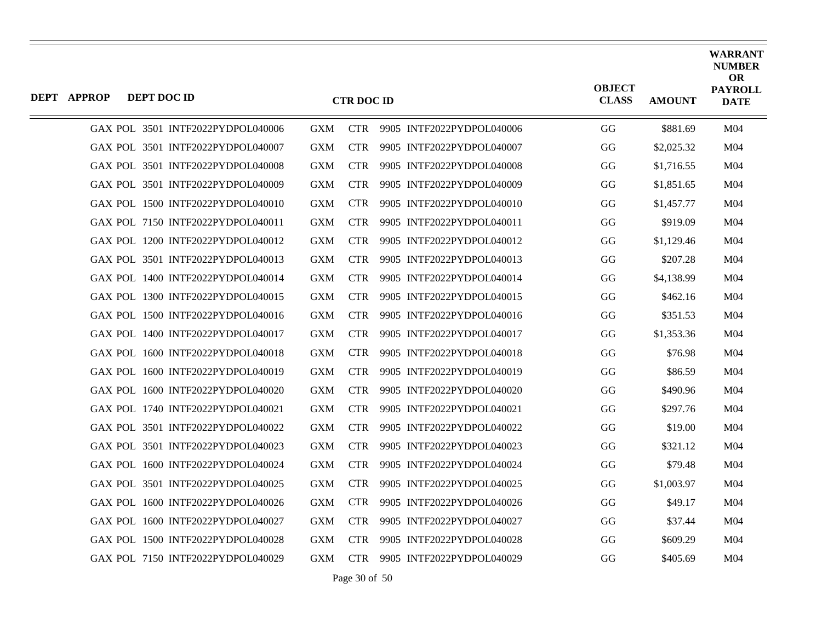| <b>DEPT APPROP</b> | DEPT DOC ID                       |            | <b>CTR DOC ID</b> |                           | <b>OBJECT</b><br><b>CLASS</b> | <b>AMOUNT</b> | <b>WARRANT</b><br><b>NUMBER</b><br><b>OR</b><br><b>PAYROLL</b><br><b>DATE</b> |
|--------------------|-----------------------------------|------------|-------------------|---------------------------|-------------------------------|---------------|-------------------------------------------------------------------------------|
|                    | GAX POL 3501 INTF2022PYDPOL040006 | <b>GXM</b> | <b>CTR</b>        | 9905 INTF2022PYDPOL040006 | GG                            | \$881.69      | M <sub>04</sub>                                                               |
|                    | GAX POL 3501 INTF2022PYDPOL040007 | <b>GXM</b> | <b>CTR</b>        | 9905 INTF2022PYDPOL040007 | GG                            | \$2,025.32    | M04                                                                           |
|                    | GAX POL 3501 INTF2022PYDPOL040008 | <b>GXM</b> | <b>CTR</b>        | 9905 INTF2022PYDPOL040008 | GG                            | \$1,716.55    | M <sub>04</sub>                                                               |
|                    |                                   |            |                   |                           |                               |               |                                                                               |
|                    | GAX POL 3501 INTF2022PYDPOL040009 | <b>GXM</b> | <b>CTR</b>        | 9905 INTF2022PYDPOL040009 | GG                            | \$1,851.65    | M <sub>04</sub>                                                               |
|                    | GAX POL 1500 INTF2022PYDPOL040010 | <b>GXM</b> | <b>CTR</b>        | 9905 INTF2022PYDPOL040010 | GG                            | \$1,457.77    | M <sub>04</sub>                                                               |
|                    | GAX POL 7150 INTF2022PYDPOL040011 | <b>GXM</b> | <b>CTR</b>        | 9905 INTF2022PYDPOL040011 | GG                            | \$919.09      | M04                                                                           |
|                    | GAX POL 1200 INTF2022PYDPOL040012 | <b>GXM</b> | <b>CTR</b>        | 9905 INTF2022PYDPOL040012 | GG                            | \$1,129.46    | M <sub>04</sub>                                                               |
|                    | GAX POL 3501 INTF2022PYDPOL040013 | <b>GXM</b> | <b>CTR</b>        | 9905 INTF2022PYDPOL040013 | GG                            | \$207.28      | M <sub>04</sub>                                                               |
|                    | GAX POL 1400 INTF2022PYDPOL040014 | <b>GXM</b> | <b>CTR</b>        | 9905 INTF2022PYDPOL040014 | GG                            | \$4,138.99    | M <sub>04</sub>                                                               |
|                    | GAX POL 1300 INTF2022PYDPOL040015 | <b>GXM</b> | <b>CTR</b>        | 9905 INTF2022PYDPOL040015 | GG                            | \$462.16      | M <sub>04</sub>                                                               |
|                    | GAX POL 1500 INTF2022PYDPOL040016 | <b>GXM</b> | <b>CTR</b>        | 9905 INTF2022PYDPOL040016 | GG                            | \$351.53      | M04                                                                           |
|                    | GAX POL 1400 INTF2022PYDPOL040017 | <b>GXM</b> | <b>CTR</b>        | 9905 INTF2022PYDPOL040017 | GG                            | \$1,353.36    | M <sub>04</sub>                                                               |
|                    | GAX POL 1600 INTF2022PYDPOL040018 | <b>GXM</b> | <b>CTR</b>        | 9905 INTF2022PYDPOL040018 | GG                            | \$76.98       | M <sub>04</sub>                                                               |
|                    | GAX POL 1600 INTF2022PYDPOL040019 | <b>GXM</b> | <b>CTR</b>        | 9905 INTF2022PYDPOL040019 | GG                            | \$86.59       | M04                                                                           |
|                    | GAX POL 1600 INTF2022PYDPOL040020 | <b>GXM</b> | <b>CTR</b>        | 9905 INTF2022PYDPOL040020 | GG                            | \$490.96      | M <sub>04</sub>                                                               |
|                    | GAX POL 1740 INTF2022PYDPOL040021 | <b>GXM</b> | <b>CTR</b>        | 9905 INTF2022PYDPOL040021 | GG                            | \$297.76      | M <sub>04</sub>                                                               |
|                    | GAX POL 3501 INTF2022PYDPOL040022 | <b>GXM</b> | <b>CTR</b>        | 9905 INTF2022PYDPOL040022 | GG                            | \$19.00       | M <sub>04</sub>                                                               |
|                    | GAX POL 3501 INTF2022PYDPOL040023 | <b>GXM</b> | <b>CTR</b>        | 9905 INTF2022PYDPOL040023 | GG                            | \$321.12      | M <sub>04</sub>                                                               |
|                    | GAX POL 1600 INTF2022PYDPOL040024 | <b>GXM</b> | <b>CTR</b>        | 9905 INTF2022PYDPOL040024 | GG                            | \$79.48       | M <sub>04</sub>                                                               |
|                    | GAX POL 3501 INTF2022PYDPOL040025 | <b>GXM</b> | <b>CTR</b>        | 9905 INTF2022PYDPOL040025 | GG                            | \$1,003.97    | M04                                                                           |
|                    | GAX POL 1600 INTF2022PYDPOL040026 | <b>GXM</b> | <b>CTR</b>        | 9905 INTF2022PYDPOL040026 | GG                            | \$49.17       | M <sub>04</sub>                                                               |
|                    | GAX POL 1600 INTF2022PYDPOL040027 | <b>GXM</b> | <b>CTR</b>        | 9905 INTF2022PYDPOL040027 | GG                            | \$37.44       | M <sub>04</sub>                                                               |
|                    | GAX POL 1500 INTF2022PYDPOL040028 | <b>GXM</b> | <b>CTR</b>        | 9905 INTF2022PYDPOL040028 |                               |               | M <sub>04</sub>                                                               |
|                    |                                   |            |                   |                           | GG                            | \$609.29      |                                                                               |
|                    | GAX POL 7150 INTF2022PYDPOL040029 | <b>GXM</b> | <b>CTR</b>        | 9905 INTF2022PYDPOL040029 | GG                            | \$405.69      | M <sub>04</sub>                                                               |

Page 30 of 50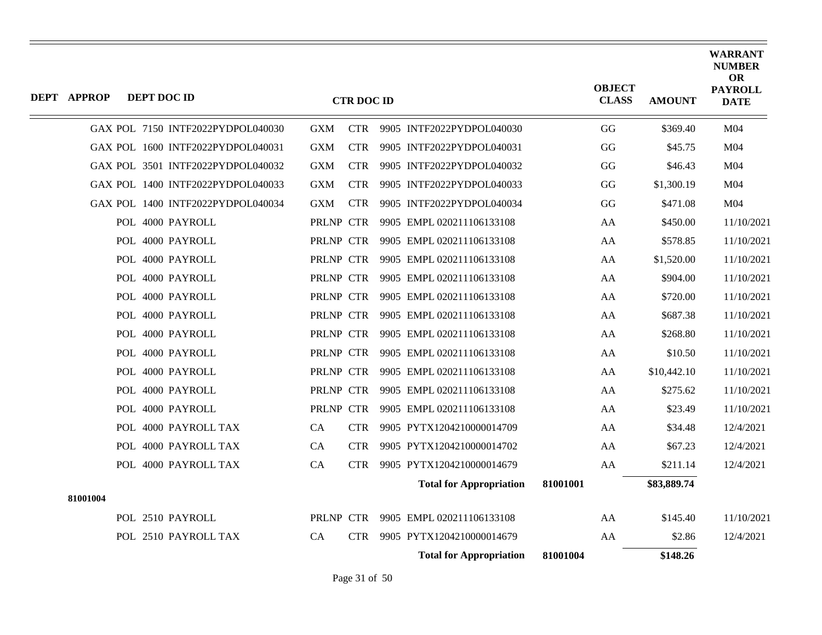| <b>DEPT APPROP</b> | DEPT DOC ID |                                   |            | <b>CTR DOC ID</b> |                                |          | <b>OBJECT</b><br><b>CLASS</b> | <b>AMOUNT</b> | <b>WARRANT</b><br><b>NUMBER</b><br>OR<br><b>PAYROLL</b><br><b>DATE</b> |
|--------------------|-------------|-----------------------------------|------------|-------------------|--------------------------------|----------|-------------------------------|---------------|------------------------------------------------------------------------|
|                    |             | GAX POL 7150 INTF2022PYDPOL040030 | <b>GXM</b> | <b>CTR</b>        | 9905 INTF2022PYDPOL040030      |          | GG                            | \$369.40      | M04                                                                    |
|                    |             | GAX POL 1600 INTF2022PYDPOL040031 | <b>GXM</b> | <b>CTR</b>        | 9905 INTF2022PYDPOL040031      |          | GG                            | \$45.75       | M <sub>04</sub>                                                        |
|                    |             | GAX POL 3501 INTF2022PYDPOL040032 | <b>GXM</b> | <b>CTR</b>        | 9905 INTF2022PYDPOL040032      |          | GG                            | \$46.43       | M04                                                                    |
|                    |             | GAX POL 1400 INTF2022PYDPOL040033 | <b>GXM</b> | <b>CTR</b>        | 9905 INTF2022PYDPOL040033      |          | GG                            | \$1,300.19    | M04                                                                    |
|                    |             | GAX POL 1400 INTF2022PYDPOL040034 | GXM        | <b>CTR</b>        | 9905 INTF2022PYDPOL040034      |          | GG                            | \$471.08      | M04                                                                    |
|                    |             | POL 4000 PAYROLL                  | PRLNP CTR  |                   | 9905 EMPL 020211106133108      |          | AA                            | \$450.00      | 11/10/2021                                                             |
|                    |             | POL 4000 PAYROLL                  | PRLNP CTR  |                   | 9905 EMPL 020211106133108      |          | AA                            | \$578.85      | 11/10/2021                                                             |
|                    |             | POL 4000 PAYROLL                  | PRLNP CTR  |                   | 9905 EMPL 020211106133108      |          | AA                            | \$1,520.00    | 11/10/2021                                                             |
|                    |             | POL 4000 PAYROLL                  | PRLNP CTR  |                   | 9905 EMPL 020211106133108      |          | AA                            | \$904.00      | 11/10/2021                                                             |
|                    |             | POL 4000 PAYROLL                  | PRLNP CTR  |                   | 9905 EMPL 020211106133108      |          | AA                            | \$720.00      | 11/10/2021                                                             |
|                    |             | POL 4000 PAYROLL                  | PRLNP CTR  |                   | 9905 EMPL 020211106133108      |          | AA                            | \$687.38      | 11/10/2021                                                             |
|                    |             | POL 4000 PAYROLL                  | PRLNP CTR  |                   | 9905 EMPL 020211106133108      |          | AA                            | \$268.80      | 11/10/2021                                                             |
|                    |             | POL 4000 PAYROLL                  | PRLNP CTR  |                   | 9905 EMPL 020211106133108      |          | AA                            | \$10.50       | 11/10/2021                                                             |
|                    |             | POL 4000 PAYROLL                  | PRLNP CTR  |                   | 9905 EMPL 020211106133108      |          | AA                            | \$10,442.10   | 11/10/2021                                                             |
|                    |             | POL 4000 PAYROLL                  | PRLNP CTR  |                   | 9905 EMPL 020211106133108      |          | AA                            | \$275.62      | 11/10/2021                                                             |
|                    |             | POL 4000 PAYROLL                  | PRLNP CTR  |                   | 9905 EMPL 020211106133108      |          | AA                            | \$23.49       | 11/10/2021                                                             |
|                    |             | POL 4000 PAYROLL TAX              | CA         | <b>CTR</b>        | 9905 PYTX1204210000014709      |          | AA                            | \$34.48       | 12/4/2021                                                              |
|                    |             | POL 4000 PAYROLL TAX              | CA         | <b>CTR</b>        | 9905 PYTX1204210000014702      |          | AA                            | \$67.23       | 12/4/2021                                                              |
|                    |             | POL 4000 PAYROLL TAX              | CA         | <b>CTR</b>        | 9905 PYTX1204210000014679      |          | AA                            | \$211.14      | 12/4/2021                                                              |
| 81001004           |             |                                   |            |                   | <b>Total for Appropriation</b> | 81001001 |                               | \$83,889.74   |                                                                        |
|                    |             | POL 2510 PAYROLL                  | PRLNP CTR  |                   | 9905 EMPL 020211106133108      |          | AA                            | \$145.40      | 11/10/2021                                                             |
|                    |             | POL 2510 PAYROLL TAX              | CA         | <b>CTR</b>        | 9905 PYTX1204210000014679      |          | AA                            | \$2.86        | 12/4/2021                                                              |
|                    |             |                                   |            |                   | <b>Total for Appropriation</b> | 81001004 |                               | \$148.26      |                                                                        |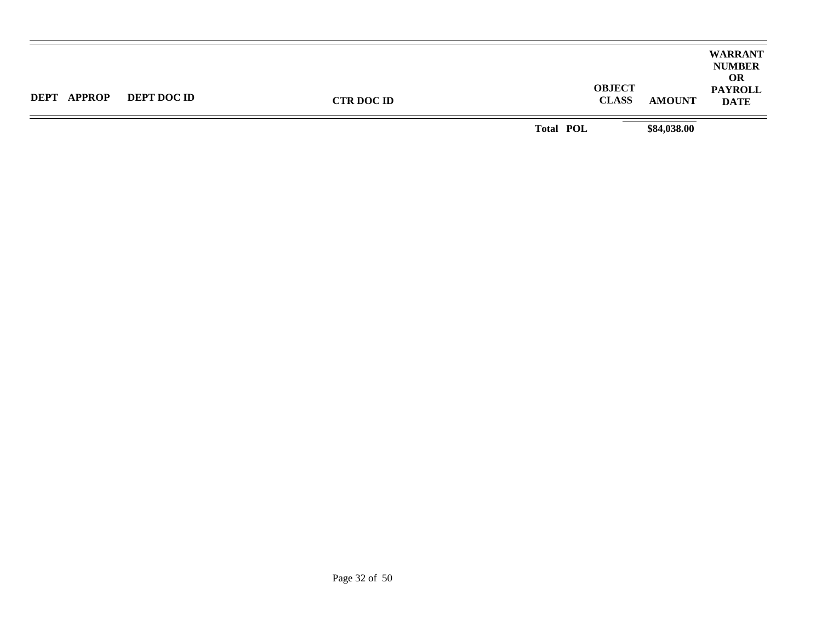| <b>DEPT APPROP</b> | <b>DEPT DOC ID</b> | <b>OBJECT</b><br><b>CLASS</b><br><b>CTR DOC ID</b> | <b>AMOUNT</b> | <b>WARRANT</b><br><b>NUMBER</b><br><b>OR</b><br><b>PAYROLL</b><br><b>DATE</b> |
|--------------------|--------------------|----------------------------------------------------|---------------|-------------------------------------------------------------------------------|
|                    |                    | <b>Total POL</b>                                   | \$84,038.00   |                                                                               |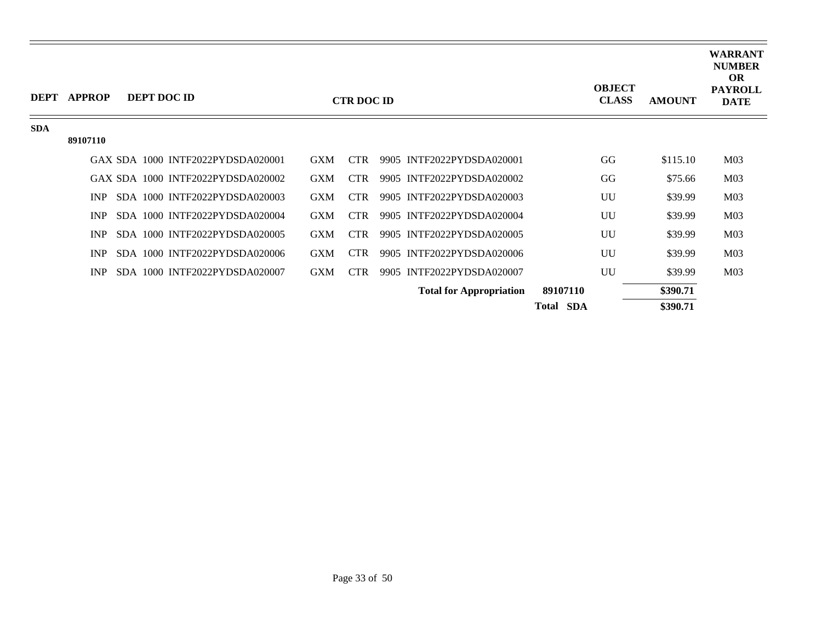| <b>DEPT</b> | <b>APPROP</b> |  | DEPT DOC ID                       |            | <b>CTR DOC ID</b> |                                |                  | <b>OBJECT</b><br><b>CLASS</b> | <b>AMOUNT</b> | <b>WARRANT</b><br><b>NUMBER</b><br><b>OR</b><br><b>PAYROLL</b><br><b>DATE</b> |
|-------------|---------------|--|-----------------------------------|------------|-------------------|--------------------------------|------------------|-------------------------------|---------------|-------------------------------------------------------------------------------|
| <b>SDA</b>  |               |  |                                   |            |                   |                                |                  |                               |               |                                                                               |
|             | 89107110      |  |                                   |            |                   |                                |                  |                               |               |                                                                               |
|             |               |  | GAX SDA 1000 INTF2022PYDSDA020001 | <b>GXM</b> | <b>CTR</b>        | 9905 INTF2022PYDSDA020001      |                  | GG                            | \$115.10      | M <sub>03</sub>                                                               |
|             |               |  | GAX SDA 1000 INTF2022PYDSDA020002 | <b>GXM</b> | <b>CTR</b>        | 9905 INTF2022PYDSDA020002      |                  | GG                            | \$75.66       | M <sub>03</sub>                                                               |
|             | <b>INP</b>    |  | SDA 1000 INTF2022PYDSDA020003     | <b>GXM</b> | CTR.              | 9905 INTF2022PYDSDA020003      |                  | UU                            | \$39.99       | M <sub>03</sub>                                                               |
|             | INP           |  | SDA 1000 INTF2022PYDSDA020004     | <b>GXM</b> | <b>CTR</b>        | 9905 INTF2022PYDSDA020004      |                  | UU                            | \$39.99       | M <sub>03</sub>                                                               |
|             | <b>INP</b>    |  | SDA 1000 INTF2022PYDSDA020005     | <b>GXM</b> | <b>CTR</b>        | 9905 INTF2022PYDSDA020005      |                  | UU                            | \$39.99       | M <sub>03</sub>                                                               |
|             | INP           |  | SDA 1000 INTF2022PYDSDA020006     | <b>GXM</b> | <b>CTR</b>        | 9905 INTF2022PYDSDA020006      |                  | UU                            | \$39.99       | M <sub>03</sub>                                                               |
|             | <b>INP</b>    |  | SDA 1000 INTF2022PYDSDA020007     | <b>GXM</b> | <b>CTR</b>        | 9905 INTF2022PYDSDA020007      |                  | UU                            | \$39.99       | M <sub>03</sub>                                                               |
|             |               |  |                                   |            |                   | <b>Total for Appropriation</b> | 89107110         |                               | \$390.71      |                                                                               |
|             |               |  |                                   |            |                   |                                | <b>Total SDA</b> |                               | \$390.71      |                                                                               |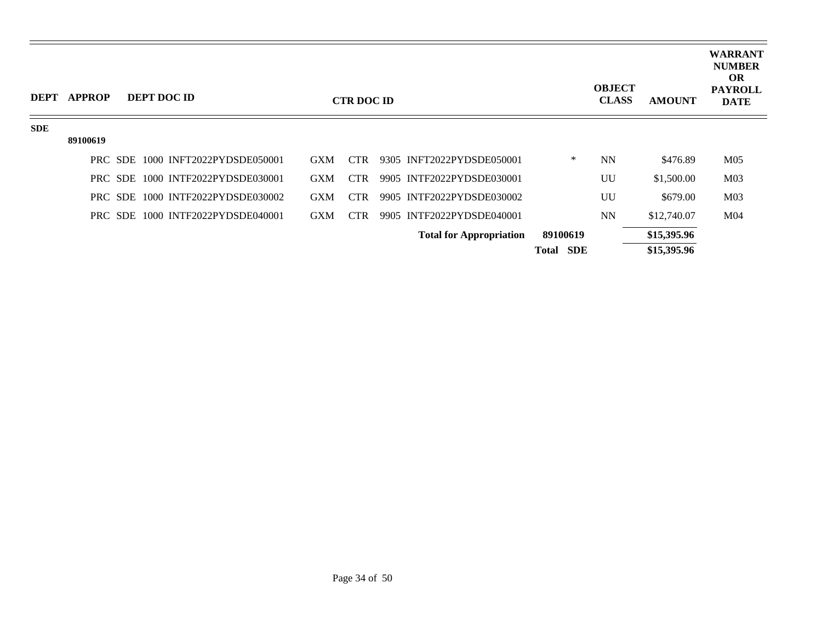| <b>DEPT</b> | <b>APPROP</b> | DEPT DOC ID                       |                           |            | <b>CTR DOC ID</b> |                                |                     | <b>OBJECT</b><br><b>CLASS</b> | <b>AMOUNT</b> | <b>WARRANT</b><br><b>NUMBER</b><br><b>OR</b><br><b>PAYROLL</b><br><b>DATE</b> |
|-------------|---------------|-----------------------------------|---------------------------|------------|-------------------|--------------------------------|---------------------|-------------------------------|---------------|-------------------------------------------------------------------------------|
| <b>SDE</b>  |               |                                   |                           |            |                   |                                |                     |                               |               |                                                                               |
|             | 89100619      |                                   |                           |            |                   |                                |                     |                               |               |                                                                               |
|             |               | PRC SDE 1000 INFT2022PYDSDE050001 |                           | <b>GXM</b> | <b>CTR</b>        | 9305 INFT2022PYDSDE050001      | ∗                   | <b>NN</b>                     | \$476.89      | M <sub>05</sub>                                                               |
|             |               | PRC SDE 1000 INTF2022PYDSDE030001 |                           | <b>GXM</b> | <b>CTR</b>        | 9905 INTF2022PYDSDE030001      |                     | UU                            | \$1,500.00    | M <sub>03</sub>                                                               |
|             |               | PRC SDE                           | 1000 INTF2022PYDSDE030002 | <b>GXM</b> | CTR.              | 9905 INTF2022PYDSDE030002      |                     | UU                            | \$679.00      | M <sub>03</sub>                                                               |
|             |               | PRC SDE 1000 INTF2022PYDSDE040001 |                           | <b>GXM</b> | <b>CTR</b>        | 9905 INTF2022PYDSDE040001      |                     | <b>NN</b>                     | \$12,740.07   | M <sub>04</sub>                                                               |
|             |               |                                   |                           |            |                   | <b>Total for Appropriation</b> | 89100619            |                               | \$15,395.96   |                                                                               |
|             |               |                                   |                           |            |                   |                                | SDE<br><b>Total</b> |                               | \$15,395.96   |                                                                               |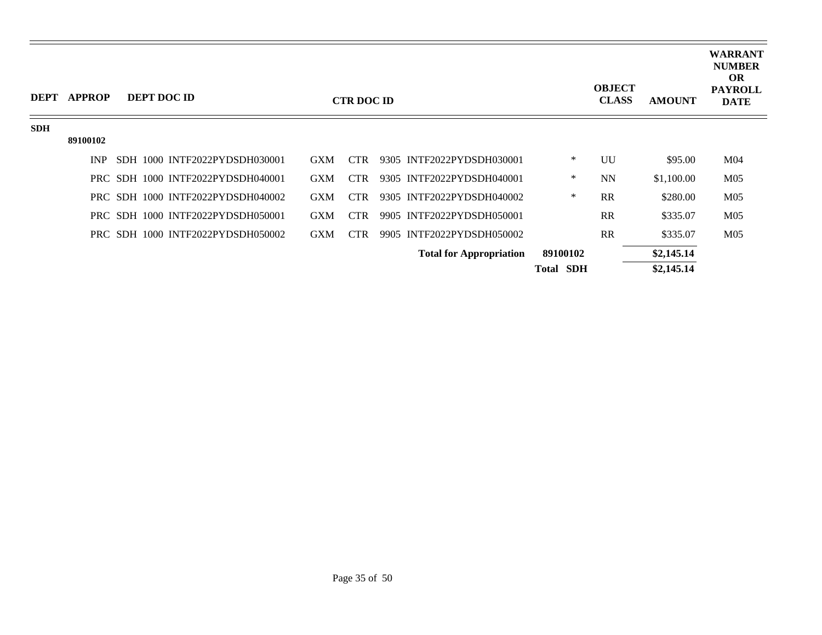| <b>DEPT</b> | <b>APPROP</b> | DEPT DOC ID                       |            | <b>CTR DOC ID</b> |                                |                  | <b>OBJECT</b><br><b>CLASS</b> | <b>AMOUNT</b> | <b>WARRANT</b><br><b>NUMBER</b><br><b>OR</b><br><b>PAYROLL</b><br><b>DATE</b> |
|-------------|---------------|-----------------------------------|------------|-------------------|--------------------------------|------------------|-------------------------------|---------------|-------------------------------------------------------------------------------|
| <b>SDH</b>  |               |                                   |            |                   |                                |                  |                               |               |                                                                               |
|             | 89100102      |                                   |            |                   |                                |                  |                               |               |                                                                               |
|             | <b>INP</b>    | SDH 1000 INTF2022PYDSDH030001     | <b>GXM</b> | <b>CTR</b>        | 9305 INTF2022PYDSDH030001      | $\ast$           | UU                            | \$95.00       | M <sub>04</sub>                                                               |
|             |               | PRC SDH 1000 INTF2022PYDSDH040001 | <b>GXM</b> | <b>CTR</b>        | 9305 INTF2022PYDSDH040001      | $\ast$           | <b>NN</b>                     | \$1,100.00    | M <sub>05</sub>                                                               |
|             |               | PRC SDH 1000 INTF2022PYDSDH040002 | <b>GXM</b> | <b>CTR</b>        | 9305 INTF2022PYDSDH040002      | $\ast$           | RR                            | \$280.00      | M <sub>05</sub>                                                               |
|             |               | PRC SDH 1000 INTF2022PYDSDH050001 | <b>GXM</b> | <b>CTR</b>        | 9905 INTF2022PYDSDH050001      |                  | RR                            | \$335.07      | M <sub>05</sub>                                                               |
|             |               | PRC SDH 1000 INTF2022PYDSDH050002 | <b>GXM</b> | <b>CTR</b>        | 9905 INTF2022PYDSDH050002      |                  | RR                            | \$335.07      | M <sub>05</sub>                                                               |
|             |               |                                   |            |                   | <b>Total for Appropriation</b> | 89100102         |                               | \$2,145.14    |                                                                               |
|             |               |                                   |            |                   |                                | <b>Total SDH</b> |                               | \$2,145.14    |                                                                               |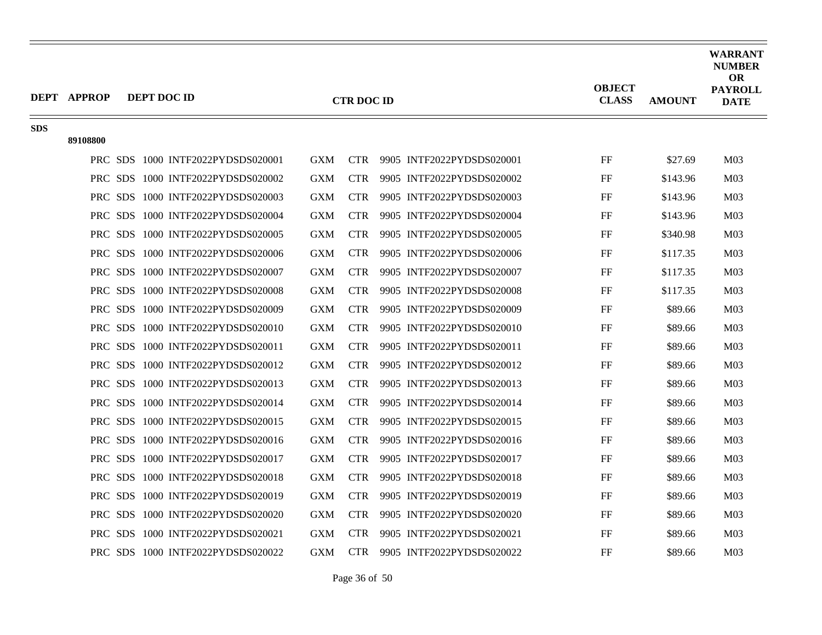| <b>DEPT APPROP</b> |          |                                                                                                                                                                                                                                                                                                                                                                                                                                                                                                                                                                                                                                                                                                                                                                                                                                                                  |                                                                                                                                                        |                                                                                                                                          |                                 | <b>OBJECT</b><br><b>CLASS</b>                                                                                                                                                                                                                                                                                                                                                                                                                                                                                                                                                                                                                              | <b>AMOUNT</b>                                                        | <b>WARRANT</b><br><b>NUMBER</b><br><b>OR</b><br><b>PAYROLL</b><br><b>DATE</b>                                              |
|--------------------|----------|------------------------------------------------------------------------------------------------------------------------------------------------------------------------------------------------------------------------------------------------------------------------------------------------------------------------------------------------------------------------------------------------------------------------------------------------------------------------------------------------------------------------------------------------------------------------------------------------------------------------------------------------------------------------------------------------------------------------------------------------------------------------------------------------------------------------------------------------------------------|--------------------------------------------------------------------------------------------------------------------------------------------------------|------------------------------------------------------------------------------------------------------------------------------------------|---------------------------------|------------------------------------------------------------------------------------------------------------------------------------------------------------------------------------------------------------------------------------------------------------------------------------------------------------------------------------------------------------------------------------------------------------------------------------------------------------------------------------------------------------------------------------------------------------------------------------------------------------------------------------------------------------|----------------------------------------------------------------------|----------------------------------------------------------------------------------------------------------------------------|
|                    |          |                                                                                                                                                                                                                                                                                                                                                                                                                                                                                                                                                                                                                                                                                                                                                                                                                                                                  |                                                                                                                                                        |                                                                                                                                          |                                 |                                                                                                                                                                                                                                                                                                                                                                                                                                                                                                                                                                                                                                                            |                                                                      |                                                                                                                            |
|                    |          |                                                                                                                                                                                                                                                                                                                                                                                                                                                                                                                                                                                                                                                                                                                                                                                                                                                                  |                                                                                                                                                        |                                                                                                                                          |                                 |                                                                                                                                                                                                                                                                                                                                                                                                                                                                                                                                                                                                                                                            |                                                                      | M <sub>03</sub>                                                                                                            |
|                    |          |                                                                                                                                                                                                                                                                                                                                                                                                                                                                                                                                                                                                                                                                                                                                                                                                                                                                  |                                                                                                                                                        |                                                                                                                                          |                                 |                                                                                                                                                                                                                                                                                                                                                                                                                                                                                                                                                                                                                                                            |                                                                      | M <sub>03</sub>                                                                                                            |
|                    |          |                                                                                                                                                                                                                                                                                                                                                                                                                                                                                                                                                                                                                                                                                                                                                                                                                                                                  |                                                                                                                                                        |                                                                                                                                          |                                 |                                                                                                                                                                                                                                                                                                                                                                                                                                                                                                                                                                                                                                                            |                                                                      |                                                                                                                            |
|                    |          |                                                                                                                                                                                                                                                                                                                                                                                                                                                                                                                                                                                                                                                                                                                                                                                                                                                                  |                                                                                                                                                        |                                                                                                                                          |                                 |                                                                                                                                                                                                                                                                                                                                                                                                                                                                                                                                                                                                                                                            |                                                                      | M <sub>03</sub>                                                                                                            |
|                    |          |                                                                                                                                                                                                                                                                                                                                                                                                                                                                                                                                                                                                                                                                                                                                                                                                                                                                  |                                                                                                                                                        |                                                                                                                                          |                                 |                                                                                                                                                                                                                                                                                                                                                                                                                                                                                                                                                                                                                                                            |                                                                      | M <sub>03</sub>                                                                                                            |
|                    |          |                                                                                                                                                                                                                                                                                                                                                                                                                                                                                                                                                                                                                                                                                                                                                                                                                                                                  |                                                                                                                                                        |                                                                                                                                          |                                 |                                                                                                                                                                                                                                                                                                                                                                                                                                                                                                                                                                                                                                                            |                                                                      | M <sub>03</sub>                                                                                                            |
|                    |          |                                                                                                                                                                                                                                                                                                                                                                                                                                                                                                                                                                                                                                                                                                                                                                                                                                                                  |                                                                                                                                                        |                                                                                                                                          |                                 |                                                                                                                                                                                                                                                                                                                                                                                                                                                                                                                                                                                                                                                            |                                                                      | M <sub>03</sub>                                                                                                            |
|                    |          | <b>GXM</b>                                                                                                                                                                                                                                                                                                                                                                                                                                                                                                                                                                                                                                                                                                                                                                                                                                                       | <b>CTR</b>                                                                                                                                             |                                                                                                                                          |                                 | FF                                                                                                                                                                                                                                                                                                                                                                                                                                                                                                                                                                                                                                                         | \$117.35                                                             | M <sub>03</sub>                                                                                                            |
|                    |          | <b>GXM</b>                                                                                                                                                                                                                                                                                                                                                                                                                                                                                                                                                                                                                                                                                                                                                                                                                                                       | <b>CTR</b>                                                                                                                                             |                                                                                                                                          |                                 | FF                                                                                                                                                                                                                                                                                                                                                                                                                                                                                                                                                                                                                                                         | \$117.35                                                             | M <sub>03</sub>                                                                                                            |
|                    |          | <b>GXM</b>                                                                                                                                                                                                                                                                                                                                                                                                                                                                                                                                                                                                                                                                                                                                                                                                                                                       | <b>CTR</b>                                                                                                                                             |                                                                                                                                          |                                 | FF                                                                                                                                                                                                                                                                                                                                                                                                                                                                                                                                                                                                                                                         | \$89.66                                                              | M <sub>03</sub>                                                                                                            |
|                    |          | <b>GXM</b>                                                                                                                                                                                                                                                                                                                                                                                                                                                                                                                                                                                                                                                                                                                                                                                                                                                       | <b>CTR</b>                                                                                                                                             |                                                                                                                                          |                                 | FF                                                                                                                                                                                                                                                                                                                                                                                                                                                                                                                                                                                                                                                         | \$89.66                                                              | M <sub>03</sub>                                                                                                            |
|                    |          | <b>GXM</b>                                                                                                                                                                                                                                                                                                                                                                                                                                                                                                                                                                                                                                                                                                                                                                                                                                                       | <b>CTR</b>                                                                                                                                             |                                                                                                                                          |                                 | FF                                                                                                                                                                                                                                                                                                                                                                                                                                                                                                                                                                                                                                                         | \$89.66                                                              | M <sub>03</sub>                                                                                                            |
|                    |          | <b>GXM</b>                                                                                                                                                                                                                                                                                                                                                                                                                                                                                                                                                                                                                                                                                                                                                                                                                                                       | <b>CTR</b>                                                                                                                                             |                                                                                                                                          |                                 | FF                                                                                                                                                                                                                                                                                                                                                                                                                                                                                                                                                                                                                                                         | \$89.66                                                              | M <sub>03</sub>                                                                                                            |
|                    |          | <b>GXM</b>                                                                                                                                                                                                                                                                                                                                                                                                                                                                                                                                                                                                                                                                                                                                                                                                                                                       | <b>CTR</b>                                                                                                                                             |                                                                                                                                          |                                 | FF                                                                                                                                                                                                                                                                                                                                                                                                                                                                                                                                                                                                                                                         | \$89.66                                                              | M <sub>03</sub>                                                                                                            |
|                    |          | <b>GXM</b>                                                                                                                                                                                                                                                                                                                                                                                                                                                                                                                                                                                                                                                                                                                                                                                                                                                       | <b>CTR</b>                                                                                                                                             |                                                                                                                                          |                                 | FF                                                                                                                                                                                                                                                                                                                                                                                                                                                                                                                                                                                                                                                         | \$89.66                                                              | M <sub>03</sub>                                                                                                            |
|                    |          | <b>GXM</b>                                                                                                                                                                                                                                                                                                                                                                                                                                                                                                                                                                                                                                                                                                                                                                                                                                                       | <b>CTR</b>                                                                                                                                             |                                                                                                                                          |                                 | FF                                                                                                                                                                                                                                                                                                                                                                                                                                                                                                                                                                                                                                                         | \$89.66                                                              | M <sub>03</sub>                                                                                                            |
|                    |          | <b>GXM</b>                                                                                                                                                                                                                                                                                                                                                                                                                                                                                                                                                                                                                                                                                                                                                                                                                                                       | <b>CTR</b>                                                                                                                                             |                                                                                                                                          |                                 | FF                                                                                                                                                                                                                                                                                                                                                                                                                                                                                                                                                                                                                                                         | \$89.66                                                              | M <sub>03</sub>                                                                                                            |
|                    |          | <b>GXM</b>                                                                                                                                                                                                                                                                                                                                                                                                                                                                                                                                                                                                                                                                                                                                                                                                                                                       | <b>CTR</b>                                                                                                                                             |                                                                                                                                          |                                 | FF                                                                                                                                                                                                                                                                                                                                                                                                                                                                                                                                                                                                                                                         | \$89.66                                                              | M <sub>03</sub>                                                                                                            |
|                    |          |                                                                                                                                                                                                                                                                                                                                                                                                                                                                                                                                                                                                                                                                                                                                                                                                                                                                  |                                                                                                                                                        |                                                                                                                                          |                                 |                                                                                                                                                                                                                                                                                                                                                                                                                                                                                                                                                                                                                                                            |                                                                      | M <sub>03</sub>                                                                                                            |
|                    |          |                                                                                                                                                                                                                                                                                                                                                                                                                                                                                                                                                                                                                                                                                                                                                                                                                                                                  |                                                                                                                                                        |                                                                                                                                          |                                 |                                                                                                                                                                                                                                                                                                                                                                                                                                                                                                                                                                                                                                                            |                                                                      | M <sub>03</sub>                                                                                                            |
|                    |          |                                                                                                                                                                                                                                                                                                                                                                                                                                                                                                                                                                                                                                                                                                                                                                                                                                                                  |                                                                                                                                                        |                                                                                                                                          |                                 |                                                                                                                                                                                                                                                                                                                                                                                                                                                                                                                                                                                                                                                            |                                                                      | M <sub>03</sub>                                                                                                            |
|                    |          |                                                                                                                                                                                                                                                                                                                                                                                                                                                                                                                                                                                                                                                                                                                                                                                                                                                                  |                                                                                                                                                        |                                                                                                                                          |                                 |                                                                                                                                                                                                                                                                                                                                                                                                                                                                                                                                                                                                                                                            |                                                                      | M <sub>03</sub>                                                                                                            |
|                    |          |                                                                                                                                                                                                                                                                                                                                                                                                                                                                                                                                                                                                                                                                                                                                                                                                                                                                  |                                                                                                                                                        |                                                                                                                                          |                                 |                                                                                                                                                                                                                                                                                                                                                                                                                                                                                                                                                                                                                                                            |                                                                      | M <sub>03</sub>                                                                                                            |
|                    | 89108800 | <b>DEPT DOC ID</b><br>PRC SDS 1000 INTF2022PYDSDS020001<br>PRC SDS 1000 INTF2022PYDSDS020002<br>PRC SDS 1000 INTF2022PYDSDS020003<br>PRC SDS 1000 INTF2022PYDSDS020004<br>PRC SDS 1000 INTF2022PYDSDS020005<br>PRC SDS 1000 INTF2022PYDSDS020006<br>PRC SDS 1000 INTF2022PYDSDS020007<br>PRC SDS 1000 INTF2022PYDSDS020008<br>PRC SDS 1000 INTF2022PYDSDS020009<br>PRC SDS 1000 INTF2022PYDSDS020010<br>PRC SDS 1000 INTF2022PYDSDS020011<br>PRC SDS 1000 INTF2022PYDSDS020012<br>PRC SDS 1000 INTF2022PYDSDS020013<br>PRC SDS 1000 INTF2022PYDSDS020014<br>PRC SDS 1000 INTF2022PYDSDS020015<br>PRC SDS 1000 INTF2022PYDSDS020016<br>PRC SDS 1000 INTF2022PYDSDS020017<br>PRC SDS 1000 INTF2022PYDSDS020018<br>PRC SDS 1000 INTF2022PYDSDS020019<br>PRC SDS 1000 INTF2022PYDSDS020020<br>PRC SDS 1000 INTF2022PYDSDS020021<br>PRC SDS 1000 INTF2022PYDSDS020022 | <b>GXM</b><br><b>GXM</b><br><b>GXM</b><br><b>GXM</b><br><b>GXM</b><br><b>GXM</b><br><b>GXM</b><br><b>GXM</b><br><b>GXM</b><br><b>GXM</b><br><b>GXM</b> | <b>CTR</b><br><b>CTR</b><br><b>CTR</b><br><b>CTR</b><br><b>CTR</b><br><b>CTR</b><br><b>CTR</b><br><b>CTR</b><br><b>CTR</b><br><b>CTR</b> | <b>CTR DOC ID</b><br><b>CTR</b> | 9905 INTF2022PYDSDS020001<br>9905 INTF2022PYDSDS020002<br>9905 INTF2022PYDSDS020003<br>9905 INTF2022PYDSDS020004<br>9905 INTF2022PYDSDS020005<br>9905 INTF2022PYDSDS020006<br>9905 INTF2022PYDSDS020007<br>9905 INTF2022PYDSDS020008<br>9905 INTF2022PYDSDS020009<br>9905 INTF2022PYDSDS020010<br>9905 INTF2022PYDSDS020011<br>9905 INTF2022PYDSDS020012<br>9905 INTF2022PYDSDS020013<br>9905 INTF2022PYDSDS020014<br>9905 INTF2022PYDSDS020015<br>9905 INTF2022PYDSDS020016<br>9905 INTF2022PYDSDS020017<br>9905 INTF2022PYDSDS020018<br>9905 INTF2022PYDSDS020019<br>9905 INTF2022PYDSDS020020<br>9905 INTF2022PYDSDS020021<br>9905 INTF2022PYDSDS020022 | FF<br>FF<br>FF<br>FF<br>FF<br>FF<br>FF<br>FF<br>FF<br>FF<br>$\rm FF$ | \$27.69<br>\$143.96<br>\$143.96<br>\$143.96<br>\$340.98<br>\$117.35<br>\$89.66<br>\$89.66<br>\$89.66<br>\$89.66<br>\$89.66 |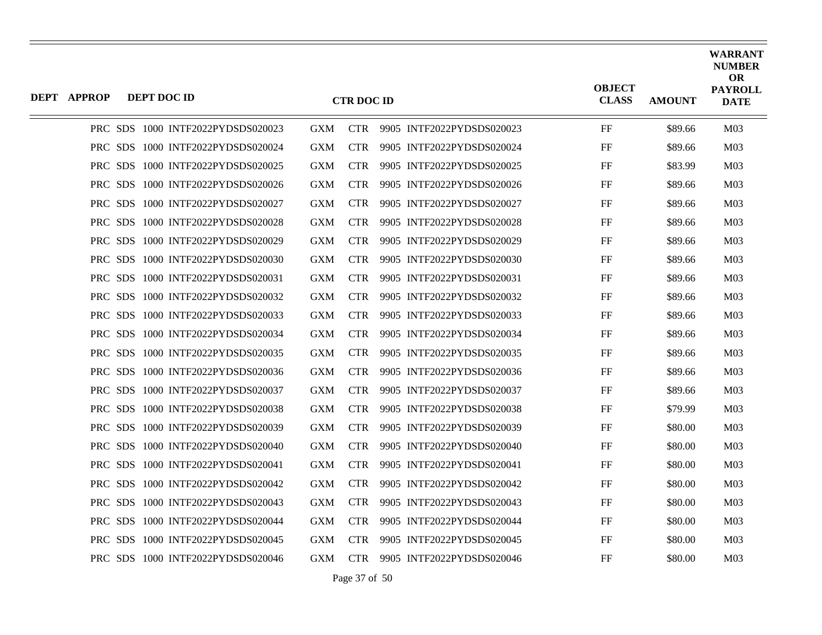| <b>DEPT APPROP</b> | DEPT DOC ID |                                   |            | <b>CTR DOC ID</b> |                           | <b>OBJECT</b><br><b>CLASS</b> | <b>AMOUNT</b> | <b>WARRANT</b><br><b>NUMBER</b><br><b>OR</b><br><b>PAYROLL</b><br><b>DATE</b> |
|--------------------|-------------|-----------------------------------|------------|-------------------|---------------------------|-------------------------------|---------------|-------------------------------------------------------------------------------|
|                    |             | PRC SDS 1000 INTF2022PYDSDS020023 | <b>GXM</b> | <b>CTR</b>        | 9905 INTF2022PYDSDS020023 | FF                            | \$89.66       | M <sub>03</sub>                                                               |
|                    |             | PRC SDS 1000 INTF2022PYDSDS020024 | <b>GXM</b> | <b>CTR</b>        | 9905 INTF2022PYDSDS020024 | FF                            | \$89.66       | M <sub>03</sub>                                                               |
|                    |             | PRC SDS 1000 INTF2022PYDSDS020025 | <b>GXM</b> | <b>CTR</b>        | 9905 INTF2022PYDSDS020025 | FF                            | \$83.99       | M <sub>03</sub>                                                               |
|                    |             | PRC SDS 1000 INTF2022PYDSDS020026 | <b>GXM</b> | <b>CTR</b>        | 9905 INTF2022PYDSDS020026 | FF                            | \$89.66       | M <sub>03</sub>                                                               |
|                    |             | PRC SDS 1000 INTF2022PYDSDS020027 | <b>GXM</b> | <b>CTR</b>        | 9905 INTF2022PYDSDS020027 | FF                            | \$89.66       | M <sub>03</sub>                                                               |
|                    |             | PRC SDS 1000 INTF2022PYDSDS020028 | <b>GXM</b> | <b>CTR</b>        | 9905 INTF2022PYDSDS020028 | FF                            | \$89.66       | M <sub>03</sub>                                                               |
|                    |             | PRC SDS 1000 INTF2022PYDSDS020029 | <b>GXM</b> | <b>CTR</b>        | 9905 INTF2022PYDSDS020029 | FF                            | \$89.66       | M <sub>03</sub>                                                               |
|                    |             | PRC SDS 1000 INTF2022PYDSDS020030 | <b>GXM</b> | <b>CTR</b>        | 9905 INTF2022PYDSDS020030 | FF                            | \$89.66       | M <sub>03</sub>                                                               |
|                    |             | PRC SDS 1000 INTF2022PYDSDS020031 | <b>GXM</b> | <b>CTR</b>        | 9905 INTF2022PYDSDS020031 | FF                            | \$89.66       | M <sub>03</sub>                                                               |
|                    |             | PRC SDS 1000 INTF2022PYDSDS020032 | <b>GXM</b> | <b>CTR</b>        | 9905 INTF2022PYDSDS020032 | FF                            | \$89.66       | M <sub>03</sub>                                                               |
|                    |             | PRC SDS 1000 INTF2022PYDSDS020033 | <b>GXM</b> | <b>CTR</b>        | 9905 INTF2022PYDSDS020033 | FF                            | \$89.66       | M <sub>03</sub>                                                               |
|                    |             | PRC SDS 1000 INTF2022PYDSDS020034 | <b>GXM</b> | <b>CTR</b>        | 9905 INTF2022PYDSDS020034 | FF                            | \$89.66       | M <sub>03</sub>                                                               |
|                    |             | PRC SDS 1000 INTF2022PYDSDS020035 | <b>GXM</b> | <b>CTR</b>        | 9905 INTF2022PYDSDS020035 | FF                            | \$89.66       | M <sub>03</sub>                                                               |
|                    |             | PRC SDS 1000 INTF2022PYDSDS020036 | <b>GXM</b> | <b>CTR</b>        | 9905 INTF2022PYDSDS020036 | FF                            | \$89.66       | M <sub>03</sub>                                                               |
|                    |             | PRC SDS 1000 INTF2022PYDSDS020037 | <b>GXM</b> | <b>CTR</b>        | 9905 INTF2022PYDSDS020037 | FF                            | \$89.66       | M <sub>03</sub>                                                               |
|                    |             | PRC SDS 1000 INTF2022PYDSDS020038 | <b>GXM</b> | <b>CTR</b>        | 9905 INTF2022PYDSDS020038 | FF                            | \$79.99       | M <sub>03</sub>                                                               |
|                    |             | PRC SDS 1000 INTF2022PYDSDS020039 | <b>GXM</b> | <b>CTR</b>        | 9905 INTF2022PYDSDS020039 | FF                            | \$80.00       | M <sub>03</sub>                                                               |
|                    |             | PRC SDS 1000 INTF2022PYDSDS020040 | <b>GXM</b> | <b>CTR</b>        | 9905 INTF2022PYDSDS020040 | FF                            | \$80.00       | M <sub>03</sub>                                                               |
|                    |             | PRC SDS 1000 INTF2022PYDSDS020041 | <b>GXM</b> | <b>CTR</b>        | 9905 INTF2022PYDSDS020041 | FF                            | \$80.00       | M <sub>03</sub>                                                               |
|                    |             | PRC SDS 1000 INTF2022PYDSDS020042 | <b>GXM</b> | <b>CTR</b>        | 9905 INTF2022PYDSDS020042 | FF                            | \$80.00       | M <sub>03</sub>                                                               |
|                    |             | PRC SDS 1000 INTF2022PYDSDS020043 | <b>GXM</b> | <b>CTR</b>        | 9905 INTF2022PYDSDS020043 | FF                            | \$80.00       | M <sub>03</sub>                                                               |
|                    |             | PRC SDS 1000 INTF2022PYDSDS020044 | <b>GXM</b> | <b>CTR</b>        | 9905 INTF2022PYDSDS020044 | FF                            | \$80.00       | M <sub>03</sub>                                                               |
|                    |             | PRC SDS 1000 INTF2022PYDSDS020045 | <b>GXM</b> | <b>CTR</b>        | 9905 INTF2022PYDSDS020045 | FF                            | \$80.00       | M <sub>03</sub>                                                               |
|                    |             | PRC SDS 1000 INTF2022PYDSDS020046 | <b>GXM</b> | CTR -             | 9905 INTF2022PYDSDS020046 | FF                            | \$80.00       | M <sub>03</sub>                                                               |

Page 37 of 50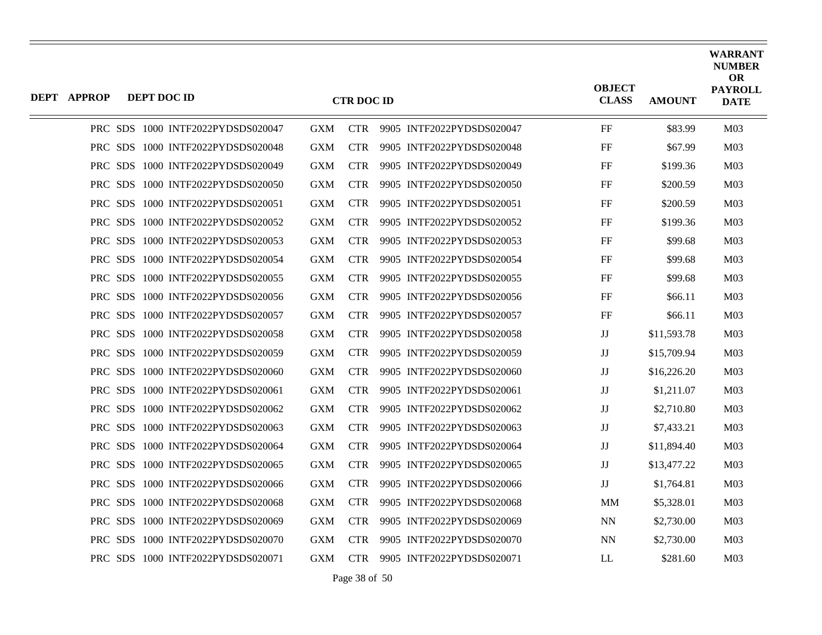| <b>DEPT APPROP</b> | DEPT DOC ID |                                   |            | <b>CTR DOC ID</b> |                           | <b>OBJECT</b><br><b>CLASS</b> | <b>AMOUNT</b> | <b>WARRANT</b><br><b>NUMBER</b><br><b>OR</b><br><b>PAYROLL</b><br><b>DATE</b> |
|--------------------|-------------|-----------------------------------|------------|-------------------|---------------------------|-------------------------------|---------------|-------------------------------------------------------------------------------|
|                    |             | PRC SDS 1000 INTF2022PYDSDS020047 | <b>GXM</b> | <b>CTR</b>        | 9905 INTF2022PYDSDS020047 | FF                            | \$83.99       | M <sub>03</sub>                                                               |
|                    |             | PRC SDS 1000 INTF2022PYDSDS020048 | <b>GXM</b> | <b>CTR</b>        | 9905 INTF2022PYDSDS020048 | FF                            | \$67.99       | M <sub>03</sub>                                                               |
|                    |             | PRC SDS 1000 INTF2022PYDSDS020049 | <b>GXM</b> | <b>CTR</b>        | 9905 INTF2022PYDSDS020049 | FF                            | \$199.36      | M <sub>03</sub>                                                               |
|                    |             | PRC SDS 1000 INTF2022PYDSDS020050 | <b>GXM</b> | <b>CTR</b>        | 9905 INTF2022PYDSDS020050 | FF                            | \$200.59      | M <sub>03</sub>                                                               |
|                    |             | PRC SDS 1000 INTF2022PYDSDS020051 | <b>GXM</b> | <b>CTR</b>        | 9905 INTF2022PYDSDS020051 | FF                            | \$200.59      | M <sub>03</sub>                                                               |
|                    |             | PRC SDS 1000 INTF2022PYDSDS020052 | <b>GXM</b> | <b>CTR</b>        | 9905 INTF2022PYDSDS020052 | FF                            | \$199.36      | M <sub>03</sub>                                                               |
|                    |             | PRC SDS 1000 INTF2022PYDSDS020053 | <b>GXM</b> | <b>CTR</b>        | 9905 INTF2022PYDSDS020053 | FF                            | \$99.68       | M <sub>03</sub>                                                               |
|                    |             | PRC SDS 1000 INTF2022PYDSDS020054 | <b>GXM</b> | <b>CTR</b>        | 9905 INTF2022PYDSDS020054 | FF                            | \$99.68       | M <sub>03</sub>                                                               |
|                    |             | PRC SDS 1000 INTF2022PYDSDS020055 | <b>GXM</b> | <b>CTR</b>        | 9905 INTF2022PYDSDS020055 | FF                            | \$99.68       | M <sub>03</sub>                                                               |
|                    |             | PRC SDS 1000 INTF2022PYDSDS020056 | <b>GXM</b> | <b>CTR</b>        | 9905 INTF2022PYDSDS020056 | FF                            | \$66.11       | M <sub>03</sub>                                                               |
|                    |             | PRC SDS 1000 INTF2022PYDSDS020057 | <b>GXM</b> | <b>CTR</b>        | 9905 INTF2022PYDSDS020057 | FF                            | \$66.11       | M <sub>03</sub>                                                               |
|                    |             | PRC SDS 1000 INTF2022PYDSDS020058 | <b>GXM</b> | <b>CTR</b>        | 9905 INTF2022PYDSDS020058 | $_{\rm JJ}$                   | \$11,593.78   | M <sub>03</sub>                                                               |
|                    |             | PRC SDS 1000 INTF2022PYDSDS020059 | <b>GXM</b> | <b>CTR</b>        | 9905 INTF2022PYDSDS020059 | $_{\rm JJ}$                   | \$15,709.94   | M <sub>03</sub>                                                               |
|                    |             | PRC SDS 1000 INTF2022PYDSDS020060 | <b>GXM</b> | <b>CTR</b>        | 9905 INTF2022PYDSDS020060 | $_{\rm JJ}$                   | \$16,226.20   | M <sub>03</sub>                                                               |
|                    |             | PRC SDS 1000 INTF2022PYDSDS020061 | <b>GXM</b> | <b>CTR</b>        | 9905 INTF2022PYDSDS020061 | $\mathbf{J}\mathbf{J}$        | \$1,211.07    | M <sub>03</sub>                                                               |
|                    |             | PRC SDS 1000 INTF2022PYDSDS020062 | <b>GXM</b> | <b>CTR</b>        | 9905 INTF2022PYDSDS020062 | $\mathbf{J}\mathbf{J}$        | \$2,710.80    | M <sub>03</sub>                                                               |
|                    |             | PRC SDS 1000 INTF2022PYDSDS020063 | <b>GXM</b> | <b>CTR</b>        | 9905 INTF2022PYDSDS020063 | $_{\rm JJ}$                   | \$7,433.21    | M <sub>03</sub>                                                               |
|                    |             | PRC SDS 1000 INTF2022PYDSDS020064 | <b>GXM</b> | <b>CTR</b>        | 9905 INTF2022PYDSDS020064 | $_{\rm JJ}$                   | \$11,894.40   | M <sub>03</sub>                                                               |
|                    |             | PRC SDS 1000 INTF2022PYDSDS020065 | <b>GXM</b> | <b>CTR</b>        | 9905 INTF2022PYDSDS020065 | $_{\rm JJ}$                   | \$13,477.22   | M <sub>03</sub>                                                               |
|                    |             | PRC SDS 1000 INTF2022PYDSDS020066 | <b>GXM</b> | <b>CTR</b>        | 9905 INTF2022PYDSDS020066 | $\mathbf{J}\mathbf{J}$        | \$1,764.81    | M <sub>03</sub>                                                               |
|                    |             | PRC SDS 1000 INTF2022PYDSDS020068 | <b>GXM</b> | <b>CTR</b>        | 9905 INTF2022PYDSDS020068 | MМ                            | \$5,328.01    | M <sub>03</sub>                                                               |
|                    |             | PRC SDS 1000 INTF2022PYDSDS020069 | <b>GXM</b> | <b>CTR</b>        | 9905 INTF2022PYDSDS020069 | <b>NN</b>                     | \$2,730.00    | M <sub>03</sub>                                                               |
|                    |             | PRC SDS 1000 INTF2022PYDSDS020070 | <b>GXM</b> | <b>CTR</b>        | 9905 INTF2022PYDSDS020070 | <b>NN</b>                     | \$2,730.00    | M <sub>03</sub>                                                               |
|                    |             | PRC SDS 1000 INTF2022PYDSDS020071 | <b>GXM</b> | <b>CTR</b>        | 9905 INTF2022PYDSDS020071 | <b>LL</b>                     | \$281.60      | M <sub>03</sub>                                                               |

Page 38 of 50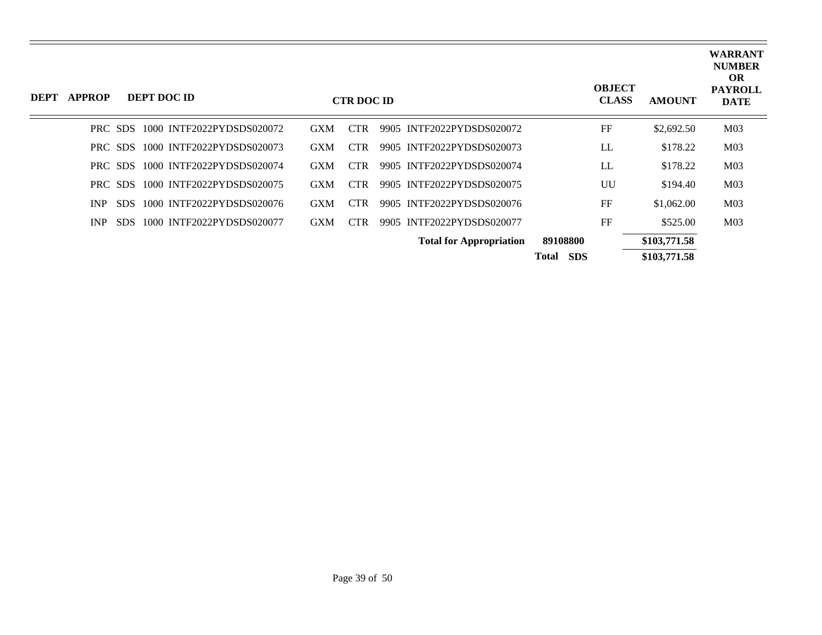| DEPT | <b>APPROP</b> |         | DEPT DOC ID                       |            | <b>CTR DOC ID</b> |                                |                            | <b>OBJECT</b><br><b>CLASS</b> | <b>AMOUNT</b> | <b>WARRANT</b><br><b>NUMBER</b><br><b>OR</b><br><b>PAYROLL</b><br><b>DATE</b> |
|------|---------------|---------|-----------------------------------|------------|-------------------|--------------------------------|----------------------------|-------------------------------|---------------|-------------------------------------------------------------------------------|
|      |               | PRC SDS | 1000 INTF2022PYDSDS020072         | <b>GXM</b> | <b>CTR</b>        | 9905 INTF2022PYDSDS020072      |                            | FF                            | \$2,692.50    | M <sub>03</sub>                                                               |
|      |               | PRC SDS | 1000 INTF2022PYDSDS020073         | <b>GXM</b> | CTR.              | 9905 INTF2022PYDSDS020073      |                            | LL                            | \$178.22      | M <sub>03</sub>                                                               |
|      |               |         | PRC SDS 1000 INTF2022PYDSDS020074 | <b>GXM</b> | <b>CTR</b>        | 9905 INTF2022PYDSDS020074      |                            | LL                            | \$178.22      | M <sub>03</sub>                                                               |
|      |               | PRC SDS | 1000 INTF2022PYDSDS020075         | <b>GXM</b> | <b>CTR</b>        | 9905 INTF2022PYDSDS020075      |                            | UU                            | \$194.40      | M <sub>03</sub>                                                               |
|      | INP.          | SDS.    | 1000 INTF2022PYDSDS020076         | <b>GXM</b> | <b>CTR</b>        | 9905 INTF2022PYDSDS020076      |                            | FF                            | \$1,062.00    | M <sub>03</sub>                                                               |
|      | INP           | SDS.    | 1000 INTF2022PYDSDS020077         | <b>GXM</b> | <b>CTR</b>        | 9905 INTF2022PYDSDS020077      |                            | FF                            | \$525.00      | M <sub>03</sub>                                                               |
|      |               |         |                                   |            |                   | <b>Total for Appropriation</b> | 89108800                   |                               | \$103,771.58  |                                                                               |
|      |               |         |                                   |            |                   |                                | <b>SDS</b><br><b>Total</b> |                               | \$103,771.58  |                                                                               |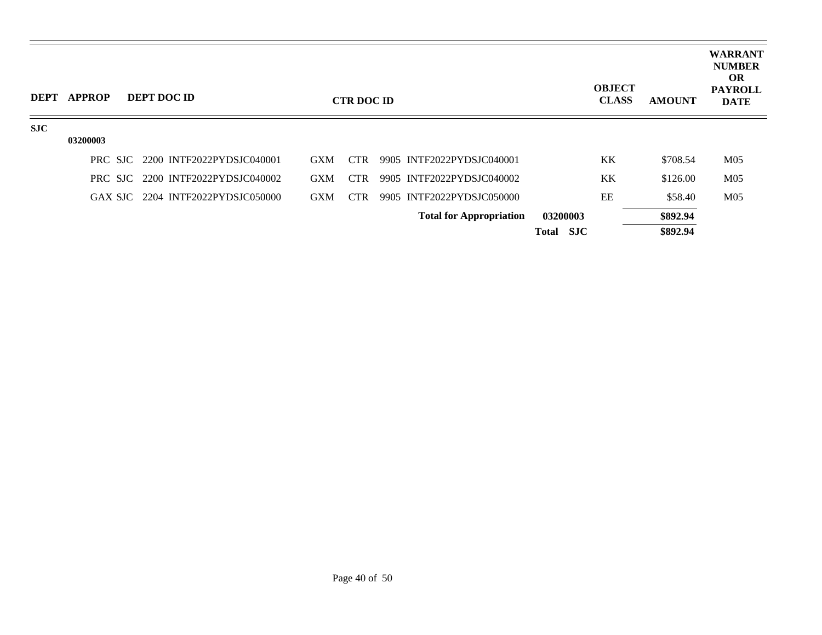| <b>DEPT</b> | <b>APPROP</b> | DEPT DOC ID                       |            | <b>CTR DOC ID</b> |                                |           | <b>OBJECT</b><br><b>CLASS</b> | <b>AMOUNT</b> | <b>WARRANT</b><br><b>NUMBER</b><br><b>OR</b><br><b>PAYROLL</b><br><b>DATE</b> |
|-------------|---------------|-----------------------------------|------------|-------------------|--------------------------------|-----------|-------------------------------|---------------|-------------------------------------------------------------------------------|
| <b>SJC</b>  | 03200003      |                                   |            |                   |                                |           |                               |               |                                                                               |
|             |               |                                   |            |                   |                                |           |                               |               |                                                                               |
|             |               | PRC SJC 2200 INTF2022PYDSJC040001 | <b>GXM</b> | <b>CTR</b>        | 9905 INTF2022PYDSJC040001      |           | <b>KK</b>                     | \$708.54      | M <sub>05</sub>                                                               |
|             |               | PRC SJC 2200 INTF2022PYDSJC040002 | <b>GXM</b> | <b>CTR</b>        | 9905 INTF2022PYDSJC040002      |           | <b>KK</b>                     | \$126.00      | M <sub>05</sub>                                                               |
|             |               | GAX SJC 2204 INTF2022PYDSJC050000 | <b>GXM</b> | <b>CTR</b>        | 9905 INTF2022PYDSJC050000      |           | EE                            | \$58.40       | M <sub>05</sub>                                                               |
|             |               |                                   |            |                   | <b>Total for Appropriation</b> | 03200003  |                               | \$892.94      |                                                                               |
|             |               |                                   |            |                   |                                | Total SJC |                               | \$892.94      |                                                                               |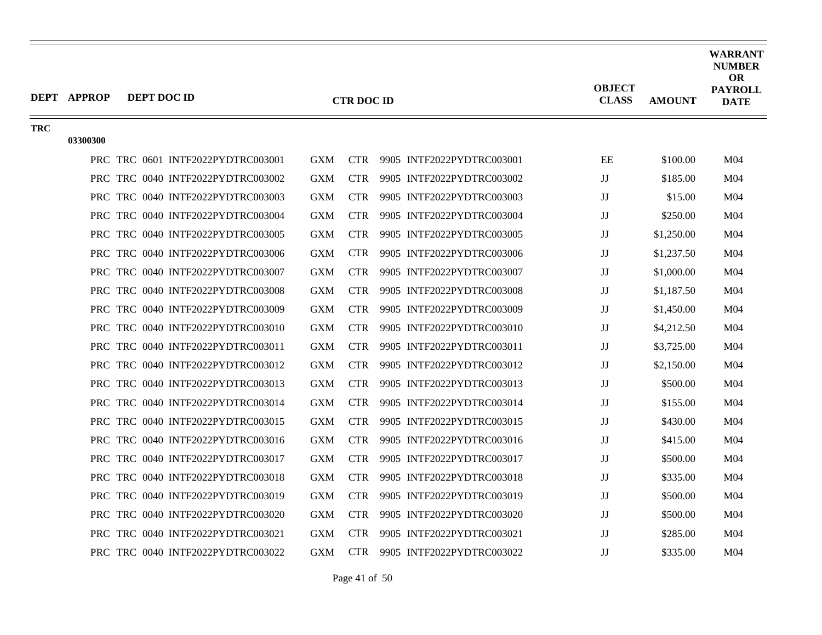|            | <b>DEPT APPROP</b> | DEPT DOC ID                       |            | <b>CTR DOC ID</b> |                           | <b>OBJECT</b><br><b>CLASS</b> | <b>AMOUNT</b> | <b>WARRANT</b><br><b>NUMBER</b><br><b>OR</b><br><b>PAYROLL</b><br><b>DATE</b> |
|------------|--------------------|-----------------------------------|------------|-------------------|---------------------------|-------------------------------|---------------|-------------------------------------------------------------------------------|
| <b>TRC</b> | 03300300           |                                   |            |                   |                           |                               |               |                                                                               |
|            |                    | PRC TRC 0601 INTF2022PYDTRC003001 | <b>GXM</b> | <b>CTR</b>        | 9905 INTF2022PYDTRC003001 | EE                            | \$100.00      | M <sub>04</sub>                                                               |
|            |                    | PRC TRC 0040 INTF2022PYDTRC003002 | <b>GXM</b> | <b>CTR</b>        | 9905 INTF2022PYDTRC003002 | JJ                            | \$185.00      | M <sub>04</sub>                                                               |
|            |                    | PRC TRC 0040 INTF2022PYDTRC003003 | <b>GXM</b> | <b>CTR</b>        | 9905 INTF2022PYDTRC003003 | JJ                            | \$15.00       | M <sub>04</sub>                                                               |
|            |                    | PRC TRC 0040 INTF2022PYDTRC003004 | <b>GXM</b> | <b>CTR</b>        | 9905 INTF2022PYDTRC003004 | $\rm JJ$                      | \$250.00      | M <sub>04</sub>                                                               |
|            |                    | PRC TRC 0040 INTF2022PYDTRC003005 | <b>GXM</b> | <b>CTR</b>        | 9905 INTF2022PYDTRC003005 | JJ                            | \$1,250.00    | M <sub>04</sub>                                                               |
|            |                    | PRC TRC 0040 INTF2022PYDTRC003006 | <b>GXM</b> | <b>CTR</b>        | 9905 INTF2022PYDTRC003006 | $\rm JJ$                      | \$1,237.50    | M <sub>04</sub>                                                               |
|            |                    | PRC TRC 0040 INTF2022PYDTRC003007 | <b>GXM</b> | <b>CTR</b>        | 9905 INTF2022PYDTRC003007 | JJ                            | \$1,000.00    | M <sub>04</sub>                                                               |
|            |                    | PRC TRC 0040 INTF2022PYDTRC003008 | <b>GXM</b> | <b>CTR</b>        | 9905 INTF2022PYDTRC003008 | $\rm JJ$                      | \$1,187.50    | M <sub>04</sub>                                                               |
|            |                    | PRC TRC 0040 INTF2022PYDTRC003009 | <b>GXM</b> | <b>CTR</b>        | 9905 INTF2022PYDTRC003009 | JJ                            | \$1,450.00    | M <sub>04</sub>                                                               |
|            |                    | PRC TRC 0040 INTF2022PYDTRC003010 | GXM        | <b>CTR</b>        | 9905 INTF2022PYDTRC003010 | JJ                            | \$4,212.50    | M <sub>04</sub>                                                               |
|            |                    | PRC TRC 0040 INTF2022PYDTRC003011 | <b>GXM</b> | <b>CTR</b>        | 9905 INTF2022PYDTRC003011 | JJ                            | \$3,725.00    | M <sub>04</sub>                                                               |
|            |                    | PRC TRC 0040 INTF2022PYDTRC003012 | <b>GXM</b> | <b>CTR</b>        | 9905 INTF2022PYDTRC003012 | $\rm JJ$                      | \$2,150.00    | M <sub>04</sub>                                                               |
|            |                    | PRC TRC 0040 INTF2022PYDTRC003013 | <b>GXM</b> | <b>CTR</b>        | 9905 INTF2022PYDTRC003013 | $\rm JJ$                      | \$500.00      | M <sub>04</sub>                                                               |
|            |                    | PRC TRC 0040 INTF2022PYDTRC003014 | <b>GXM</b> | <b>CTR</b>        | 9905 INTF2022PYDTRC003014 | JJ                            | \$155.00      | M <sub>04</sub>                                                               |
|            |                    | PRC TRC 0040 INTF2022PYDTRC003015 | <b>GXM</b> | <b>CTR</b>        | 9905 INTF2022PYDTRC003015 | $\rm JJ$                      | \$430.00      | M <sub>04</sub>                                                               |
|            |                    | PRC TRC 0040 INTF2022PYDTRC003016 | <b>GXM</b> | <b>CTR</b>        | 9905 INTF2022PYDTRC003016 | $\rm JJ$                      | \$415.00      | M <sub>04</sub>                                                               |
|            |                    | PRC TRC 0040 INTF2022PYDTRC003017 | <b>GXM</b> | <b>CTR</b>        | 9905 INTF2022PYDTRC003017 | $\rm JJ$                      | \$500.00      | M <sub>04</sub>                                                               |
|            |                    | PRC TRC 0040 INTF2022PYDTRC003018 | <b>GXM</b> | <b>CTR</b>        | 9905 INTF2022PYDTRC003018 | JJ                            | \$335.00      | M <sub>04</sub>                                                               |
|            |                    | PRC TRC 0040 INTF2022PYDTRC003019 | <b>GXM</b> | <b>CTR</b>        | 9905 INTF2022PYDTRC003019 | $\rm JJ$                      | \$500.00      | M <sub>04</sub>                                                               |
|            |                    | PRC TRC 0040 INTF2022PYDTRC003020 | <b>GXM</b> | <b>CTR</b>        | 9905 INTF2022PYDTRC003020 | JJ                            | \$500.00      | M <sub>04</sub>                                                               |
|            |                    | PRC TRC 0040 INTF2022PYDTRC003021 | <b>GXM</b> | <b>CTR</b>        | 9905 INTF2022PYDTRC003021 | JJ                            | \$285.00      | M <sub>04</sub>                                                               |
|            |                    | PRC TRC 0040 INTF2022PYDTRC003022 | <b>GXM</b> | <b>CTR</b>        | 9905 INTF2022PYDTRC003022 | $\mathbf{J}\mathbf{J}$        | \$335.00      | M <sub>04</sub>                                                               |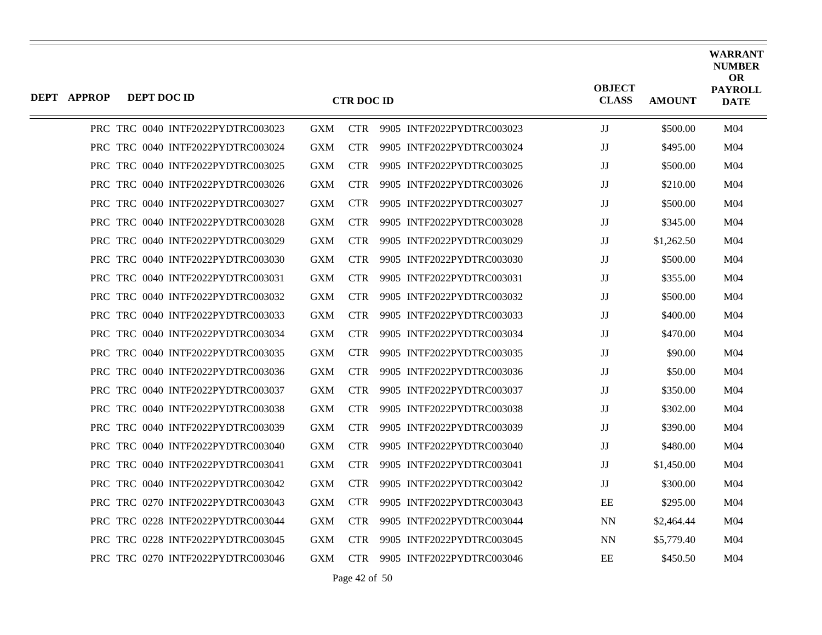| <b>DEPT APPROP</b> | DEPT DOC ID |                                   |            | <b>CTR DOC ID</b> |                           | <b>OBJECT</b><br><b>CLASS</b> | <b>AMOUNT</b> | WARRANT<br><b>NUMBER</b><br><b>OR</b><br><b>PAYROLL</b><br><b>DATE</b> |
|--------------------|-------------|-----------------------------------|------------|-------------------|---------------------------|-------------------------------|---------------|------------------------------------------------------------------------|
|                    |             | PRC TRC 0040 INTF2022PYDTRC003023 | <b>GXM</b> | <b>CTR</b>        | 9905 INTF2022PYDTRC003023 | JJ                            | \$500.00      | M <sub>04</sub>                                                        |
|                    |             | PRC TRC 0040 INTF2022PYDTRC003024 | <b>GXM</b> | <b>CTR</b>        | 9905 INTF2022PYDTRC003024 | JJ                            | \$495.00      | M <sub>04</sub>                                                        |
|                    |             | PRC TRC 0040 INTF2022PYDTRC003025 | <b>GXM</b> | <b>CTR</b>        | 9905 INTF2022PYDTRC003025 | JJ                            | \$500.00      | M <sub>04</sub>                                                        |
|                    |             | PRC TRC 0040 INTF2022PYDTRC003026 | <b>GXM</b> | <b>CTR</b>        | 9905 INTF2022PYDTRC003026 | $\rm JJ$                      | \$210.00      | M04                                                                    |
|                    |             | PRC TRC 0040 INTF2022PYDTRC003027 | <b>GXM</b> | <b>CTR</b>        | 9905 INTF2022PYDTRC003027 | JJ                            | \$500.00      | M <sub>04</sub>                                                        |
|                    |             | PRC TRC 0040 INTF2022PYDTRC003028 | <b>GXM</b> | <b>CTR</b>        | 9905 INTF2022PYDTRC003028 | JJ                            | \$345.00      | M04                                                                    |
|                    |             | PRC TRC 0040 INTF2022PYDTRC003029 | <b>GXM</b> | <b>CTR</b>        | 9905 INTF2022PYDTRC003029 | JJ                            | \$1,262.50    | M <sub>04</sub>                                                        |
|                    |             | PRC TRC 0040 INTF2022PYDTRC003030 | <b>GXM</b> | <b>CTR</b>        | 9905 INTF2022PYDTRC003030 | JJ                            | \$500.00      | M <sub>04</sub>                                                        |
|                    |             | PRC TRC 0040 INTF2022PYDTRC003031 | <b>GXM</b> | <b>CTR</b>        | 9905 INTF2022PYDTRC003031 | JJ                            | \$355.00      | M04                                                                    |
|                    |             | PRC TRC 0040 INTF2022PYDTRC003032 | <b>GXM</b> | CTR.              | 9905 INTF2022PYDTRC003032 | JJ                            | \$500.00      | M <sub>04</sub>                                                        |
|                    |             | PRC TRC 0040 INTF2022PYDTRC003033 | <b>GXM</b> | <b>CTR</b>        | 9905 INTF2022PYDTRC003033 | JJ                            | \$400.00      | M <sub>04</sub>                                                        |
|                    |             | PRC TRC 0040 INTF2022PYDTRC003034 | <b>GXM</b> | <b>CTR</b>        | 9905 INTF2022PYDTRC003034 | JJ                            | \$470.00      | M04                                                                    |
|                    |             | PRC TRC 0040 INTF2022PYDTRC003035 | <b>GXM</b> | CTR.              | 9905 INTF2022PYDTRC003035 | JJ                            | \$90.00       | M <sub>04</sub>                                                        |
|                    |             | PRC TRC 0040 INTF2022PYDTRC003036 | <b>GXM</b> | <b>CTR</b>        | 9905 INTF2022PYDTRC003036 | JJ                            | \$50.00       | M <sub>04</sub>                                                        |
|                    |             | PRC TRC 0040 INTF2022PYDTRC003037 | <b>GXM</b> | <b>CTR</b>        | 9905 INTF2022PYDTRC003037 | JJ                            | \$350.00      | M04                                                                    |
|                    |             | PRC TRC 0040 INTF2022PYDTRC003038 | <b>GXM</b> | <b>CTR</b>        | 9905 INTF2022PYDTRC003038 | JJ                            | \$302.00      | M <sub>04</sub>                                                        |
|                    |             | PRC TRC 0040 INTF2022PYDTRC003039 | <b>GXM</b> | <b>CTR</b>        | 9905 INTF2022PYDTRC003039 | JJ                            | \$390.00      | M <sub>04</sub>                                                        |
|                    |             | PRC TRC 0040 INTF2022PYDTRC003040 | <b>GXM</b> | CTR.              | 9905 INTF2022PYDTRC003040 | $\rm JJ$                      | \$480.00      | M04                                                                    |
|                    |             | PRC TRC 0040 INTF2022PYDTRC003041 | <b>GXM</b> | <b>CTR</b>        | 9905 INTF2022PYDTRC003041 | JJ                            | \$1,450.00    | M <sub>04</sub>                                                        |
|                    |             | PRC TRC 0040 INTF2022PYDTRC003042 | <b>GXM</b> | <b>CTR</b>        | 9905 INTF2022PYDTRC003042 | JJ                            | \$300.00      | M <sub>04</sub>                                                        |
|                    |             | PRC TRC 0270 INTF2022PYDTRC003043 | GXM        | CTR.              | 9905 INTF2022PYDTRC003043 | EE                            | \$295.00      | M04                                                                    |
|                    |             | PRC TRC 0228 INTF2022PYDTRC003044 | <b>GXM</b> | <b>CTR</b>        | 9905 INTF2022PYDTRC003044 | NN                            | \$2,464.44    | M <sub>04</sub>                                                        |
|                    |             | PRC TRC 0228 INTF2022PYDTRC003045 | <b>GXM</b> | CTR.              | 9905 INTF2022PYDTRC003045 | <b>NN</b>                     | \$5,779.40    | M <sub>04</sub>                                                        |
|                    |             | PRC TRC 0270 INTF2022PYDTRC003046 | GXM        | <b>CTR</b>        | 9905 INTF2022PYDTRC003046 | EЕ                            | \$450.50      | M04                                                                    |

Page 42 of 50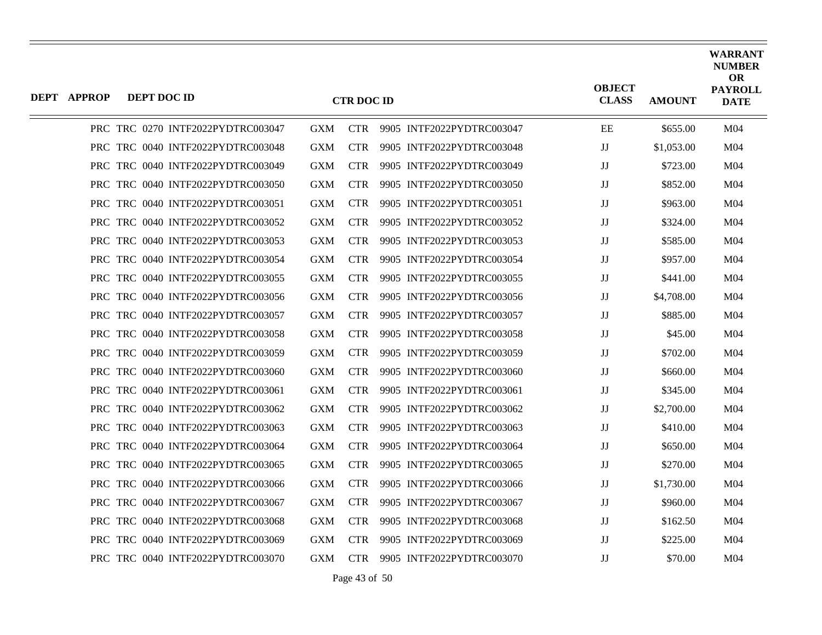| <b>DEPT APPROP</b> | DEPT DOC ID |                                   |            | <b>CTR DOC ID</b> |                           | <b>OBJECT</b><br><b>CLASS</b> | <b>AMOUNT</b> | <b>WARRANT</b><br><b>NUMBER</b><br><b>OR</b><br><b>PAYROLL</b><br><b>DATE</b> |
|--------------------|-------------|-----------------------------------|------------|-------------------|---------------------------|-------------------------------|---------------|-------------------------------------------------------------------------------|
|                    |             | PRC TRC 0270 INTF2022PYDTRC003047 | <b>GXM</b> | <b>CTR</b>        | 9905 INTF2022PYDTRC003047 | EE                            | \$655.00      | M <sub>04</sub>                                                               |
|                    |             | PRC TRC 0040 INTF2022PYDTRC003048 | <b>GXM</b> | <b>CTR</b>        | 9905 INTF2022PYDTRC003048 | $_{\rm JJ}$                   | \$1,053.00    | M <sub>04</sub>                                                               |
|                    |             | PRC TRC 0040 INTF2022PYDTRC003049 | GXM        | <b>CTR</b>        | 9905 INTF2022PYDTRC003049 | $\mathbf{J}\mathbf{J}$        | \$723.00      | M04                                                                           |
|                    |             | PRC TRC 0040 INTF2022PYDTRC003050 | <b>GXM</b> | <b>CTR</b>        | 9905 INTF2022PYDTRC003050 | $_{\rm JJ}$                   | \$852.00      | M <sub>04</sub>                                                               |
|                    |             | PRC TRC 0040 INTF2022PYDTRC003051 | <b>GXM</b> | <b>CTR</b>        | 9905 INTF2022PYDTRC003051 | $\mathbf{J}\mathbf{J}$        | \$963.00      | M04                                                                           |
|                    |             | PRC TRC 0040 INTF2022PYDTRC003052 | <b>GXM</b> | <b>CTR</b>        | 9905 INTF2022PYDTRC003052 | $_{\rm JJ}$                   | \$324.00      | M <sub>04</sub>                                                               |
|                    |             | PRC TRC 0040 INTF2022PYDTRC003053 | <b>GXM</b> | <b>CTR</b>        | 9905 INTF2022PYDTRC003053 | JJ                            | \$585.00      | M04                                                                           |
|                    |             | PRC TRC 0040 INTF2022PYDTRC003054 | <b>GXM</b> | <b>CTR</b>        | 9905 INTF2022PYDTRC003054 | $\mathbf{J}\mathbf{J}$        | \$957.00      | M <sub>04</sub>                                                               |
|                    |             | PRC TRC 0040 INTF2022PYDTRC003055 | <b>GXM</b> | <b>CTR</b>        | 9905 INTF2022PYDTRC003055 | $_{\rm JJ}$                   | \$441.00      | M <sub>04</sub>                                                               |
|                    |             | PRC TRC 0040 INTF2022PYDTRC003056 | <b>GXM</b> | <b>CTR</b>        | 9905 INTF2022PYDTRC003056 | IJ                            | \$4,708.00    | M04                                                                           |
|                    |             | PRC TRC 0040 INTF2022PYDTRC003057 | <b>GXM</b> | <b>CTR</b>        | 9905 INTF2022PYDTRC003057 | $\mathbf{J}\mathbf{J}$        | \$885.00      | M <sub>04</sub>                                                               |
|                    |             | PRC TRC 0040 INTF2022PYDTRC003058 | <b>GXM</b> | <b>CTR</b>        | 9905 INTF2022PYDTRC003058 | $_{\rm JJ}$                   | \$45.00       | M <sub>04</sub>                                                               |
|                    |             | PRC TRC 0040 INTF2022PYDTRC003059 | <b>GXM</b> | <b>CTR</b>        | 9905 INTF2022PYDTRC003059 | $\mathbf{J}\mathbf{J}$        | \$702.00      | M <sub>04</sub>                                                               |
|                    |             | PRC TRC 0040 INTF2022PYDTRC003060 | <b>GXM</b> | <b>CTR</b>        | 9905 INTF2022PYDTRC003060 | $_{\rm JJ}$                   | \$660.00      | M <sub>04</sub>                                                               |
|                    |             | PRC TRC 0040 INTF2022PYDTRC003061 | GXM        | <b>CTR</b>        | 9905 INTF2022PYDTRC003061 | IJ                            | \$345.00      | M04                                                                           |
|                    |             | PRC TRC 0040 INTF2022PYDTRC003062 | <b>GXM</b> | <b>CTR</b>        | 9905 INTF2022PYDTRC003062 | $\mathbf{J}\mathbf{J}$        | \$2,700.00    | M <sub>04</sub>                                                               |
|                    |             | PRC TRC 0040 INTF2022PYDTRC003063 | <b>GXM</b> | <b>CTR</b>        | 9905 INTF2022PYDTRC003063 | $_{\rm JJ}$                   | \$410.00      | M <sub>04</sub>                                                               |
|                    |             | PRC TRC 0040 INTF2022PYDTRC003064 | <b>GXM</b> | <b>CTR</b>        | 9905 INTF2022PYDTRC003064 | $_{\rm JJ}$                   | \$650.00      | M <sub>04</sub>                                                               |
|                    |             | PRC TRC 0040 INTF2022PYDTRC003065 | <b>GXM</b> | <b>CTR</b>        | 9905 INTF2022PYDTRC003065 | $_{\rm JJ}$                   | \$270.00      | M <sub>04</sub>                                                               |
|                    |             | PRC TRC 0040 INTF2022PYDTRC003066 | GXM        | <b>CTR</b>        | 9905 INTF2022PYDTRC003066 | $\mathbf{J}\mathbf{J}$        | \$1,730.00    | M04                                                                           |
|                    |             | PRC TRC 0040 INTF2022PYDTRC003067 | <b>GXM</b> | <b>CTR</b>        | 9905 INTF2022PYDTRC003067 | $_{\rm JJ}$                   | \$960.00      | M <sub>04</sub>                                                               |
|                    |             | PRC TRC 0040 INTF2022PYDTRC003068 | <b>GXM</b> | <b>CTR</b>        | 9905 INTF2022PYDTRC003068 | $\mathbf{J}\mathbf{J}$        | \$162.50      | M <sub>04</sub>                                                               |
|                    |             | PRC TRC 0040 INTF2022PYDTRC003069 | <b>GXM</b> | <b>CTR</b>        | 9905 INTF2022PYDTRC003069 | $\mathbf{J}\mathbf{J}$        | \$225.00      | M <sub>04</sub>                                                               |
|                    |             | PRC TRC 0040 INTF2022PYDTRC003070 | <b>GXM</b> | <b>CTR</b>        | 9905 INTF2022PYDTRC003070 | $_{\rm JJ}$                   | \$70.00       | M <sub>04</sub>                                                               |

Page 43 of 50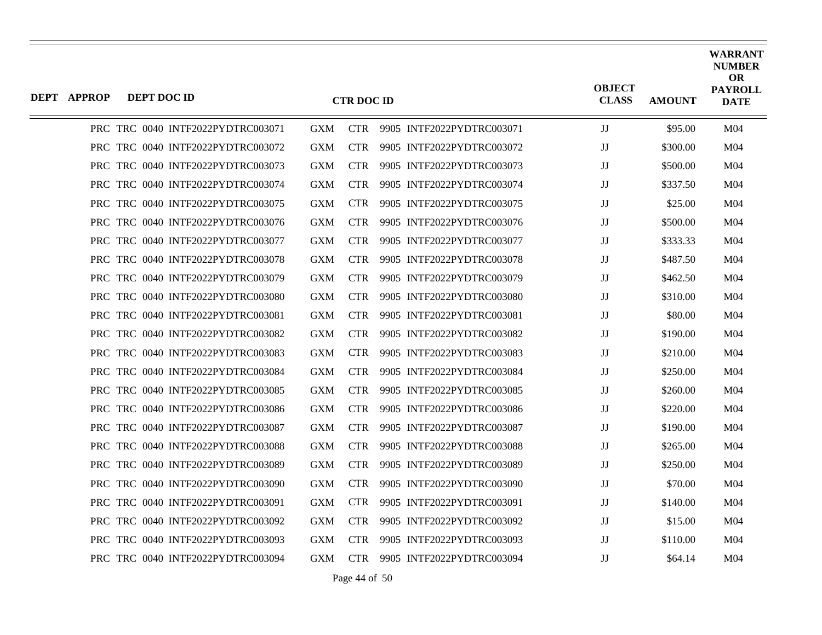| <b>DEPT APPROP</b> | DEPT DOC ID |                                   |            | <b>CTR DOC ID</b> |                           | <b>OBJECT</b><br><b>CLASS</b> | <b>AMOUNT</b> | <b>WARRANT</b><br><b>NUMBER</b><br><b>OR</b><br><b>PAYROLL</b><br><b>DATE</b> |
|--------------------|-------------|-----------------------------------|------------|-------------------|---------------------------|-------------------------------|---------------|-------------------------------------------------------------------------------|
|                    |             | PRC TRC 0040 INTF2022PYDTRC003071 | <b>GXM</b> | <b>CTR</b>        | 9905 INTF2022PYDTRC003071 | $\mathbf{J}\mathbf{J}$        | \$95.00       | M04                                                                           |
|                    |             | PRC TRC 0040 INTF2022PYDTRC003072 | <b>GXM</b> | <b>CTR</b>        | 9905 INTF2022PYDTRC003072 | JJ                            | \$300.00      | M <sub>04</sub>                                                               |
|                    |             | PRC TRC 0040 INTF2022PYDTRC003073 | <b>GXM</b> | <b>CTR</b>        | 9905 INTF2022PYDTRC003073 | JJ                            | \$500.00      | M <sub>04</sub>                                                               |
|                    |             | PRC TRC 0040 INTF2022PYDTRC003074 | <b>GXM</b> | <b>CTR</b>        | 9905 INTF2022PYDTRC003074 | JJ                            | \$337.50      | M <sub>04</sub>                                                               |
|                    |             | PRC TRC 0040 INTF2022PYDTRC003075 | <b>GXM</b> | <b>CTR</b>        | 9905 INTF2022PYDTRC003075 | JJ                            | \$25.00       | M <sub>04</sub>                                                               |
|                    |             | PRC TRC 0040 INTF2022PYDTRC003076 | <b>GXM</b> | <b>CTR</b>        | 9905 INTF2022PYDTRC003076 | $\mathbf{J}\mathbf{J}$        | \$500.00      | M <sub>04</sub>                                                               |
|                    |             | PRC TRC 0040 INTF2022PYDTRC003077 | GXM        | <b>CTR</b>        | 9905 INTF2022PYDTRC003077 | JJ                            | \$333.33      | M <sub>04</sub>                                                               |
|                    |             | PRC TRC 0040 INTF2022PYDTRC003078 | <b>GXM</b> | <b>CTR</b>        | 9905 INTF2022PYDTRC003078 | JJ                            | \$487.50      | M <sub>04</sub>                                                               |
|                    |             | PRC TRC 0040 INTF2022PYDTRC003079 | <b>GXM</b> | <b>CTR</b>        | 9905 INTF2022PYDTRC003079 | $\mathbf{J}\mathbf{J}$        | \$462.50      | M <sub>04</sub>                                                               |
|                    |             | PRC TRC 0040 INTF2022PYDTRC003080 | <b>GXM</b> | <b>CTR</b>        | 9905 INTF2022PYDTRC003080 | JJ                            | \$310.00      | M <sub>04</sub>                                                               |
|                    |             | PRC TRC 0040 INTF2022PYDTRC003081 | <b>GXM</b> | <b>CTR</b>        | 9905 INTF2022PYDTRC003081 | JJ                            | \$80.00       | M <sub>04</sub>                                                               |
|                    |             | PRC TRC 0040 INTF2022PYDTRC003082 | <b>GXM</b> | <b>CTR</b>        | 9905 INTF2022PYDTRC003082 | JJ                            | \$190.00      | M <sub>04</sub>                                                               |
|                    |             | PRC TRC 0040 INTF2022PYDTRC003083 | <b>GXM</b> | <b>CTR</b>        | 9905 INTF2022PYDTRC003083 | JJ                            | \$210.00      | M <sub>04</sub>                                                               |
|                    |             | PRC TRC 0040 INTF2022PYDTRC003084 | <b>GXM</b> | <b>CTR</b>        | 9905 INTF2022PYDTRC003084 | JJ                            | \$250.00      | M <sub>04</sub>                                                               |
|                    |             | PRC TRC 0040 INTF2022PYDTRC003085 | <b>GXM</b> | <b>CTR</b>        | 9905 INTF2022PYDTRC003085 | JJ                            | \$260.00      | M <sub>04</sub>                                                               |
|                    |             | PRC TRC 0040 INTF2022PYDTRC003086 | GXM        | <b>CTR</b>        | 9905 INTF2022PYDTRC003086 | JJ                            | \$220.00      | M <sub>04</sub>                                                               |
|                    |             | PRC TRC 0040 INTF2022PYDTRC003087 | <b>GXM</b> | <b>CTR</b>        | 9905 INTF2022PYDTRC003087 | JJ                            | \$190.00      | M <sub>04</sub>                                                               |
|                    |             | PRC TRC 0040 INTF2022PYDTRC003088 | <b>GXM</b> | <b>CTR</b>        | 9905 INTF2022PYDTRC003088 | $\mathbf{J}\mathbf{J}$        | \$265.00      | M <sub>04</sub>                                                               |
|                    |             | PRC TRC 0040 INTF2022PYDTRC003089 | GXM        | <b>CTR</b>        | 9905 INTF2022PYDTRC003089 | $\mathbf{J}\mathbf{J}$        | \$250.00      | M <sub>04</sub>                                                               |
|                    |             | PRC TRC 0040 INTF2022PYDTRC003090 | <b>GXM</b> | <b>CTR</b>        | 9905 INTF2022PYDTRC003090 | JJ                            | \$70.00       | M <sub>04</sub>                                                               |
|                    |             | PRC TRC 0040 INTF2022PYDTRC003091 | GXM        | <b>CTR</b>        | 9905 INTF2022PYDTRC003091 | JJ                            | \$140.00      | M <sub>04</sub>                                                               |
|                    |             | PRC TRC 0040 INTF2022PYDTRC003092 | GXM        | <b>CTR</b>        | 9905 INTF2022PYDTRC003092 | JJ                            | \$15.00       | M <sub>04</sub>                                                               |
|                    |             | PRC TRC 0040 INTF2022PYDTRC003093 | GXM        | <b>CTR</b>        | 9905 INTF2022PYDTRC003093 | JJ                            | \$110.00      | M <sub>04</sub>                                                               |
|                    |             | PRC TRC 0040 INTF2022PYDTRC003094 | GXM        | <b>CTR</b>        | 9905 INTF2022PYDTRC003094 | JJ                            | \$64.14       | M <sub>04</sub>                                                               |

Page 44 of 50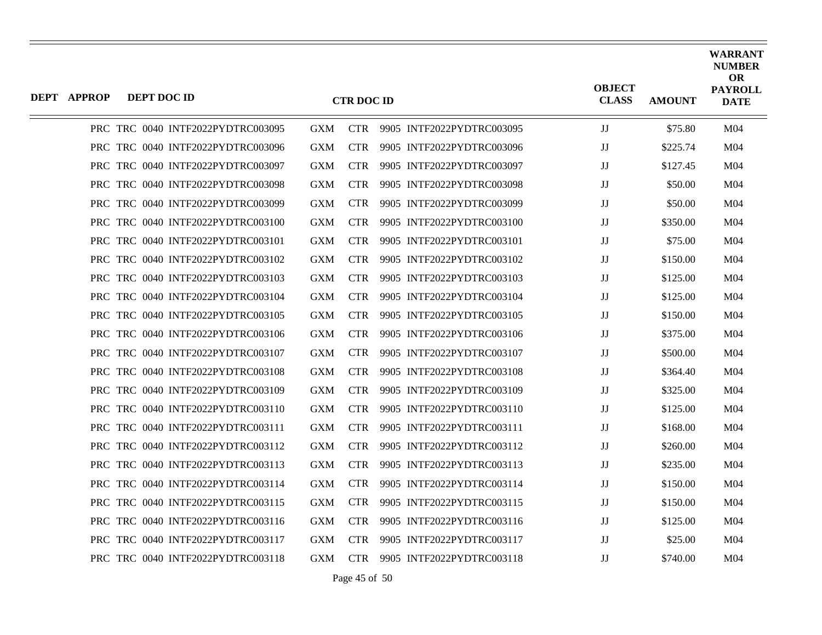| <b>DEPT APPROP</b> | <b>DEPT DOC ID</b> |                                   |            | <b>CTR DOC ID</b> |                           | <b>OBJECT</b><br><b>CLASS</b> | <b>AMOUNT</b> | <b>WARRANT</b><br><b>NUMBER</b><br><b>OR</b><br><b>PAYROLL</b><br><b>DATE</b> |
|--------------------|--------------------|-----------------------------------|------------|-------------------|---------------------------|-------------------------------|---------------|-------------------------------------------------------------------------------|
|                    |                    | PRC TRC 0040 INTF2022PYDTRC003095 | <b>GXM</b> | <b>CTR</b>        | 9905 INTF2022PYDTRC003095 | $\mathbf{J}\mathbf{J}$        | \$75.80       | M <sub>04</sub>                                                               |
|                    |                    | PRC TRC 0040 INTF2022PYDTRC003096 | GXM        | <b>CTR</b>        | 9905 INTF2022PYDTRC003096 | $\mathbf{J}\mathbf{J}$        | \$225.74      | M <sub>04</sub>                                                               |
|                    |                    | PRC TRC 0040 INTF2022PYDTRC003097 | <b>GXM</b> | <b>CTR</b>        | 9905 INTF2022PYDTRC003097 | $_{\rm JJ}$                   | \$127.45      | M <sub>04</sub>                                                               |
|                    |                    | PRC TRC 0040 INTF2022PYDTRC003098 | <b>GXM</b> | <b>CTR</b>        | 9905 INTF2022PYDTRC003098 | IJ                            | \$50.00       | M04                                                                           |
|                    |                    | PRC TRC 0040 INTF2022PYDTRC003099 | <b>GXM</b> | <b>CTR</b>        | 9905 INTF2022PYDTRC003099 | $\mathbf{J}\mathbf{J}$        | \$50.00       | M <sub>04</sub>                                                               |
|                    |                    | PRC TRC 0040 INTF2022PYDTRC003100 | <b>GXM</b> | <b>CTR</b>        | 9905 INTF2022PYDTRC003100 | JJ                            | \$350.00      | M <sub>04</sub>                                                               |
|                    |                    | PRC TRC 0040 INTF2022PYDTRC003101 | <b>GXM</b> | <b>CTR</b>        | 9905 INTF2022PYDTRC003101 | $\mathbf{J}\mathbf{J}$        | \$75.00       | M <sub>04</sub>                                                               |
|                    |                    | PRC TRC 0040 INTF2022PYDTRC003102 | <b>GXM</b> | <b>CTR</b>        | 9905 INTF2022PYDTRC003102 | $\mathbf{J}\mathbf{J}$        | \$150.00      | M <sub>04</sub>                                                               |
|                    |                    | PRC TRC 0040 INTF2022PYDTRC003103 | <b>GXM</b> | <b>CTR</b>        | 9905 INTF2022PYDTRC003103 | JJ                            | \$125.00      | M <sub>04</sub>                                                               |
|                    |                    | PRC TRC 0040 INTF2022PYDTRC003104 | <b>GXM</b> | <b>CTR</b>        | 9905 INTF2022PYDTRC003104 | IJ                            | \$125.00      | M <sub>04</sub>                                                               |
|                    |                    | PRC TRC 0040 INTF2022PYDTRC003105 | <b>GXM</b> | <b>CTR</b>        | 9905 INTF2022PYDTRC003105 | $\mathbf{J}\mathbf{J}$        | \$150.00      | M <sub>04</sub>                                                               |
|                    |                    | PRC TRC 0040 INTF2022PYDTRC003106 | <b>GXM</b> | <b>CTR</b>        | 9905 INTF2022PYDTRC003106 | JJ                            | \$375.00      | M04                                                                           |
|                    |                    | PRC TRC 0040 INTF2022PYDTRC003107 | <b>GXM</b> | <b>CTR</b>        | 9905 INTF2022PYDTRC003107 | IJ                            | \$500.00      | M <sub>04</sub>                                                               |
|                    |                    | PRC TRC 0040 INTF2022PYDTRC003108 | <b>GXM</b> | <b>CTR</b>        | 9905 INTF2022PYDTRC003108 | $\mathbf{J}\mathbf{J}$        | \$364.40      | M <sub>04</sub>                                                               |
|                    |                    | PRC TRC 0040 INTF2022PYDTRC003109 | <b>GXM</b> | <b>CTR</b>        | 9905 INTF2022PYDTRC003109 | JJ                            | \$325.00      | M04                                                                           |
|                    |                    | PRC TRC 0040 INTF2022PYDTRC003110 | <b>GXM</b> | <b>CTR</b>        | 9905 INTF2022PYDTRC003110 | IJ                            | \$125.00      | M <sub>04</sub>                                                               |
|                    |                    | PRC TRC 0040 INTF2022PYDTRC003111 | <b>GXM</b> | <b>CTR</b>        | 9905 INTF2022PYDTRC003111 | $\mathbf{J}\mathbf{J}$        | \$168.00      | M <sub>04</sub>                                                               |
|                    |                    | PRC TRC 0040 INTF2022PYDTRC003112 | <b>GXM</b> | <b>CTR</b>        | 9905 INTF2022PYDTRC003112 | IJ                            | \$260.00      | M04                                                                           |
|                    |                    | PRC TRC 0040 INTF2022PYDTRC003113 | <b>GXM</b> | <b>CTR</b>        | 9905 INTF2022PYDTRC003113 | $_{\rm JJ}$                   | \$235.00      | M <sub>04</sub>                                                               |
|                    |                    | PRC TRC 0040 INTF2022PYDTRC003114 | GXM        | <b>CTR</b>        | 9905 INTF2022PYDTRC003114 | $_{\rm JJ}$                   | \$150.00      | M <sub>04</sub>                                                               |
|                    |                    | PRC TRC 0040 INTF2022PYDTRC003115 | <b>GXM</b> | CTR.              | 9905 INTF2022PYDTRC003115 | IJ                            | \$150.00      | M04                                                                           |
|                    |                    | PRC TRC 0040 INTF2022PYDTRC003116 | <b>GXM</b> | <b>CTR</b>        | 9905 INTF2022PYDTRC003116 | $\mathbf{J}\mathbf{J}$        | \$125.00      | M <sub>04</sub>                                                               |
|                    |                    | PRC TRC 0040 INTF2022PYDTRC003117 | GXM        | <b>CTR</b>        | 9905 INTF2022PYDTRC003117 | $_{\rm JJ}$                   | \$25.00       | M04                                                                           |
|                    |                    | PRC TRC 0040 INTF2022PYDTRC003118 | <b>GXM</b> | <b>CTR</b>        | 9905 INTF2022PYDTRC003118 | IJ                            | \$740.00      | M04                                                                           |

Page 45 of 50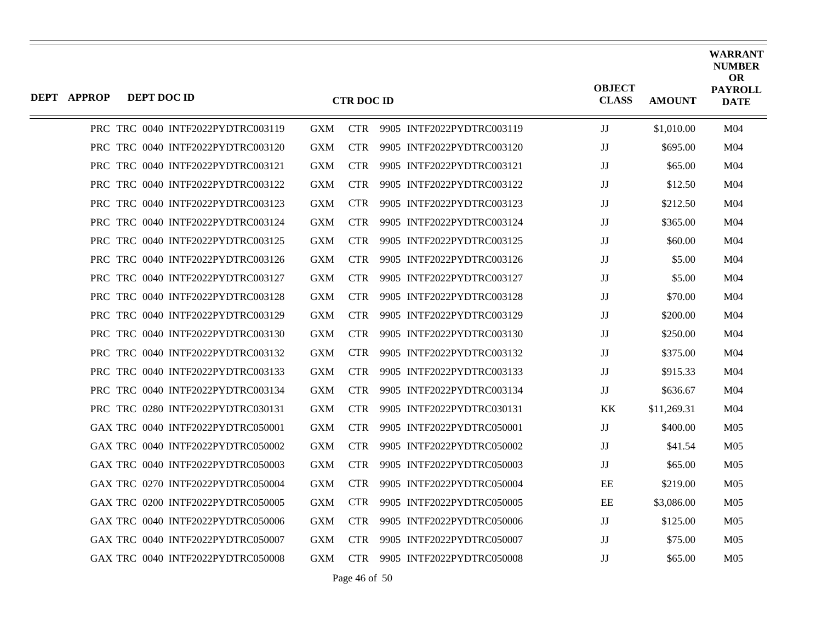| DEPT APPROP | DEPT DOC ID |                                   |            | <b>CTR DOC ID</b> |                           | <b>OBJECT</b><br><b>CLASS</b> | <b>AMOUNT</b> | <b>WARRANT</b><br><b>NUMBER</b><br><b>OR</b><br><b>PAYROLL</b><br><b>DATE</b> |
|-------------|-------------|-----------------------------------|------------|-------------------|---------------------------|-------------------------------|---------------|-------------------------------------------------------------------------------|
|             |             | PRC TRC 0040 INTF2022PYDTRC003119 | <b>GXM</b> | <b>CTR</b>        | 9905 INTF2022PYDTRC003119 | JJ                            | \$1,010.00    | M <sub>04</sub>                                                               |
|             |             | PRC TRC 0040 INTF2022PYDTRC003120 | <b>GXM</b> | <b>CTR</b>        | 9905 INTF2022PYDTRC003120 | IJ                            | \$695.00      | M <sub>04</sub>                                                               |
|             |             | PRC TRC 0040 INTF2022PYDTRC003121 | <b>GXM</b> | <b>CTR</b>        | 9905 INTF2022PYDTRC003121 | JJ                            | \$65.00       | M <sub>04</sub>                                                               |
|             |             | PRC TRC 0040 INTF2022PYDTRC003122 | <b>GXM</b> | CTR.              | 9905 INTF2022PYDTRC003122 | $_{\rm JJ}$                   | \$12.50       | M <sub>04</sub>                                                               |
|             |             | PRC TRC 0040 INTF2022PYDTRC003123 | <b>GXM</b> | <b>CTR</b>        | 9905 INTF2022PYDTRC003123 | JJ                            | \$212.50      | M <sub>04</sub>                                                               |
|             |             | PRC TRC 0040 INTF2022PYDTRC003124 | <b>GXM</b> | <b>CTR</b>        | 9905 INTF2022PYDTRC003124 | JJ                            | \$365.00      | M <sub>04</sub>                                                               |
|             |             | PRC TRC 0040 INTF2022PYDTRC003125 | <b>GXM</b> | <b>CTR</b>        | 9905 INTF2022PYDTRC003125 | $_{\rm JJ}$                   | \$60.00       | M <sub>04</sub>                                                               |
|             |             | PRC TRC 0040 INTF2022PYDTRC003126 | <b>GXM</b> | <b>CTR</b>        | 9905 INTF2022PYDTRC003126 | JJ                            | \$5.00        | M <sub>04</sub>                                                               |
|             |             | PRC TRC 0040 INTF2022PYDTRC003127 | <b>GXM</b> | <b>CTR</b>        | 9905 INTF2022PYDTRC003127 | $\mathbf{J}\mathbf{J}$        | \$5.00        | M04                                                                           |
|             |             | PRC TRC 0040 INTF2022PYDTRC003128 | <b>GXM</b> | CTR.              | 9905 INTF2022PYDTRC003128 | $_{\rm JJ}$                   | \$70.00       | M <sub>04</sub>                                                               |
|             |             | PRC TRC 0040 INTF2022PYDTRC003129 | <b>GXM</b> | CTR.              | 9905 INTF2022PYDTRC003129 | JJ                            | \$200.00      | M <sub>04</sub>                                                               |
|             |             | PRC TRC 0040 INTF2022PYDTRC003130 | <b>GXM</b> | <b>CTR</b>        | 9905 INTF2022PYDTRC003130 | JJ                            | \$250.00      | M <sub>04</sub>                                                               |
|             |             | PRC TRC 0040 INTF2022PYDTRC003132 | <b>GXM</b> | CTR.              | 9905 INTF2022PYDTRC003132 | $\mathbf{J}\mathbf{J}$        | \$375.00      | M <sub>04</sub>                                                               |
|             |             | PRC TRC 0040 INTF2022PYDTRC003133 | <b>GXM</b> | <b>CTR</b>        | 9905 INTF2022PYDTRC003133 | JJ                            | \$915.33      | M <sub>04</sub>                                                               |
|             |             | PRC TRC 0040 INTF2022PYDTRC003134 | <b>GXM</b> | <b>CTR</b>        | 9905 INTF2022PYDTRC003134 | JJ                            | \$636.67      | M <sub>04</sub>                                                               |
|             |             | PRC TRC 0280 INTF2022PYDTRC030131 | <b>GXM</b> | <b>CTR</b>        | 9905 INTF2022PYDTRC030131 | KK                            | \$11,269.31   | M <sub>04</sub>                                                               |
|             |             | GAX TRC 0040 INTF2022PYDTRC050001 | <b>GXM</b> | <b>CTR</b>        | 9905 INTF2022PYDTRC050001 | JJ                            | \$400.00      | M <sub>05</sub>                                                               |
|             |             | GAX TRC 0040 INTF2022PYDTRC050002 | <b>GXM</b> | <b>CTR</b>        | 9905 INTF2022PYDTRC050002 | JJ                            | \$41.54       | M <sub>05</sub>                                                               |
|             |             | GAX TRC 0040 INTF2022PYDTRC050003 | <b>GXM</b> | <b>CTR</b>        | 9905 INTF2022PYDTRC050003 | JJ                            | \$65.00       | M <sub>05</sub>                                                               |
|             |             | GAX TRC 0270 INTF2022PYDTRC050004 | <b>GXM</b> | CTR.              | 9905 INTF2022PYDTRC050004 | EE                            | \$219.00      | M <sub>05</sub>                                                               |
|             |             | GAX TRC 0200 INTF2022PYDTRC050005 | <b>GXM</b> | <b>CTR</b>        | 9905 INTF2022PYDTRC050005 | EE                            | \$3,086.00    | M <sub>05</sub>                                                               |
|             |             | GAX TRC 0040 INTF2022PYDTRC050006 | <b>GXM</b> | <b>CTR</b>        | 9905 INTF2022PYDTRC050006 | JJ                            | \$125.00      | M <sub>05</sub>                                                               |
|             |             | GAX TRC 0040 INTF2022PYDTRC050007 | <b>GXM</b> | <b>CTR</b>        | 9905 INTF2022PYDTRC050007 | IJ                            | \$75.00       | M <sub>05</sub>                                                               |
|             |             | GAX TRC 0040 INTF2022PYDTRC050008 | <b>GXM</b> | <b>CTR</b>        | 9905 INTF2022PYDTRC050008 | $_{\rm JJ}$                   | \$65.00       | M <sub>05</sub>                                                               |

Page 46 of 50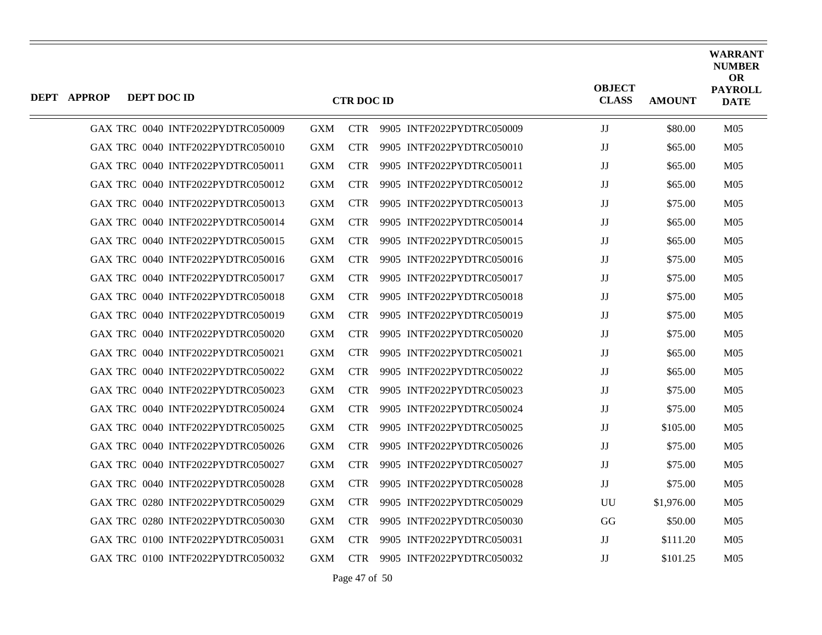| <b>DEPT APPROP</b> | DEPT DOC ID |                                   |            | <b>CTR DOC ID</b> |                               | <b>OBJECT</b><br><b>CLASS</b> | <b>AMOUNT</b> | <b>WARRANT</b><br><b>NUMBER</b><br><b>OR</b><br><b>PAYROLL</b><br><b>DATE</b> |
|--------------------|-------------|-----------------------------------|------------|-------------------|-------------------------------|-------------------------------|---------------|-------------------------------------------------------------------------------|
|                    |             | GAX TRC 0040 INTF2022PYDTRC050009 | <b>GXM</b> |                   | CTR 9905 INTF2022PYDTRC050009 | JJ                            | \$80.00       | M <sub>05</sub>                                                               |
|                    |             | GAX TRC 0040 INTF2022PYDTRC050010 | <b>GXM</b> | <b>CTR</b>        | 9905 INTF2022PYDTRC050010     | $_{\rm JJ}$                   | \$65.00       | M <sub>05</sub>                                                               |
|                    |             | GAX TRC 0040 INTF2022PYDTRC050011 | <b>GXM</b> | <b>CTR</b>        | 9905 INTF2022PYDTRC050011     | $_{\rm JJ}$                   | \$65.00       | M <sub>05</sub>                                                               |
|                    |             | GAX TRC 0040 INTF2022PYDTRC050012 | <b>GXM</b> | <b>CTR</b>        | 9905 INTF2022PYDTRC050012     | $\mathbf{J}\mathbf{J}$        | \$65.00       | M <sub>05</sub>                                                               |
|                    |             | GAX TRC 0040 INTF2022PYDTRC050013 | <b>GXM</b> | <b>CTR</b>        | 9905 INTF2022PYDTRC050013     | $_{\rm JJ}$                   | \$75.00       | M <sub>05</sub>                                                               |
|                    |             | GAX TRC 0040 INTF2022PYDTRC050014 | <b>GXM</b> | <b>CTR</b>        | 9905 INTF2022PYDTRC050014     | $\mathbf{J}\mathbf{J}$        | \$65.00       | M <sub>05</sub>                                                               |
|                    |             | GAX TRC 0040 INTF2022PYDTRC050015 | <b>GXM</b> | <b>CTR</b>        | 9905 INTF2022PYDTRC050015     | $_{\rm JJ}$                   | \$65.00       | M <sub>05</sub>                                                               |
|                    |             | GAX TRC 0040 INTF2022PYDTRC050016 | <b>GXM</b> | <b>CTR</b>        | 9905 INTF2022PYDTRC050016     | $_{\rm JJ}$                   | \$75.00       | M <sub>05</sub>                                                               |
|                    |             | GAX TRC 0040 INTF2022PYDTRC050017 | <b>GXM</b> | <b>CTR</b>        | 9905 INTF2022PYDTRC050017     | $\mathbf{J}\mathbf{J}$        | \$75.00       | M <sub>05</sub>                                                               |
|                    |             | GAX TRC 0040 INTF2022PYDTRC050018 | <b>GXM</b> | <b>CTR</b>        | 9905 INTF2022PYDTRC050018     | $_{\rm JJ}$                   | \$75.00       | M <sub>05</sub>                                                               |
|                    |             | GAX TRC 0040 INTF2022PYDTRC050019 | <b>GXM</b> | <b>CTR</b>        | 9905 INTF2022PYDTRC050019     | $_{\rm JJ}$                   | \$75.00       | M <sub>05</sub>                                                               |
|                    |             | GAX TRC 0040 INTF2022PYDTRC050020 | <b>GXM</b> | <b>CTR</b>        | 9905 INTF2022PYDTRC050020     | JJ                            | \$75.00       | M <sub>05</sub>                                                               |
|                    |             | GAX TRC 0040 INTF2022PYDTRC050021 | <b>GXM</b> | <b>CTR</b>        | 9905 INTF2022PYDTRC050021     | $_{\rm JJ}$                   | \$65.00       | M <sub>05</sub>                                                               |
|                    |             | GAX TRC 0040 INTF2022PYDTRC050022 | <b>GXM</b> | <b>CTR</b>        | 9905 INTF2022PYDTRC050022     | $_{\rm JJ}$                   | \$65.00       | M <sub>05</sub>                                                               |
|                    |             | GAX TRC 0040 INTF2022PYDTRC050023 | <b>GXM</b> | <b>CTR</b>        | 9905 INTF2022PYDTRC050023     | JJ                            | \$75.00       | M <sub>05</sub>                                                               |
|                    |             | GAX TRC 0040 INTF2022PYDTRC050024 | <b>GXM</b> | <b>CTR</b>        | 9905 INTF2022PYDTRC050024     | $\mathbf{J}\mathbf{J}$        | \$75.00       | M <sub>05</sub>                                                               |
|                    |             | GAX TRC 0040 INTF2022PYDTRC050025 | <b>GXM</b> | <b>CTR</b>        | 9905 INTF2022PYDTRC050025     | JJ                            | \$105.00      | M <sub>05</sub>                                                               |
|                    |             | GAX TRC 0040 INTF2022PYDTRC050026 | <b>GXM</b> | <b>CTR</b>        | 9905 INTF2022PYDTRC050026     | $\mathbf{J}\mathbf{J}$        | \$75.00       | M <sub>05</sub>                                                               |
|                    |             | GAX TRC 0040 INTF2022PYDTRC050027 | <b>GXM</b> | <b>CTR</b>        | 9905 INTF2022PYDTRC050027     | $_{\rm JJ}$                   | \$75.00       | M <sub>05</sub>                                                               |
|                    |             | GAX TRC 0040 INTF2022PYDTRC050028 | <b>GXM</b> | <b>CTR</b>        | 9905 INTF2022PYDTRC050028     | JJ                            | \$75.00       | M <sub>05</sub>                                                               |
|                    |             | GAX TRC 0280 INTF2022PYDTRC050029 | <b>GXM</b> | <b>CTR</b>        | 9905 INTF2022PYDTRC050029     | UU                            | \$1,976.00    | M05                                                                           |
|                    |             | GAX TRC 0280 INTF2022PYDTRC050030 | <b>GXM</b> | <b>CTR</b>        | 9905 INTF2022PYDTRC050030     | GG                            | \$50.00       | M <sub>05</sub>                                                               |
|                    |             | GAX TRC 0100 INTF2022PYDTRC050031 | <b>GXM</b> | <b>CTR</b>        | 9905 INTF2022PYDTRC050031     | JJ                            | \$111.20      | M <sub>05</sub>                                                               |
|                    |             | GAX TRC 0100 INTF2022PYDTRC050032 | <b>GXM</b> | <b>CTR</b>        | 9905 INTF2022PYDTRC050032     | $\mathbf{J}\mathbf{J}$        | \$101.25      | M <sub>05</sub>                                                               |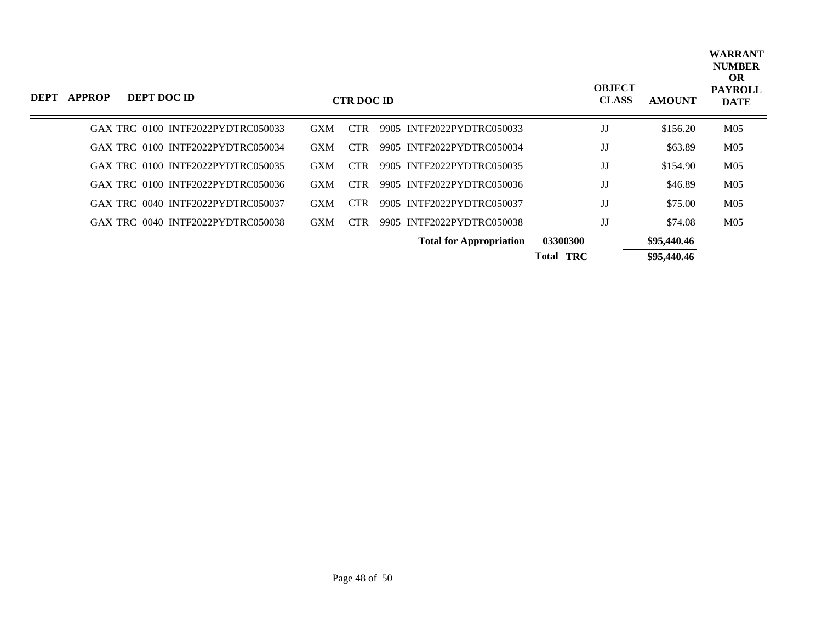| <b>DEPT</b> | <b>APPROP</b> | DEPT DOC ID                       |            | <b>CTR DOC ID</b> |                                |                  | <b>OBJECT</b><br><b>CLASS</b> | <b>AMOUNT</b> | <b>WARRANT</b><br><b>NUMBER</b><br><b>OR</b><br><b>PAYROLL</b><br><b>DATE</b> |
|-------------|---------------|-----------------------------------|------------|-------------------|--------------------------------|------------------|-------------------------------|---------------|-------------------------------------------------------------------------------|
|             |               | GAX TRC 0100 INTF2022PYDTRC050033 | <b>GXM</b> | <b>CTR</b>        | 9905 INTF2022PYDTRC050033      |                  | JJ                            | \$156.20      | M <sub>05</sub>                                                               |
|             |               | GAX TRC 0100 INTF2022PYDTRC050034 | <b>GXM</b> | <b>CTR</b>        | 9905 INTF2022PYDTRC050034      |                  | JJ                            | \$63.89       | M <sub>05</sub>                                                               |
|             |               | GAX TRC 0100 INTF2022PYDTRC050035 | <b>GXM</b> | CTR.              | 9905 INTF2022PYDTRC050035      |                  | JJ                            | \$154.90      | M <sub>05</sub>                                                               |
|             |               | GAX TRC 0100 INTF2022PYDTRC050036 | <b>GXM</b> | <b>CTR</b>        | 9905 INTF2022PYDTRC050036      |                  | JJ                            | \$46.89       | M <sub>05</sub>                                                               |
|             |               | GAX TRC 0040 INTF2022PYDTRC050037 | <b>GXM</b> | CTR.              | 9905 INTF2022PYDTRC050037      |                  | JJ                            | \$75.00       | M <sub>05</sub>                                                               |
|             |               | GAX TRC 0040 INTF2022PYDTRC050038 | <b>GXM</b> | <b>CTR</b>        | 9905 INTF2022PYDTRC050038      |                  | JJ                            | \$74.08       | M <sub>05</sub>                                                               |
|             |               |                                   |            |                   | <b>Total for Appropriation</b> | 03300300         |                               | \$95,440.46   |                                                                               |
|             |               |                                   |            |                   |                                | <b>Total TRC</b> |                               | \$95,440.46   |                                                                               |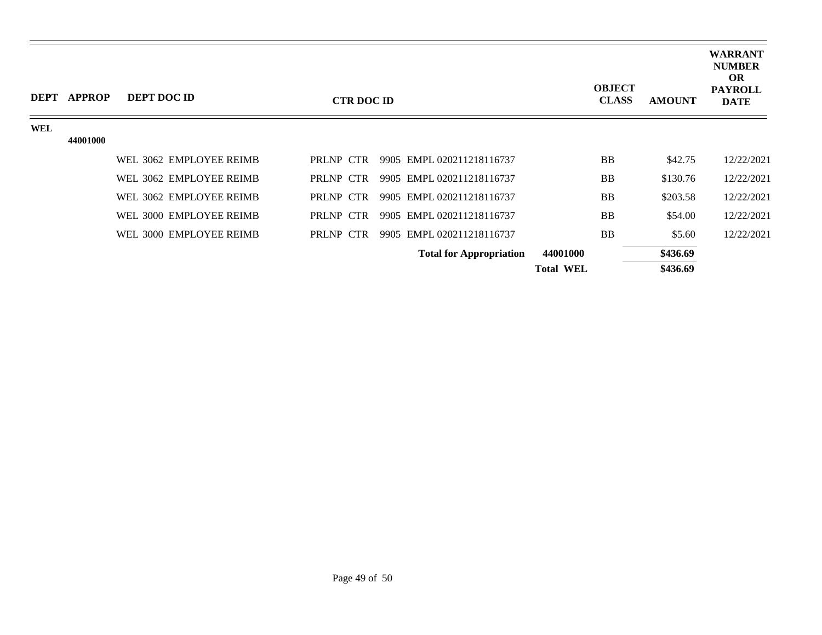| <b>DEPT</b> | APPROP   | <b>DEPT DOC ID</b>      | <b>CTR DOC ID</b> |                                | <b>OBJECT</b><br><b>CLASS</b> | <b>AMOUNT</b> | <b>WARRANT</b><br><b>NUMBER</b><br><b>OR</b><br><b>PAYROLL</b><br><b>DATE</b> |
|-------------|----------|-------------------------|-------------------|--------------------------------|-------------------------------|---------------|-------------------------------------------------------------------------------|
| WEL         |          |                         |                   |                                |                               |               |                                                                               |
|             | 44001000 |                         |                   |                                |                               |               |                                                                               |
|             |          | WEL 3062 EMPLOYEE REIMB | PRLNP CTR         | 9905 EMPL 020211218116737      | <b>BB</b>                     | \$42.75       | 12/22/2021                                                                    |
|             |          | WEL 3062 EMPLOYEE REIMB | PRLNP CTR         | 9905 EMPL 020211218116737      | <b>BB</b>                     | \$130.76      | 12/22/2021                                                                    |
|             |          | WEL 3062 EMPLOYEE REIMB | PRLNP CTR         | 9905 EMPL 020211218116737      | <b>BB</b>                     | \$203.58      | 12/22/2021                                                                    |
|             |          | WEL 3000 EMPLOYEE REIMB | PRLNP CTR         | 9905 EMPL 020211218116737      | <b>BB</b>                     | \$54.00       | 12/22/2021                                                                    |
|             |          | WEL 3000 EMPLOYEE REIMB | PRLNP CTR         | 9905 EMPL 020211218116737      | <b>BB</b>                     | \$5.60        | 12/22/2021                                                                    |
|             |          |                         |                   | <b>Total for Appropriation</b> | 44001000                      | \$436.69      |                                                                               |
|             |          |                         |                   |                                | <b>Total WEL</b>              | \$436.69      |                                                                               |